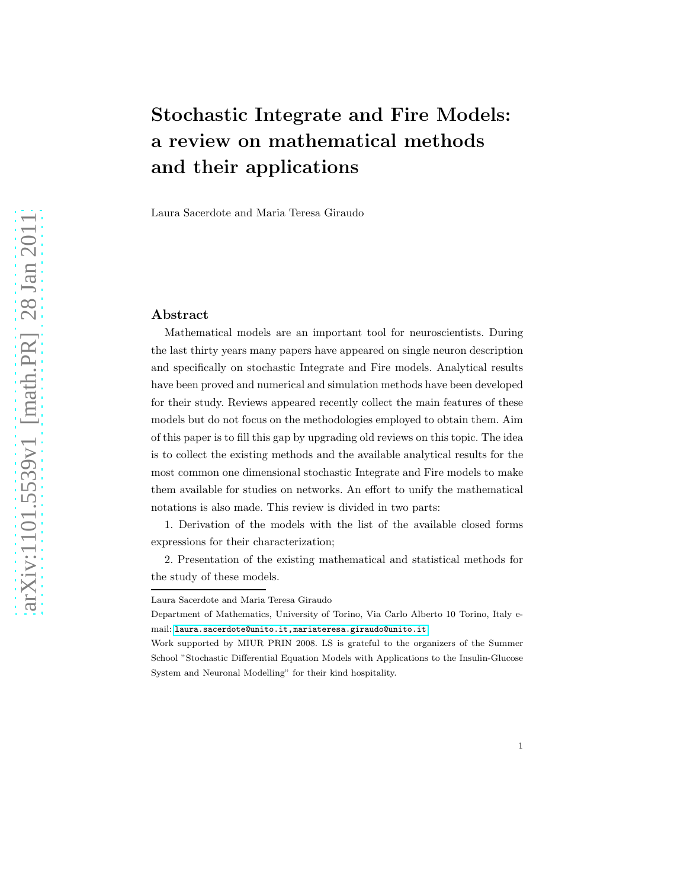# Stochastic Integrate and Fire Models: a review on mathematical methods and their applications

Laura Sacerdote and Maria Teresa Giraudo

#### Abstract

Mathematical models are an important tool for neuroscientists. During the last thirty years many papers have appeared on single neuron description and specifically on stochastic Integrate and Fire models. Analytical results have been proved and numerical and simulation methods have been developed for their study. Reviews appeared recently collect the main features of these models but do not focus on the methodologies employed to obtain them. Aim of this paper is to fill this gap by upgrading old reviews on this topic. The idea is to collect the existing methods and the available analytical results for the most common one dimensional stochastic Integrate and Fire models to make them available for studies on networks. An effort to unify the mathematical notations is also made. This review is divided in two parts:

1. Derivation of the models with the list of the available closed forms expressions for their characterization;

2. Presentation of the existing mathematical and statistical methods for the study of these models.

Laura Sacerdote and Maria Teresa Giraudo

Department of Mathematics, University of Torino, Via Carlo Alberto 10 Torino, Italy email: [laura.sacerdote@unito.it,mariateresa.giraudo@unito.it](laura.sacerdote@unito.it, mariateresa.giraudo@unito.it)

Work supported by MIUR PRIN 2008. LS is grateful to the organizers of the Summer School "Stochastic Differential Equation Models with Applications to the Insulin-Glucose System and Neuronal Modelling" for their kind hospitality.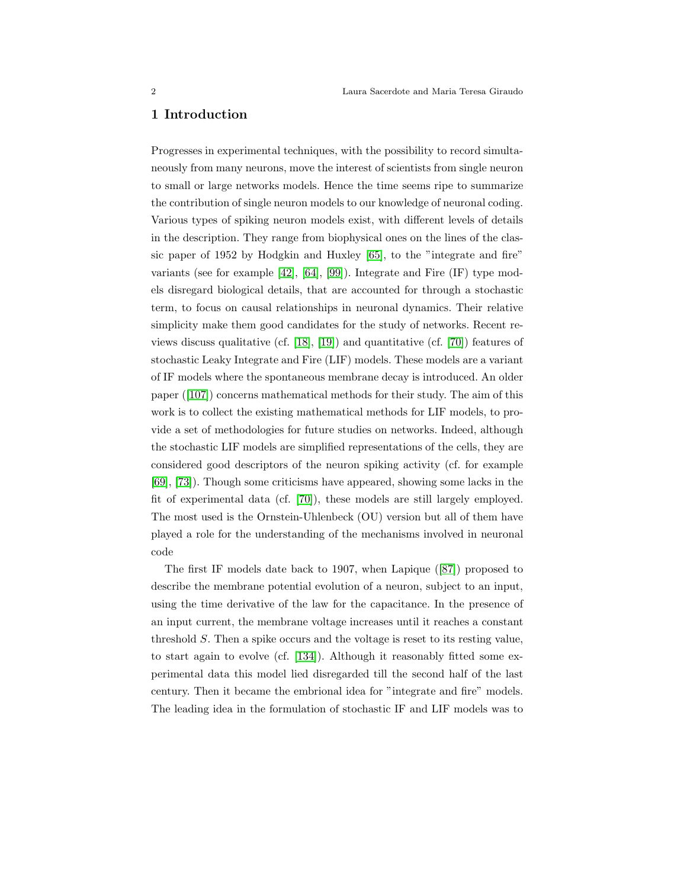#### 1 Introduction

Progresses in experimental techniques, with the possibility to record simultaneously from many neurons, move the interest of scientists from single neuron to small or large networks models. Hence the time seems ripe to summarize the contribution of single neuron models to our knowledge of neuronal coding. Various types of spiking neuron models exist, with different levels of details in the description. They range from biophysical ones on the lines of the classic paper of 1952 by Hodgkin and Huxley [\[65\]](#page-56-0), to the "integrate and fire" variants (see for example [\[42\]](#page-55-0), [\[64\]](#page-56-1), [\[99\]](#page-58-0)). Integrate and Fire (IF) type models disregard biological details, that are accounted for through a stochastic term, to focus on causal relationships in neuronal dynamics. Their relative simplicity make them good candidates for the study of networks. Recent re-views discuss qualitative (cf. [\[18\]](#page-53-0), [\[19\]](#page-53-1)) and quantitative (cf. [\[70\]](#page-56-2)) features of stochastic Leaky Integrate and Fire (LIF) models. These models are a variant of IF models where the spontaneous membrane decay is introduced. An older paper ([\[107\]](#page-58-1)) concerns mathematical methods for their study. The aim of this work is to collect the existing mathematical methods for LIF models, to provide a set of methodologies for future studies on networks. Indeed, although the stochastic LIF models are simplified representations of the cells, they are considered good descriptors of the neuron spiking activity (cf. for example [\[69\]](#page-56-3), [\[73\]](#page-57-0)). Though some criticisms have appeared, showing some lacks in the fit of experimental data (cf. [\[70\]](#page-56-2)), these models are still largely employed. The most used is the Ornstein-Uhlenbeck (OU) version but all of them have played a role for the understanding of the mechanisms involved in neuronal code

The first IF models date back to 1907, when Lapique ([\[87\]](#page-57-1)) proposed to describe the membrane potential evolution of a neuron, subject to an input, using the time derivative of the law for the capacitance. In the presence of an input current, the membrane voltage increases until it reaches a constant threshold S. Then a spike occurs and the voltage is reset to its resting value, to start again to evolve (cf. [\[134\]](#page-60-0)). Although it reasonably fitted some experimental data this model lied disregarded till the second half of the last century. Then it became the embrional idea for "integrate and fire" models. The leading idea in the formulation of stochastic IF and LIF models was to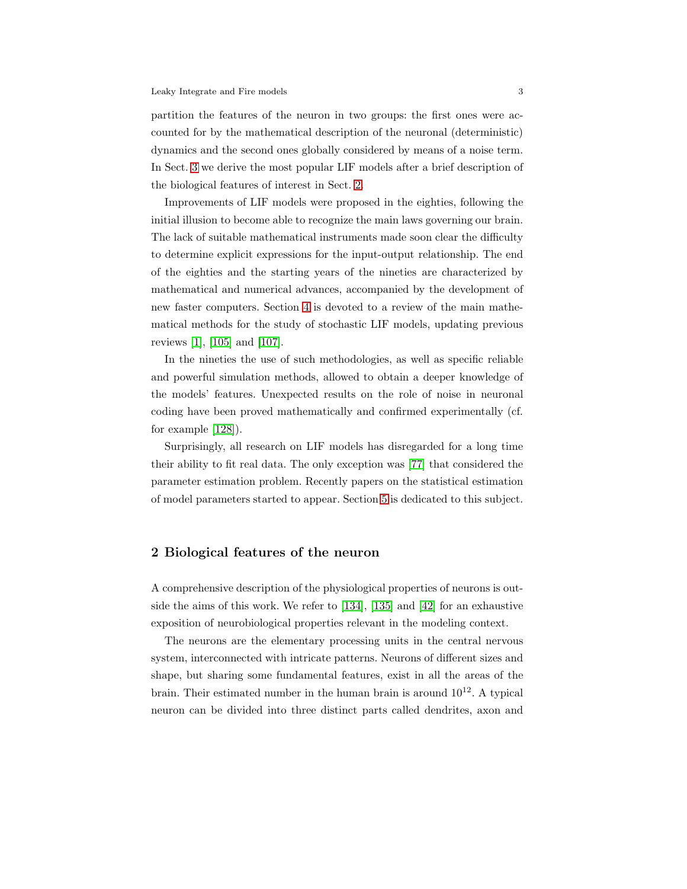partition the features of the neuron in two groups: the first ones were accounted for by the mathematical description of the neuronal (deterministic) dynamics and the second ones globally considered by means of a noise term. In Sect. [3](#page-4-0) we derive the most popular LIF models after a brief description of the biological features of interest in Sect. [2.](#page-2-0)

Improvements of LIF models were proposed in the eighties, following the initial illusion to become able to recognize the main laws governing our brain. The lack of suitable mathematical instruments made soon clear the difficulty to determine explicit expressions for the input-output relationship. The end of the eighties and the starting years of the nineties are characterized by mathematical and numerical advances, accompanied by the development of new faster computers. Section [4](#page-30-0) is devoted to a review of the main mathematical methods for the study of stochastic LIF models, updating previous reviews [\[1\]](#page-52-0), [\[105\]](#page-58-2) and [\[107\]](#page-58-1).

In the nineties the use of such methodologies, as well as specific reliable and powerful simulation methods, allowed to obtain a deeper knowledge of the models' features. Unexpected results on the role of noise in neuronal coding have been proved mathematically and confirmed experimentally (cf. for example [\[128\]](#page-60-1)).

Surprisingly, all research on LIF models has disregarded for a long time their ability to fit real data. The only exception was [\[77\]](#page-57-2) that considered the parameter estimation problem. Recently papers on the statistical estimation of model parameters started to appear. Section [5](#page-48-0) is dedicated to this subject.

### <span id="page-2-0"></span>2 Biological features of the neuron

A comprehensive description of the physiological properties of neurons is outside the aims of this work. We refer to [\[134\]](#page-60-0), [\[135\]](#page-60-2) and [\[42\]](#page-55-0) for an exhaustive exposition of neurobiological properties relevant in the modeling context.

The neurons are the elementary processing units in the central nervous system, interconnected with intricate patterns. Neurons of different sizes and shape, but sharing some fundamental features, exist in all the areas of the brain. Their estimated number in the human brain is around  $10^{12}$ . A typical neuron can be divided into three distinct parts called dendrites, axon and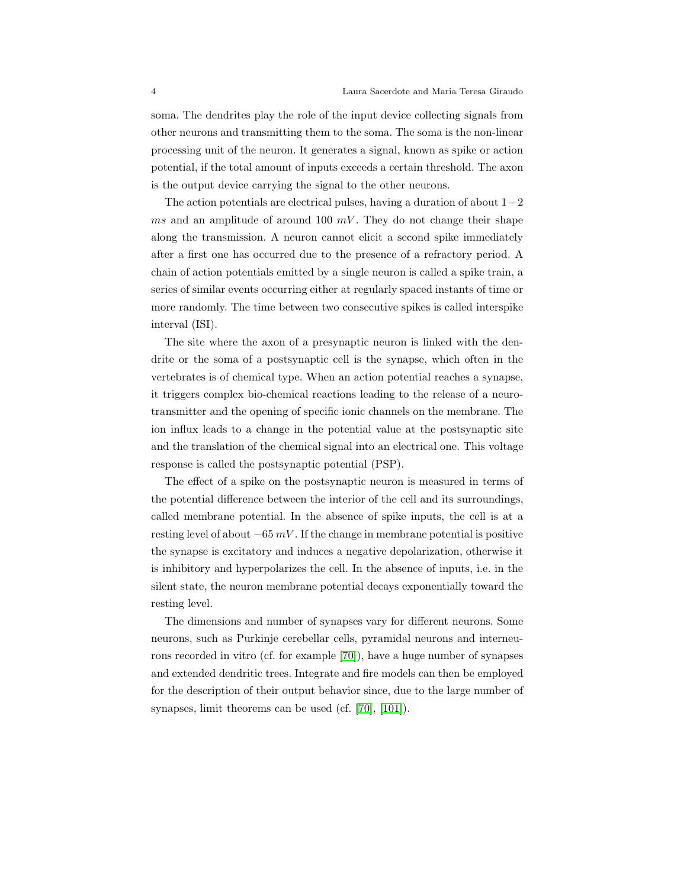soma. The dendrites play the role of the input device collecting signals from other neurons and transmitting them to the soma. The soma is the non-linear processing unit of the neuron. It generates a signal, known as spike or action potential, if the total amount of inputs exceeds a certain threshold. The axon is the output device carrying the signal to the other neurons.

The action potentials are electrical pulses, having a duration of about  $1-2$ ms and an amplitude of around 100  $mV$ . They do not change their shape along the transmission. A neuron cannot elicit a second spike immediately after a first one has occurred due to the presence of a refractory period. A chain of action potentials emitted by a single neuron is called a spike train, a series of similar events occurring either at regularly spaced instants of time or more randomly. The time between two consecutive spikes is called interspike interval (ISI).

The site where the axon of a presynaptic neuron is linked with the dendrite or the soma of a postsynaptic cell is the synapse, which often in the vertebrates is of chemical type. When an action potential reaches a synapse, it triggers complex bio-chemical reactions leading to the release of a neurotransmitter and the opening of specific ionic channels on the membrane. The ion influx leads to a change in the potential value at the postsynaptic site and the translation of the chemical signal into an electrical one. This voltage response is called the postsynaptic potential (PSP).

The effect of a spike on the postsynaptic neuron is measured in terms of the potential difference between the interior of the cell and its surroundings, called membrane potential. In the absence of spike inputs, the cell is at a resting level of about  $-65$  mV. If the change in membrane potential is positive the synapse is excitatory and induces a negative depolarization, otherwise it is inhibitory and hyperpolarizes the cell. In the absence of inputs, i.e. in the silent state, the neuron membrane potential decays exponentially toward the resting level.

The dimensions and number of synapses vary for different neurons. Some neurons, such as Purkinje cerebellar cells, pyramidal neurons and interneurons recorded in vitro (cf. for example [\[70\]](#page-56-2)), have a huge number of synapses and extended dendritic trees. Integrate and fire models can then be employed for the description of their output behavior since, due to the large number of synapses, limit theorems can be used (cf. [\[70\]](#page-56-2), [\[101\]](#page-58-3)).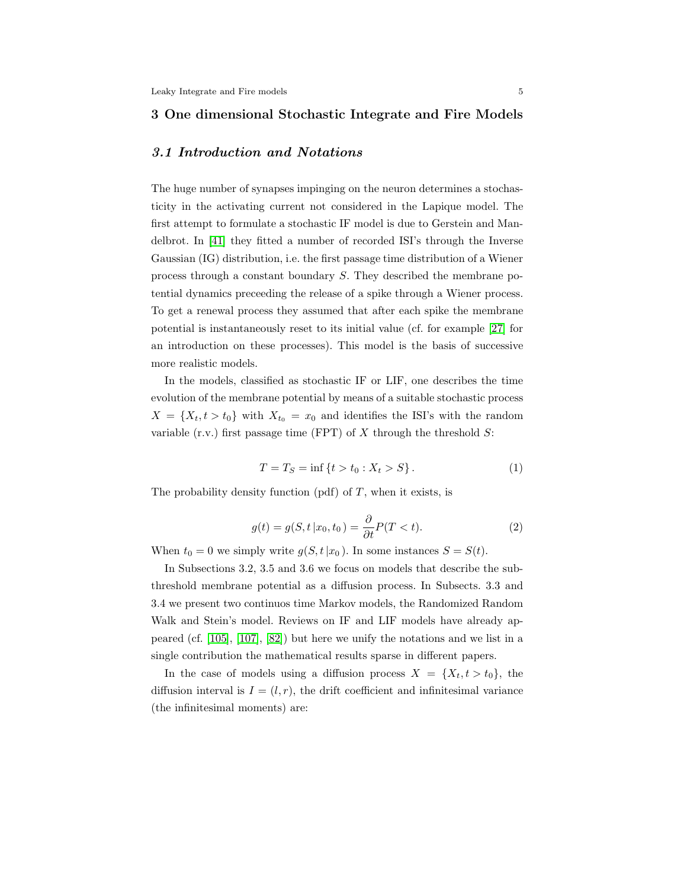#### <span id="page-4-0"></span>3 One dimensional Stochastic Integrate and Fire Models

#### 3.1 Introduction and Notations

The huge number of synapses impinging on the neuron determines a stochasticity in the activating current not considered in the Lapique model. The first attempt to formulate a stochastic IF model is due to Gerstein and Mandelbrot. In [\[41\]](#page-55-1) they fitted a number of recorded ISI's through the Inverse Gaussian (IG) distribution, i.e. the first passage time distribution of a Wiener process through a constant boundary S. They described the membrane potential dynamics preceeding the release of a spike through a Wiener process. To get a renewal process they assumed that after each spike the membrane potential is instantaneously reset to its initial value (cf. for example [\[27\]](#page-54-0) for an introduction on these processes). This model is the basis of successive more realistic models.

In the models, classified as stochastic IF or LIF, one describes the time evolution of the membrane potential by means of a suitable stochastic process  $X = \{X_t, t > t_0\}$  with  $X_{t_0} = x_0$  and identifies the ISI's with the random variable (r.v.) first passage time (FPT) of  $X$  through the threshold  $S$ :

$$
T = T_S = \inf \{ t > t_0 : X_t > S \}. \tag{1}
$$

The probability density function (pdf) of  $T$ , when it exists, is

$$
g(t) = g(S, t | x_0, t_0) = \frac{\partial}{\partial t} P(T < t).
$$
\n<sup>(2)</sup>

When  $t_0 = 0$  we simply write  $g(S, t | x_0)$ . In some instances  $S = S(t)$ .

In Subsections 3.2, 3.5 and 3.6 we focus on models that describe the subthreshold membrane potential as a diffusion process. In Subsects. 3.3 and 3.4 we present two continuos time Markov models, the Randomized Random Walk and Stein's model. Reviews on IF and LIF models have already appeared (cf. [\[105\]](#page-58-2), [\[107\]](#page-58-1), [\[82\]](#page-57-3)) but here we unify the notations and we list in a single contribution the mathematical results sparse in different papers.

In the case of models using a diffusion process  $X = \{X_t, t > t_0\}$ , the diffusion interval is  $I = (l, r)$ , the drift coefficient and infinitesimal variance (the infinitesimal moments) are: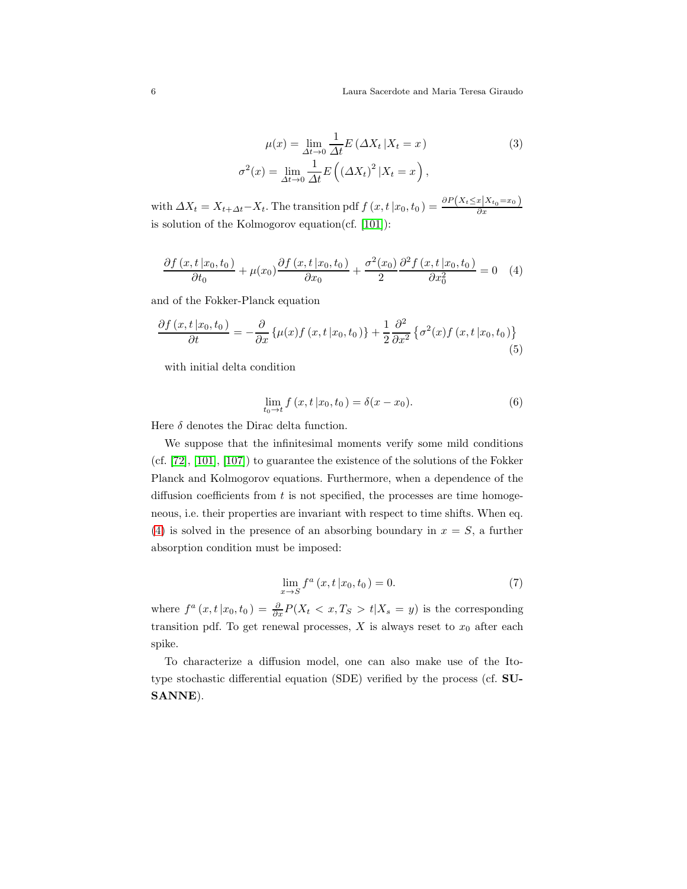<span id="page-5-2"></span>
$$
\mu(x) = \lim_{\Delta t \to 0} \frac{1}{\Delta t} E\left(\Delta X_t \, | X_t = x\right) \tag{3}
$$
\n
$$
\sigma^2(x) = \lim_{\Delta t \to 0} \frac{1}{\Delta t} E\left((\Delta X_t)^2 \, | X_t = x\right),
$$

with  $\Delta X_t = X_{t+\Delta t} - X_t$ . The transition pdf  $f(x, t | x_0, t_0) = \frac{\partial P(X_t \leq x | X_{t_0} = x_0)}{\partial x}$ is solution of the Kolmogorov equation(cf. [\[101\]](#page-58-3)):

<span id="page-5-0"></span>
$$
\frac{\partial f(x,t|x_0,t_0)}{\partial t_0} + \mu(x_0) \frac{\partial f(x,t|x_0,t_0)}{\partial x_0} + \frac{\sigma^2(x_0)}{2} \frac{\partial^2 f(x,t|x_0,t_0)}{\partial x_0^2} = 0 \quad (4)
$$

and of the Fokker-Planck equation

<span id="page-5-3"></span>
$$
\frac{\partial f(x,t|x_0,t_0)}{\partial t} = -\frac{\partial}{\partial x} \left\{ \mu(x)f(x,t|x_0,t_0) \right\} + \frac{1}{2} \frac{\partial^2}{\partial x^2} \left\{ \sigma^2(x)f(x,t|x_0,t_0) \right\} \tag{5}
$$

with initial delta condition

<span id="page-5-1"></span>
$$
\lim_{t_0 \to t} f(x, t | x_0, t_0) = \delta(x - x_0).
$$
 (6)

Here  $\delta$  denotes the Dirac delta function.

We suppose that the infinitesimal moments verify some mild conditions (cf. [\[72\]](#page-56-4), [\[101\]](#page-58-3), [\[107\]](#page-58-1)) to guarantee the existence of the solutions of the Fokker Planck and Kolmogorov equations. Furthermore, when a dependence of the diffusion coefficients from  $t$  is not specified, the processes are time homogeneous, i.e. their properties are invariant with respect to time shifts. When eq. [\(4\)](#page-5-0) is solved in the presence of an absorbing boundary in  $x = S$ , a further absorption condition must be imposed:

$$
\lim_{x \to S} f^a(x, t | x_0, t_0) = 0.
$$
\n(7)

where  $f^a(x, t | x_0, t_0) = \frac{\partial}{\partial x} P(X_t < x, T_S > t | X_s = y)$  is the corresponding transition pdf. To get renewal processes,  $X$  is always reset to  $x_0$  after each spike.

To characterize a diffusion model, one can also make use of the Itotype stochastic differential equation (SDE) verified by the process (cf. SU-SANNE).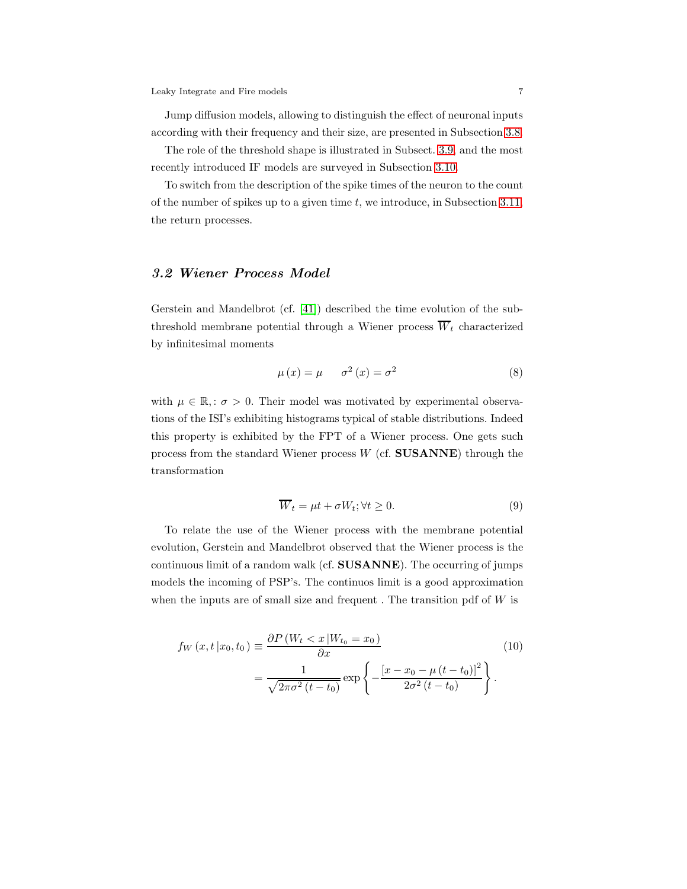Jump diffusion models, allowing to distinguish the effect of neuronal inputs according with their frequency and their size, are presented in Subsection [3.8.](#page-24-0)

The role of the threshold shape is illustrated in Subsect. [3.9,](#page-25-0) and the most recently introduced IF models are surveyed in Subsection [3.10.](#page-28-0)

To switch from the description of the spike times of the neuron to the count of the number of spikes up to a given time  $t$ , we introduce, in Subsection [3.11,](#page-28-1) the return processes.

#### <span id="page-6-0"></span>3.2 Wiener Process Model

Gerstein and Mandelbrot (cf. [\[41\]](#page-55-1)) described the time evolution of the subthreshold membrane potential through a Wiener process  $\overline{W}_t$  characterized by infinitesimal moments

$$
\mu(x) = \mu \qquad \sigma^2(x) = \sigma^2 \tag{8}
$$

with  $\mu \in \mathbb{R}$ ,  $\sigma > 0$ . Their model was motivated by experimental observations of the ISI's exhibiting histograms typical of stable distributions. Indeed this property is exhibited by the FPT of a Wiener process. One gets such process from the standard Wiener process  $W$  (cf. SUSANNE) through the transformation

$$
\overline{W}_t = \mu t + \sigma W_t; \forall t \ge 0.
$$
\n(9)

To relate the use of the Wiener process with the membrane potential evolution, Gerstein and Mandelbrot observed that the Wiener process is the continuous limit of a random walk (cf. SUSANNE). The occurring of jumps models the incoming of PSP's. The continuos limit is a good approximation when the inputs are of small size and frequent. The transition pdf of  $W$  is

$$
f_W(x, t | x_0, t_0) \equiv \frac{\partial P(W_t < x | W_{t_0} = x_0)}{\partial x} \qquad (10)
$$
\n
$$
= \frac{1}{\sqrt{2\pi\sigma^2 (t - t_0)}} \exp\left\{-\frac{\left[x - x_0 - \mu (t - t_0)\right]^2}{2\sigma^2 (t - t_0)}\right\}.
$$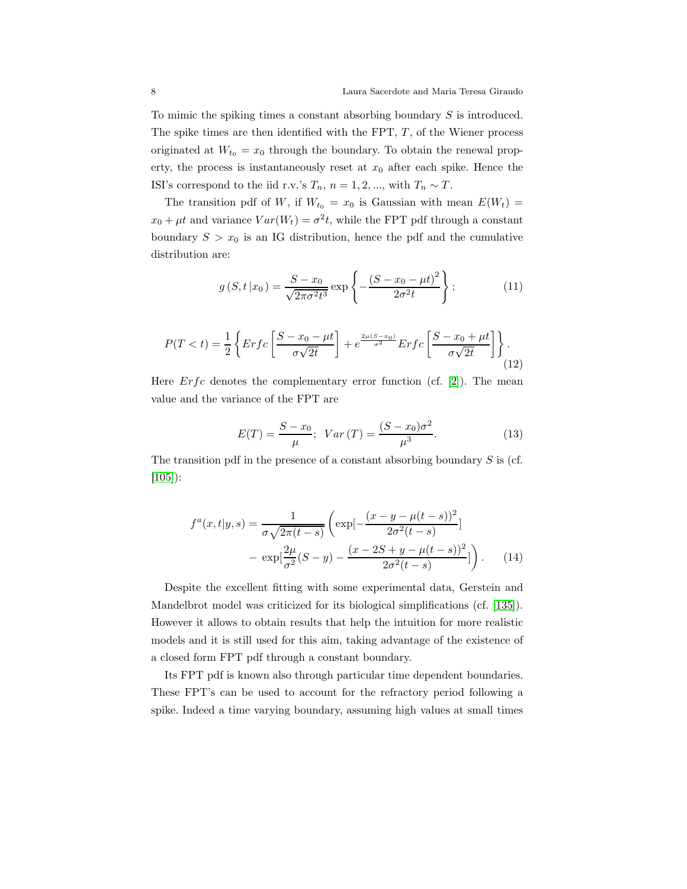To mimic the spiking times a constant absorbing boundary S is introduced. The spike times are then identified with the FPT,  $T$ , of the Wiener process originated at  $W_{t_0} = x_0$  through the boundary. To obtain the renewal property, the process is instantaneously reset at  $x_0$  after each spike. Hence the ISI's correspond to the iid r.v.'s  $T_n$ ,  $n = 1, 2, ...,$  with  $T_n \sim T$ .

The transition pdf of W, if  $W_{t_0} = x_0$  is Gaussian with mean  $E(W_t) =$  $x_0 + \mu t$  and variance  $Var(W_t) = \sigma^2 t$ , while the FPT pdf through a constant boundary  $S > x_0$  is an IG distribution, hence the pdf and the cumulative distribution are:

<span id="page-7-0"></span>
$$
g(S, t | x_0) = \frac{S - x_0}{\sqrt{2\pi\sigma^2 t^3}} \exp\left\{-\frac{(S - x_0 - \mu t)^2}{2\sigma^2 t}\right\};
$$
 (11)

$$
P(T < t) = \frac{1}{2} \left\{ \operatorname{Erfc} \left[ \frac{S - x_0 - \mu t}{\sigma \sqrt{2t}} \right] + e^{\frac{2\mu (S - x_0)}{\sigma^2}} \operatorname{Erfc} \left[ \frac{S - x_0 + \mu t}{\sigma \sqrt{2t}} \right] \right\}.
$$
\n(12)

Here  $Erfc$  denotes the complementary error function (cf. [\[2\]](#page-52-1)). The mean value and the variance of the FPT are

$$
E(T) = \frac{S - x_0}{\mu}; \quad Var(T) = \frac{(S - x_0)\sigma^2}{\mu^3}.
$$
 (13)

The transition pdf in the presence of a constant absorbing boundary  $S$  is (cf. [\[105\]](#page-58-2)):

$$
f^{a}(x,t|y,s) = \frac{1}{\sigma\sqrt{2\pi(t-s)}} \left( \exp[-\frac{(x-y-\mu(t-s))^{2}}{2\sigma^{2}(t-s)}] - \exp[\frac{2\mu}{\sigma^{2}}(S-y) - \frac{(x-2S+y-\mu(t-s))^{2}}{2\sigma^{2}(t-s)}] \right). \tag{14}
$$

Despite the excellent fitting with some experimental data, Gerstein and Mandelbrot model was criticized for its biological simplifications (cf. [\[135\]](#page-60-2)). However it allows to obtain results that help the intuition for more realistic models and it is still used for this aim, taking advantage of the existence of a closed form FPT pdf through a constant boundary.

Its FPT pdf is known also through particular time dependent boundaries. These FPT's can be used to account for the refractory period following a spike. Indeed a time varying boundary, assuming high values at small times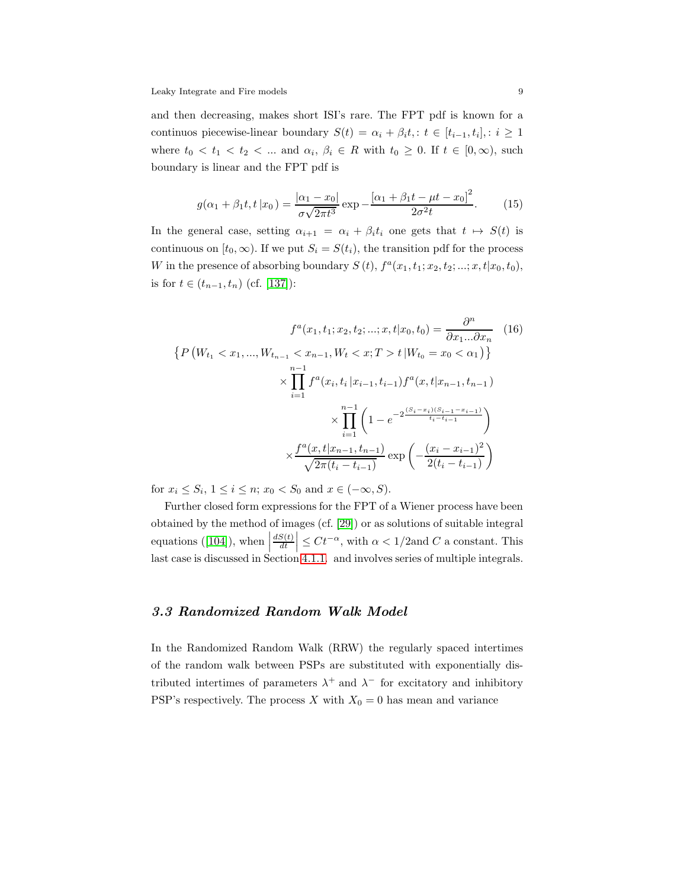and then decreasing, makes short ISI's rare. The FPT pdf is known for a continuos piecewise-linear boundary  $S(t) = \alpha_i + \beta_i t, \quad t \in [t_{i-1}, t_i], \quad i \geq 1$ where  $t_0 < t_1 < t_2 < \dots$  and  $\alpha_i, \beta_i \in R$  with  $t_0 \geq 0$ . If  $t \in [0, \infty)$ , such boundary is linear and the FPT pdf is

$$
g(\alpha_1 + \beta_1 t, t \, | x_0) = \frac{|\alpha_1 - x_0|}{\sigma \sqrt{2\pi t^3}} \exp{-\frac{[\alpha_1 + \beta_1 t - \mu t - x_0]^2}{2\sigma^2 t}}.
$$
 (15)

In the general case, setting  $\alpha_{i+1} = \alpha_i + \beta_i t_i$  one gets that  $t \mapsto S(t)$  is continuous on  $[t_0, \infty)$ . If we put  $S_i = S(t_i)$ , the transition pdf for the process W in the presence of absorbing boundary  $S(t)$ ,  $f^a(x_1, t_1; x_2, t_2; ...; x, t | x_0, t_0)$ , is for  $t \in (t_{n-1}, t_n)$  (cf. [\[137\]](#page-60-3)):

$$
f^{a}(x_{1}, t_{1}; x_{2}, t_{2}; \ldots; x, t | x_{0}, t_{0}) = \frac{\partial^{n}}{\partial x_{1} \ldots \partial x_{n}} \quad (16)
$$

$$
\left\{ P\left(W_{t_{1}} < x_{1}, \ldots, W_{t_{n-1}} < x_{n-1}, W_{t} < x; T > t | W_{t_{0}} = x_{0} < \alpha_{1} \right) \right\}
$$

$$
\times \prod_{i=1}^{n-1} f^{a}(x_{i}, t_{i} | x_{i-1}, t_{i-1}) f^{a}(x, t | x_{n-1}, t_{n-1})
$$

$$
\times \prod_{i=1}^{n-1} \left( 1 - e^{-2 \frac{(S_{i} - x_{i})(S_{i-1} - x_{i-1})}{t_{i} - t_{i-1}}} \right)
$$

$$
\times \frac{f^{a}(x, t | x_{n-1}, t_{n-1})}{\sqrt{2\pi(t_{i} - t_{i-1})}} \exp\left(-\frac{(x_{i} - x_{i-1})^{2}}{2(t_{i} - t_{i-1})}\right)
$$

for  $x_i \leq S_i$ ,  $1 \leq i \leq n$ ;  $x_0 < S_0$  and  $x \in (-\infty, S)$ .

Further closed form expressions for the FPT of a Wiener process have been obtained by the method of images (cf. [\[29\]](#page-54-1)) or as solutions of suitable integral equations ([\[104\]](#page-58-4)), when  $\vert$  $dS(t)$ dt  $\leq Ct^{-\alpha}$ , with  $\alpha < 1/2$  and C a constant. This last case is discussed in Section [4.1.1.](#page-31-0) and involves series of multiple integrals.

## 3.3 Randomized Random Walk Model

In the Randomized Random Walk (RRW) the regularly spaced intertimes of the random walk between PSPs are substituted with exponentially distributed intertimes of parameters  $\lambda^+$  and  $\lambda^-$  for excitatory and inhibitory PSP's respectively. The process X with  $X_0 = 0$  has mean and variance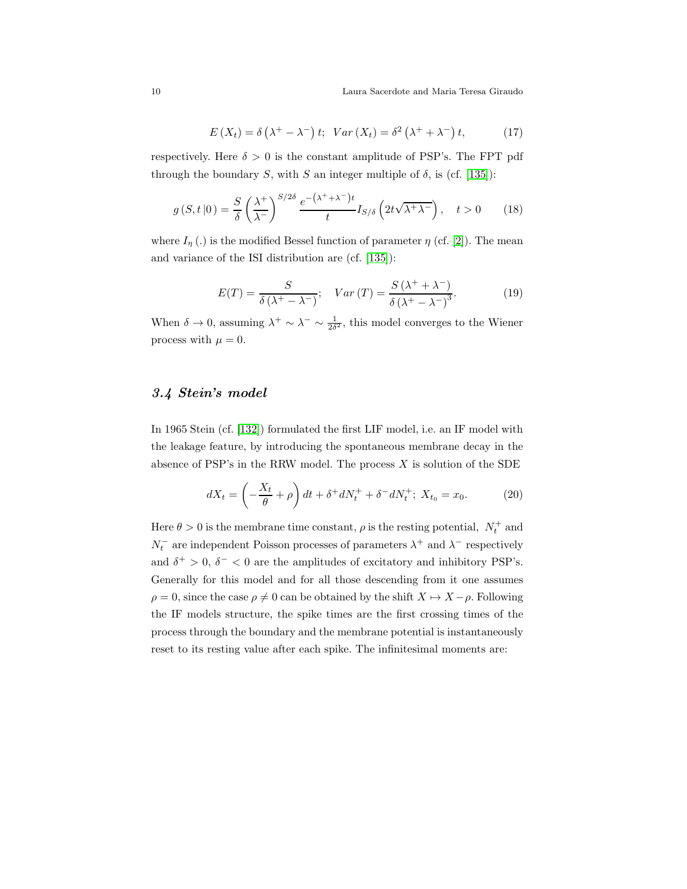$$
E(X_t) = \delta\left(\lambda^+ - \lambda^-\right)t; \quad Var\left(X_t\right) = \delta^2\left(\lambda^+ + \lambda^-\right)t,\tag{17}
$$

respectively. Here  $\delta > 0$  is the constant amplitude of PSP's. The FPT pdf through the boundary S, with S an integer multiple of  $\delta$ , is (cf. [\[135\]](#page-60-2)):

$$
g(S, t|0) = \frac{S}{\delta} \left(\frac{\lambda^{+}}{\lambda^{-}}\right)^{S/2\delta} \frac{e^{-(\lambda^{+} + \lambda^{-})t}}{t} I_{S/\delta} \left(2t\sqrt{\lambda^{+}\lambda^{-}}\right), \quad t > 0 \tag{18}
$$

where  $I_n(.)$  is the modified Bessel function of parameter  $\eta$  (cf. [\[2\]](#page-52-1)). The mean and variance of the ISI distribution are (cf. [\[135\]](#page-60-2)):

$$
E(T) = \frac{S}{\delta(\lambda^+ - \lambda^-)}; \quad Var(T) = \frac{S(\lambda^+ + \lambda^-)}{\delta(\lambda^+ - \lambda^-)^3}.
$$
 (19)

When  $\delta \to 0$ , assuming  $\lambda^+ \sim \lambda^- \sim \frac{1}{2\delta^2}$ , this model converges to the Wiener process with  $\mu = 0$ .

## 3.4 Stein's model

In 1965 Stein (cf. [\[132\]](#page-60-4)) formulated the first LIF model, i.e. an IF model with the leakage feature, by introducing the spontaneous membrane decay in the absence of PSP's in the RRW model. The process  $X$  is solution of the SDE

<span id="page-9-0"></span>
$$
dX_t = \left(-\frac{X_t}{\theta} + \rho\right)dt + \delta^+ dN_t^+ + \delta^- dN_t^+; \ X_{t_0} = x_0. \tag{20}
$$

Here  $\theta > 0$  is the membrane time constant,  $\rho$  is the resting potential,  $N_t^+$  and  $N_t^-$  are independent Poisson processes of parameters  $\lambda^+$  and  $\lambda^-$  respectively and  $\delta^+ > 0$ ,  $\delta^- < 0$  are the amplitudes of excitatory and inhibitory PSP's. Generally for this model and for all those descending from it one assumes  $\rho = 0$ , since the case  $\rho \neq 0$  can be obtained by the shift  $X \mapsto X - \rho$ . Following the IF models structure, the spike times are the first crossing times of the process through the boundary and the membrane potential is instantaneously reset to its resting value after each spike. The infinitesimal moments are: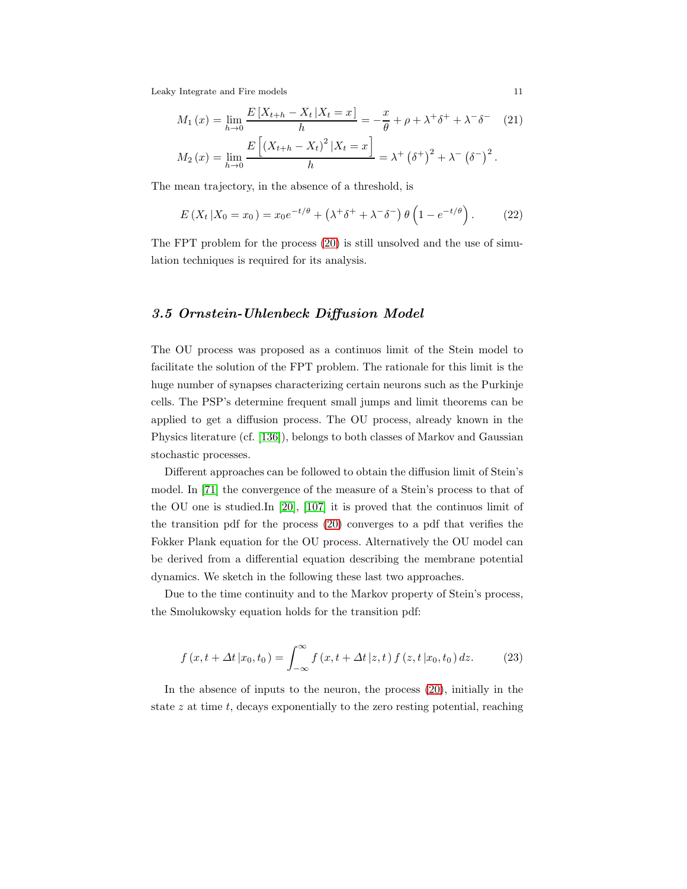$$
M_1(x) = \lim_{h \to 0} \frac{E\left[X_{t+h} - X_t | X_t = x\right]}{h} = -\frac{x}{\theta} + \rho + \lambda^+ \delta^+ + \lambda^- \delta^- \quad (21)
$$

$$
M_2(x) = \lim_{h \to 0} \frac{E\left[\left(X_{t+h} - X_t\right)^2 | X_t = x\right]}{h} = \lambda^+ \left(\delta^+\right)^2 + \lambda^- \left(\delta^-\right)^2.
$$

The mean trajectory, in the absence of a threshold, is

$$
E(X_t|X_0 = x_0) = x_0e^{-t/\theta} + (\lambda^+\delta^+ + \lambda^-\delta^-)\theta\left(1 - e^{-t/\theta}\right). \tag{22}
$$

The FPT problem for the process [\(20\)](#page-9-0) is still unsolved and the use of simulation techniques is required for its analysis.

#### <span id="page-10-1"></span>3.5 Ornstein-Uhlenbeck Diffusion Model

The OU process was proposed as a continuos limit of the Stein model to facilitate the solution of the FPT problem. The rationale for this limit is the huge number of synapses characterizing certain neurons such as the Purkinje cells. The PSP's determine frequent small jumps and limit theorems can be applied to get a diffusion process. The OU process, already known in the Physics literature (cf. [\[136\]](#page-60-5)), belongs to both classes of Markov and Gaussian stochastic processes.

Different approaches can be followed to obtain the diffusion limit of Stein's model. In [\[71\]](#page-56-5) the convergence of the measure of a Stein's process to that of the OU one is studied.In [\[20\]](#page-53-2), [\[107\]](#page-58-1) it is proved that the continuos limit of the transition pdf for the process [\(20\)](#page-9-0) converges to a pdf that verifies the Fokker Plank equation for the OU process. Alternatively the OU model can be derived from a differential equation describing the membrane potential dynamics. We sketch in the following these last two approaches.

Due to the time continuity and to the Markov property of Stein's process, the Smolukowsky equation holds for the transition pdf:

<span id="page-10-0"></span>
$$
f(x, t + \Delta t | x_0, t_0) = \int_{-\infty}^{\infty} f(x, t + \Delta t | z, t) f(z, t | x_0, t_0) dz.
$$
 (23)

In the absence of inputs to the neuron, the process [\(20\)](#page-9-0), initially in the state  $z$  at time  $t$ , decays exponentially to the zero resting potential, reaching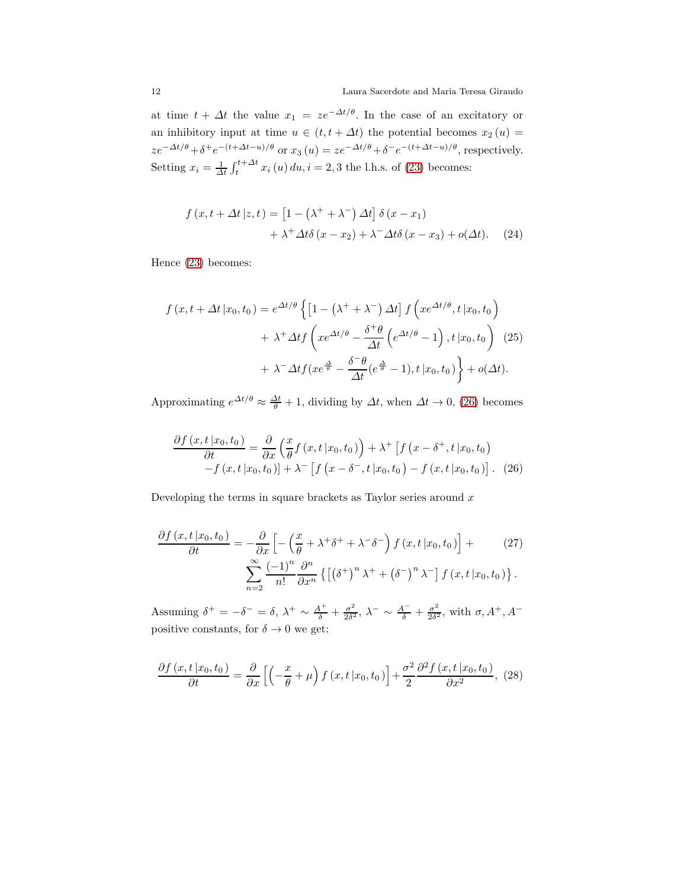at time  $t + \Delta t$  the value  $x_1 = ze^{-\Delta t/\theta}$ . In the case of an excitatory or an inhibitory input at time  $u \in (t, t + \Delta t)$  the potential becomes  $x_2(u) =$  $ze^{-\Delta t/\theta} + \delta^+e^{-(t+\Delta t - u)/\theta}$  or  $x_3(u) = ze^{-\Delta t/\theta} + \delta^-e^{-(t+\Delta t - u)/\theta}$ , respectively. Setting  $x_i = \frac{1}{\Delta t} \int_t^{t + \Delta t} x_i(u) \, du, i = 2, 3$  the l.h.s. of [\(23\)](#page-10-0) becomes:

$$
f(x, t + \Delta t | z, t) = [1 - (\lambda^+ + \lambda^-) \Delta t] \delta(x - x_1)
$$
  
+ 
$$
\lambda^+ \Delta t \delta(x - x_2) + \lambda^- \Delta t \delta(x - x_3) + o(\Delta t).
$$
 (24)

Hence [\(23\)](#page-10-0) becomes:

<span id="page-11-0"></span>
$$
f(x, t + \Delta t | x_0, t_0) = e^{\Delta t/\theta} \left\{ \left[ 1 - \left( \lambda^+ + \lambda^- \right) \Delta t \right] f\left( x e^{\Delta t/\theta}, t | x_0, t_0 \right) \right.+ \lambda^+ \Delta t f\left( x e^{\Delta t/\theta} - \frac{\delta^+ \theta}{\Delta t} \left( e^{\Delta t/\theta} - 1 \right), t | x_0, t_0 \right) \right. (25)+ \lambda^- \Delta t f\left( x e^{\frac{\Delta}{\theta}} - \frac{\delta^- \theta}{\Delta t} \left( e^{\frac{\Delta}{\theta}} - 1 \right), t | x_0, t_0 \right) \right\} + o(\Delta t).
$$

Approximating  $e^{\Delta t/\theta} \approx \frac{\Delta t}{\theta} + 1$ , dividing by  $\Delta t$ , when  $\Delta t \to 0$ , [\(26\)](#page-11-0) becomes

$$
\frac{\partial f(x,t|x_0,t_0)}{\partial t} = \frac{\partial}{\partial x} \left( \frac{x}{\theta} f(x,t|x_0,t_0) \right) + \lambda^+ \left[ f(x - \delta^+, t|x_0,t_0) - f(x,t|x_0,t_0) \right] - f(x,t|x_0,t_0) + \lambda^- \left[ f(x - \delta^-, t|x_0,t_0) - f(x,t|x_0,t_0) \right]. \tag{26}
$$

Developing the terms in square brackets as Taylor series around  $x$ 

$$
\frac{\partial f(x, t|x_0, t_0)}{\partial t} = -\frac{\partial}{\partial x} \left[ -\left(\frac{x}{\theta} + \lambda^+ \delta^+ + \lambda^- \delta^-\right) f(x, t|x_0, t_0) \right] + \sum_{n=2}^{\infty} \frac{(-1)^n}{n!} \frac{\partial^n}{\partial x^n} \left\{ \left[ \left(\delta^+ \right)^n \lambda^+ + \left(\delta^- \right)^n \lambda^- \right] f(x, t|x_0, t_0) \right\}.
$$
\n(27)

Assuming  $\delta^+ = -\delta^- = \delta$ ,  $\lambda^+ \sim \frac{A^+}{\delta} + \frac{\sigma^2}{2\delta^2}$  $\frac{\sigma^2}{2\delta^2}, \lambda^- \sim \frac{A^-}{\delta} + \frac{\sigma^2}{2\delta^2}$  $\frac{\sigma^2}{2\delta^2}$ , with  $\sigma$ ,  $A^+$ ,  $A^$ positive constants, for  $\delta \to 0$  we get:

$$
\frac{\partial f(x,t|x_0,t_0)}{\partial t} = \frac{\partial}{\partial x} \left[ \left( -\frac{x}{\theta} + \mu \right) f(x,t|x_0,t_0) \right] + \frac{\sigma^2}{2} \frac{\partial^2 f(x,t|x_0,t_0)}{\partial x^2}, (28)
$$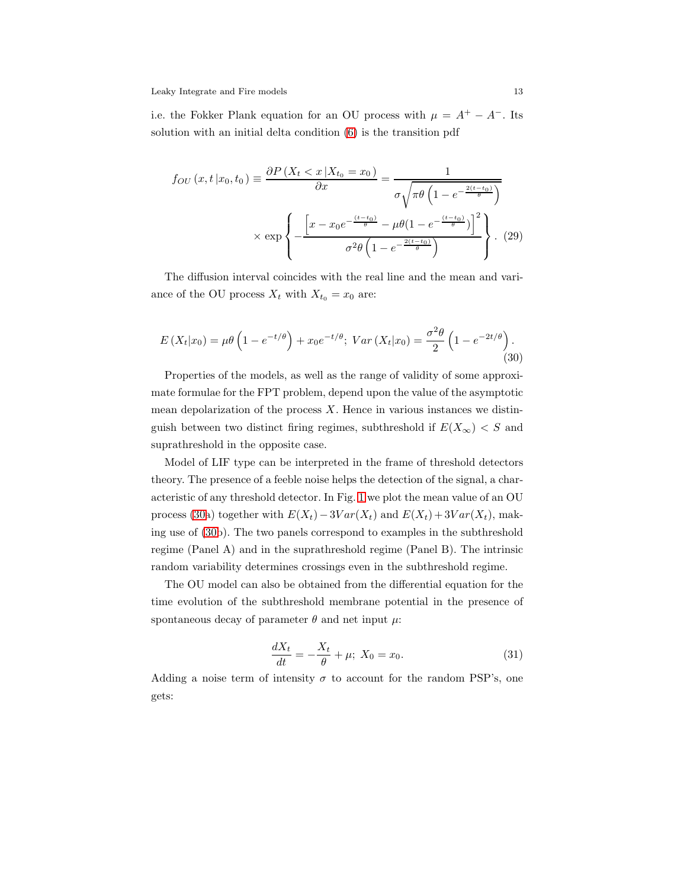i.e. the Fokker Plank equation for an OU process with  $\mu = A^+ - A^-$ . Its solution with an initial delta condition [\(6\)](#page-5-1) is the transition pdf

$$
f_{OU}(x, t | x_0, t_0) \equiv \frac{\partial P\left(X_t < x | X_{t_0} = x_0\right)}{\partial x} = \frac{1}{\sigma \sqrt{\pi \theta \left(1 - e^{-\frac{2(t - t_0)}{\theta}}\right)}}
$$
\n
$$
\times \exp \left\{-\frac{\left[x - x_0 e^{-\frac{(t - t_0)}{\theta}} - \mu \theta \left(1 - e^{-\frac{(t - t_0)}{\theta}}\right)\right]^2}{\sigma^2 \theta \left(1 - e^{-\frac{2(t - t_0)}{\theta}}\right)}\right\}.
$$
\n(29)

The diffusion interval coincides with the real line and the mean and variance of the OU process  $X_t$  with  $X_{t_0} = x_0$  are:

<span id="page-12-0"></span>
$$
E(X_t|x_0) = \mu \theta \left( 1 - e^{-t/\theta} \right) + x_0 e^{-t/\theta}; \ Var(X_t|x_0) = \frac{\sigma^2 \theta}{2} \left( 1 - e^{-2t/\theta} \right). \tag{30}
$$

Properties of the models, as well as the range of validity of some approximate formulae for the FPT problem, depend upon the value of the asymptotic mean depolarization of the process  $X$ . Hence in various instances we distinguish between two distinct firing regimes, subthreshold if  $E(X_\infty) < S$  and suprathreshold in the opposite case.

Model of LIF type can be interpreted in the frame of threshold detectors theory. The presence of a feeble noise helps the detection of the signal, a characteristic of any threshold detector. In Fig. [1](#page-13-0) we plot the mean value of an OU process [\(30a](#page-12-0)) together with  $E(X_t) - 3Var(X_t)$  and  $E(X_t) + 3Var(X_t)$ , making use of [\(30b](#page-12-0)). The two panels correspond to examples in the subthreshold regime (Panel A) and in the suprathreshold regime (Panel B). The intrinsic random variability determines crossings even in the subthreshold regime.

The OU model can also be obtained from the differential equation for the time evolution of the subthreshold membrane potential in the presence of spontaneous decay of parameter  $\theta$  and net input  $\mu$ :

$$
\frac{dX_t}{dt} = -\frac{X_t}{\theta} + \mu; \ X_0 = x_0.
$$
 (31)

Adding a noise term of intensity  $\sigma$  to account for the random PSP's, one gets: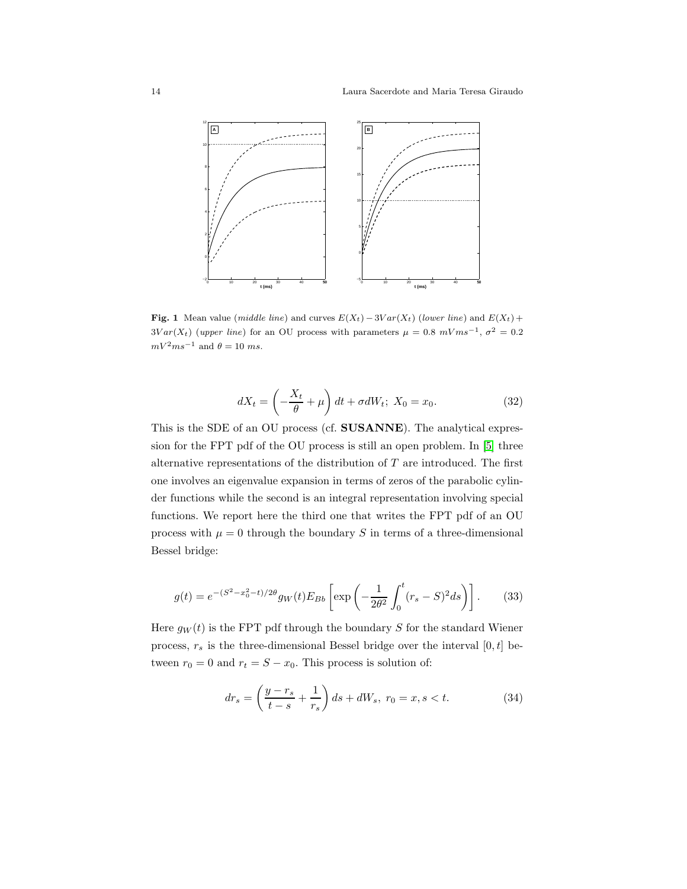

<span id="page-13-0"></span>Fig. 1 Mean value (middle line) and curves  $E(X_t) - 3Var(X_t)$  (lower line) and  $E(X_t)$  +  $3Var(X_t)$  (upper line) for an OU process with parameters  $\mu = 0.8 \ mVms^{-1}, \sigma^2 = 0.2$  $mV^2ms^{-1}$  and  $\theta = 10$  ms.

<span id="page-13-2"></span>
$$
dX_t = \left(-\frac{X_t}{\theta} + \mu\right)dt + \sigma dW_t; \ X_0 = x_0. \tag{32}
$$

This is the SDE of an OU process (cf. SUSANNE). The analytical expression for the FPT pdf of the OU process is still an open problem. In [\[5\]](#page-53-3) three alternative representations of the distribution of  $T$  are introduced. The first one involves an eigenvalue expansion in terms of zeros of the parabolic cylinder functions while the second is an integral representation involving special functions. We report here the third one that writes the FPT pdf of an OU process with  $\mu = 0$  through the boundary S in terms of a three-dimensional Bessel bridge:

<span id="page-13-1"></span>
$$
g(t) = e^{-(S^2 - x_0^2 - t)/2\theta} g_W(t) E_{Bb} \left[ \exp\left( -\frac{1}{2\theta^2} \int_0^t (r_s - S)^2 ds \right) \right].
$$
 (33)

Here  $g_W(t)$  is the FPT pdf through the boundary S for the standard Wiener process,  $r_s$  is the three-dimensional Bessel bridge over the interval  $[0, t]$  between  $r_0 = 0$  and  $r_t = S - x_0$ . This process is solution of:

$$
dr_s = \left(\frac{y - r_s}{t - s} + \frac{1}{r_s}\right)ds + dW_s, \ r_0 = x, s < t. \tag{34}
$$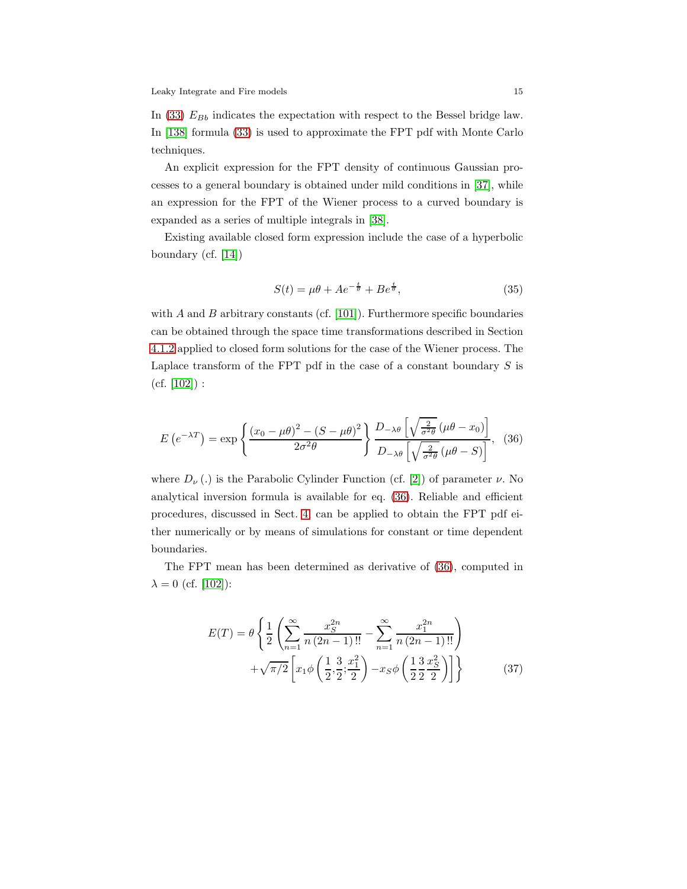In [\(33\)](#page-13-1)  $E_{Bb}$  indicates the expectation with respect to the Bessel bridge law. In [\[138\]](#page-60-6) formula [\(33\)](#page-13-1) is used to approximate the FPT pdf with Monte Carlo techniques.

An explicit expression for the FPT density of continuous Gaussian processes to a general boundary is obtained under mild conditions in [\[37\]](#page-54-2), while an expression for the FPT of the Wiener process to a curved boundary is expanded as a series of multiple integrals in [\[38\]](#page-54-3).

Existing available closed form expression include the case of a hyperbolic boundary (cf. [\[14\]](#page-53-4))

<span id="page-14-2"></span>
$$
S(t) = \mu\theta + Ae^{-\frac{t}{\theta}} + Be^{\frac{t}{\theta}},\tag{35}
$$

with  $A$  and  $B$  arbitrary constants (cf. [\[101\]](#page-58-3)). Furthermore specific boundaries can be obtained through the space time transformations described in Section [4.1.2](#page-34-0) applied to closed form solutions for the case of the Wiener process. The Laplace transform of the FPT pdf in the case of a constant boundary  $S$  is  $(cf. [102])$  $(cf. [102])$  $(cf. [102])$ :

<span id="page-14-0"></span>
$$
E\left(e^{-\lambda T}\right) = \exp\left\{\frac{\left(x_0 - \mu\theta\right)^2 - \left(S - \mu\theta\right)^2}{2\sigma^2\theta}\right\} \frac{D_{-\lambda\theta}\left[\sqrt{\frac{2}{\sigma^2\theta}}\left(\mu\theta - x_0\right)\right]}{D_{-\lambda\theta}\left[\sqrt{\frac{2}{\sigma^2\theta}}\left(\mu\theta - S\right)\right]},\tag{36}
$$

where  $D_{\nu}$  (.) is the Parabolic Cylinder Function (cf. [\[2\]](#page-52-1)) of parameter  $\nu$ . No analytical inversion formula is available for eq. [\(36\)](#page-14-0). Reliable and efficient procedures, discussed in Sect. [4,](#page-30-0) can be applied to obtain the FPT pdf either numerically or by means of simulations for constant or time dependent boundaries.

The FPT mean has been determined as derivative of [\(36\)](#page-14-0), computed in  $\lambda = 0$  (cf. [\[102\]](#page-58-5)):

<span id="page-14-1"></span>
$$
E(T) = \theta \left\{ \frac{1}{2} \left( \sum_{n=1}^{\infty} \frac{x_S^{2n}}{n (2n-1)!!} - \sum_{n=1}^{\infty} \frac{x_1^{2n}}{n (2n-1)!!} \right) + \sqrt{\pi/2} \left[ x_1 \phi \left( \frac{1}{2}, \frac{3}{2}; \frac{x_1^2}{2} \right) - x_S \phi \left( \frac{1}{2} \frac{3}{2} \frac{x_S^2}{2} \right) \right] \right\}
$$
(37)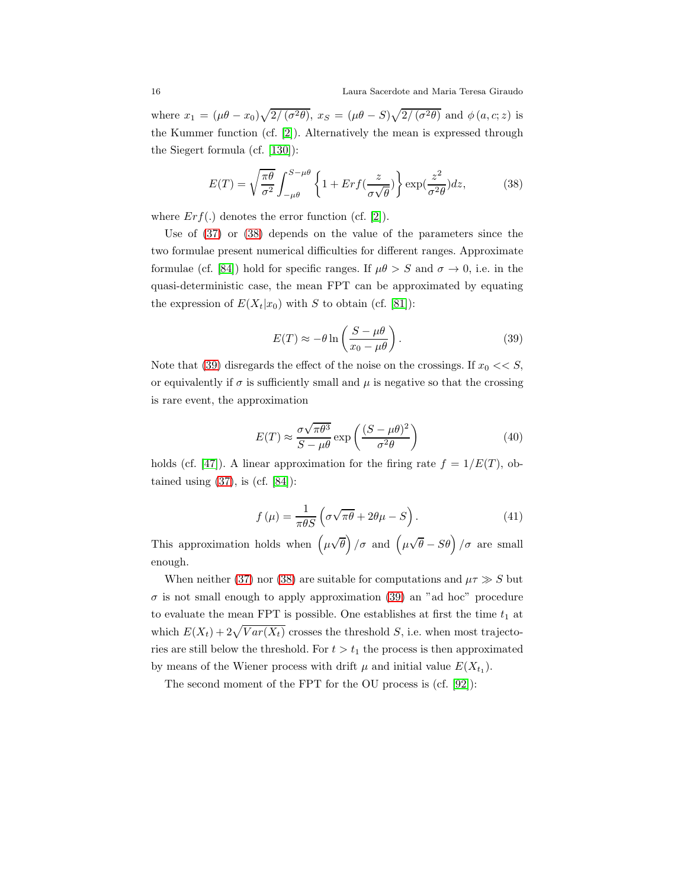where  $x_1 = (\mu \theta - x_0) \sqrt{2/(\sigma^2 \theta)}, x_S = (\mu \theta - S) \sqrt{2/(\sigma^2 \theta)}$  and  $\phi(a, c; z)$  is the Kummer function (cf. [\[2\]](#page-52-1)). Alternatively the mean is expressed through the Siegert formula (cf. [\[130\]](#page-60-7)):

<span id="page-15-0"></span>
$$
E(T) = \sqrt{\frac{\pi \theta}{\sigma^2}} \int_{-\mu\theta}^{S-\mu\theta} \left\{ 1 + Erf(\frac{z}{\sigma\sqrt{\theta}}) \right\} \exp(\frac{z^2}{\sigma^2 \theta}) dz,
$$
 (38)

where  $Erf(.)$  denotes the error function (cf. [\[2\]](#page-52-1)).

Use of [\(37\)](#page-14-1) or [\(38\)](#page-15-0) depends on the value of the parameters since the two formulae present numerical difficulties for different ranges. Approximate formulae (cf. [\[84\]](#page-57-4)) hold for specific ranges. If  $\mu\theta > S$  and  $\sigma \to 0$ , i.e. in the quasi-deterministic case, the mean FPT can be approximated by equating the expression of  $E(X_t|x_0)$  with S to obtain (cf. [\[81\]](#page-57-5)):

<span id="page-15-1"></span>
$$
E(T) \approx -\theta \ln \left( \frac{S - \mu \theta}{x_0 - \mu \theta} \right). \tag{39}
$$

Note that [\(39\)](#page-15-1) disregards the effect of the noise on the crossings. If  $x_0 \ll S$ , or equivalently if  $\sigma$  is sufficiently small and  $\mu$  is negative so that the crossing is rare event, the approximation

<span id="page-15-2"></span>
$$
E(T) \approx \frac{\sigma \sqrt{\pi \theta^3}}{S - \mu \theta} \exp\left(\frac{(S - \mu \theta)^2}{\sigma^2 \theta}\right)
$$
(40)

holds (cf. [\[47\]](#page-55-2)). A linear approximation for the firing rate  $f = 1/E(T)$ , obtained using  $(37)$ , is  $(cf. [84])$  $(cf. [84])$  $(cf. [84])$ :

$$
f(\mu) = \frac{1}{\pi \theta S} \left( \sigma \sqrt{\pi \theta} + 2\theta \mu - S \right). \tag{41}
$$

This approximation holds when  $(\mu\sqrt{\theta})/\sigma$  and  $(\mu\sqrt{\theta}-S\theta)/\sigma$  are small enough.

When neither [\(37\)](#page-14-1) nor [\(38\)](#page-15-0) are suitable for computations and  $\mu \tau \gg S$  but  $\sigma$  is not small enough to apply approximation [\(39\)](#page-15-1) an "ad hoc" procedure to evaluate the mean FPT is possible. One establishes at first the time  $t_{\rm 1}$  at which  $E(X_t) + 2\sqrt{Var(X_t)}$  crosses the threshold S, i.e. when most trajectories are still below the threshold. For  $t > t_1$  the process is then approximated by means of the Wiener process with drift  $\mu$  and initial value  $E(X_{t_1})$ .

The second moment of the FPT for the OU process is (cf. [\[92\]](#page-58-6)):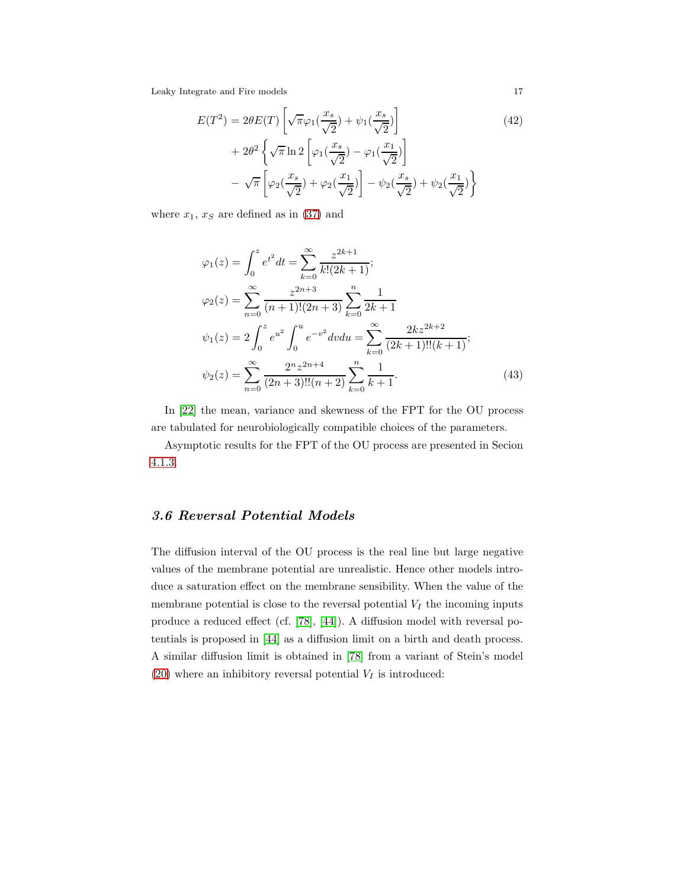$$
E(T^2) = 2\theta E(T) \left[ \sqrt{\pi} \varphi_1(\frac{x_s}{\sqrt{2}}) + \psi_1(\frac{x_s}{\sqrt{2}}) \right]
$$
  
+ 
$$
2\theta^2 \left\{ \sqrt{\pi} \ln 2 \left[ \varphi_1(\frac{x_s}{\sqrt{2}}) - \varphi_1(\frac{x_1}{\sqrt{2}}) \right] - \sqrt{\pi} \left[ \varphi_2(\frac{x_s}{\sqrt{2}}) + \varphi_2(\frac{x_1}{\sqrt{2}}) \right] - \psi_2(\frac{x_s}{\sqrt{2}}) + \psi_2(\frac{x_1}{\sqrt{2}}) \right\}
$$
(42)

where  $x_1, x_S$  are defined as in [\(37\)](#page-14-1) and

$$
\varphi_1(z) = \int_0^z e^{t^2} dt = \sum_{k=0}^\infty \frac{z^{2k+1}}{k!(2k+1)};
$$
  
\n
$$
\varphi_2(z) = \sum_{n=0}^\infty \frac{z^{2n+3}}{(n+1)!(2n+3)} \sum_{k=0}^n \frac{1}{2k+1}
$$
  
\n
$$
\psi_1(z) = 2 \int_0^z e^{u^2} \int_0^u e^{-v^2} dv du = \sum_{k=0}^\infty \frac{2kz^{2k+2}}{(2k+1)!!(k+1)};
$$
  
\n
$$
\psi_2(z) = \sum_{n=0}^\infty \frac{2^n z^{2n+4}}{(2n+3)!!(n+2)} \sum_{k=0}^n \frac{1}{k+1}.
$$
\n(43)

In [\[22\]](#page-53-5) the mean, variance and skewness of the FPT for the OU process are tabulated for neurobiologically compatible choices of the parameters.

Asymptotic results for the FPT of the OU process are presented in Secion [4.1.3.](#page-36-0)

## <span id="page-16-0"></span>3.6 Reversal Potential Models

The diffusion interval of the OU process is the real line but large negative values of the membrane potential are unrealistic. Hence other models introduce a saturation effect on the membrane sensibility. When the value of the membrane potential is close to the reversal potential  $V_I$  the incoming inputs produce a reduced effect (cf. [\[78\]](#page-57-6), [\[44\]](#page-55-3)). A diffusion model with reversal potentials is proposed in [\[44\]](#page-55-3) as a diffusion limit on a birth and death process. A similar diffusion limit is obtained in [\[78\]](#page-57-6) from a variant of Stein's model [\(20\)](#page-9-0) where an inhibitory reversal potential  $V_I$  is introduced: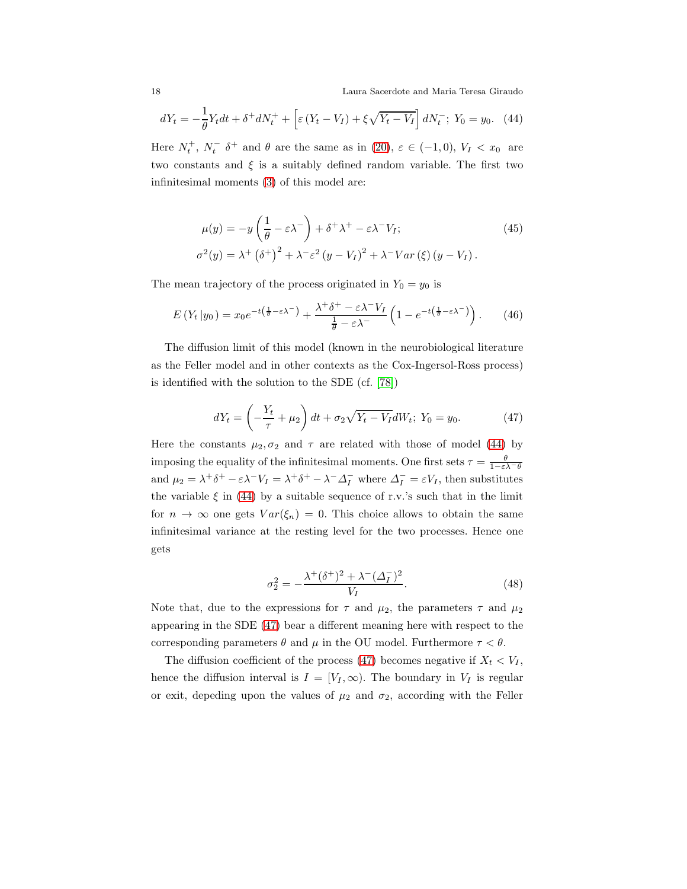18 Laura Sacerdote and Maria Teresa Giraudo

<span id="page-17-0"></span>
$$
dY_t = -\frac{1}{\theta} Y_t dt + \delta^+ dN_t^+ + \left[ \varepsilon (Y_t - V_I) + \xi \sqrt{Y_t - V_I} \right] dN_t^-, \ Y_0 = y_0. \tag{44}
$$

Here  $N_t^+$ ,  $N_t^ \delta^+$  and  $\theta$  are the same as in [\(20\)](#page-9-0),  $\varepsilon \in (-1,0)$ ,  $V_I < x_0$  are two constants and  $\xi$  is a suitably defined random variable. The first two infinitesimal moments [\(3\)](#page-5-2) of this model are:

$$
\mu(y) = -y\left(\frac{1}{\theta} - \varepsilon\lambda^{-}\right) + \delta^{+}\lambda^{+} - \varepsilon\lambda^{-}V_{I};
$$
\n
$$
\sigma^{2}(y) = \lambda^{+}\left(\delta^{+}\right)^{2} + \lambda^{-}\varepsilon^{2}\left(y - V_{I}\right)^{2} + \lambda^{-}Var\left(\xi\right)\left(y - V_{I}\right).
$$
\n(45)

The mean trajectory of the process originated in  $Y_0 = y_0$  is

$$
E(Y_t|y_0) = x_0 e^{-t(\frac{1}{\theta} - \varepsilon \lambda^{-})} + \frac{\lambda^{+} \delta^{+} - \varepsilon \lambda^{-} V_I}{\frac{1}{\theta} - \varepsilon \lambda^{-}} \left(1 - e^{-t(\frac{1}{\theta} - \varepsilon \lambda^{-})}\right). \tag{46}
$$

The diffusion limit of this model (known in the neurobiological literature as the Feller model and in other contexts as the Cox-Ingersol-Ross process) is identified with the solution to the SDE (cf. [\[78\]](#page-57-6))

<span id="page-17-1"></span>
$$
dY_t = \left(-\frac{Y_t}{\tau} + \mu_2\right)dt + \sigma_2\sqrt{Y_t - V_I}dW_t; \ Y_0 = y_0.
$$
 (47)

Here the constants  $\mu_2, \sigma_2$  and  $\tau$  are related with those of model [\(44\)](#page-17-0) by imposing the equality of the infinitesimal moments. One first sets  $\tau = \frac{\theta}{1 - \epsilon \lambda - \theta}$ and  $\mu_2 = \lambda^+ \delta^+ - \varepsilon \lambda^- V_I = \lambda^+ \delta^+ - \lambda^- \Delta_I^-$  where  $\Delta_I^- = \varepsilon V_I$ , then substitutes the variable  $\xi$  in [\(44\)](#page-17-0) by a suitable sequence of r.v.'s such that in the limit for  $n \to \infty$  one gets  $Var(\xi_n) = 0$ . This choice allows to obtain the same infinitesimal variance at the resting level for the two processes. Hence one gets

$$
\sigma_2^2 = -\frac{\lambda^+ (\delta^+)^2 + \lambda^- (\Delta_I^-)^2}{V_I}.
$$
\n(48)

Note that, due to the expressions for  $\tau$  and  $\mu_2$ , the parameters  $\tau$  and  $\mu_2$ appearing in the SDE [\(47\)](#page-17-1) bear a different meaning here with respect to the corresponding parameters  $\theta$  and  $\mu$  in the OU model. Furthermore  $\tau < \theta$ .

The diffusion coefficient of the process [\(47\)](#page-17-1) becomes negative if  $X_t < V_I$ , hence the diffusion interval is  $I = [V_I, \infty)$ . The boundary in  $V_I$  is regular or exit, depeding upon the values of  $\mu_2$  and  $\sigma_2$ , according with the Feller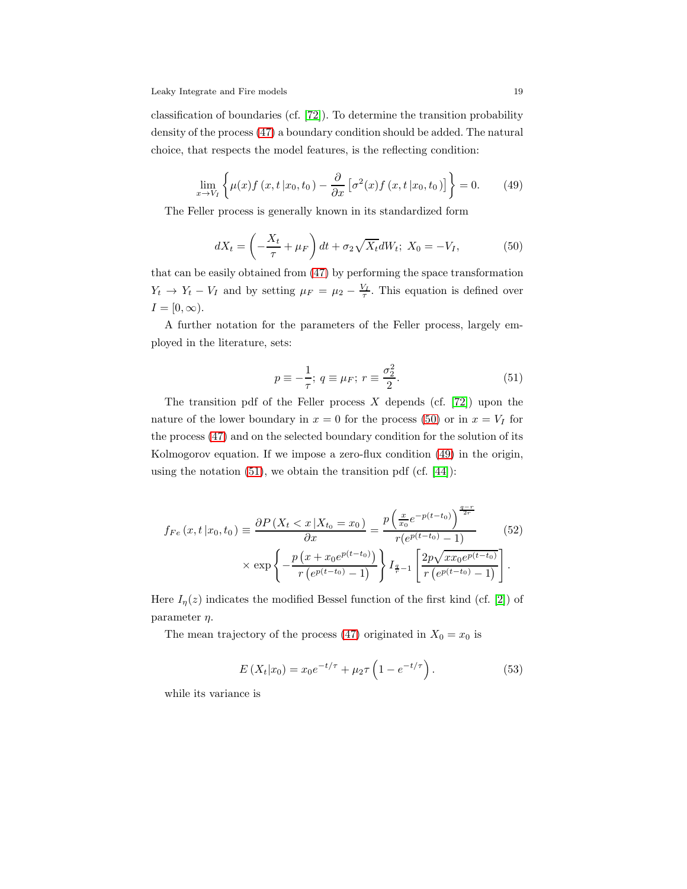classification of boundaries (cf. [\[72\]](#page-56-4)). To determine the transition probability density of the process [\(47\)](#page-17-1) a boundary condition should be added. The natural choice, that respects the model features, is the reflecting condition:

<span id="page-18-1"></span>
$$
\lim_{x \to V_I} \left\{ \mu(x) f\left(x, t \, | x_0, t_0\right) - \frac{\partial}{\partial x} \left[ \sigma^2(x) f\left(x, t \, | x_0, t_0\right) \right] \right\} = 0. \tag{49}
$$

The Feller process is generally known in its standardized form

<span id="page-18-0"></span>
$$
dX_t = \left(-\frac{X_t}{\tau} + \mu_F\right)dt + \sigma_2\sqrt{X_t}dW_t; \ X_0 = -V_I,\tag{50}
$$

that can be easily obtained from [\(47\)](#page-17-1) by performing the space transformation  $Y_t \rightarrow Y_t - V_I$  and by setting  $\mu_F = \mu_2 - \frac{V_I}{\tau}$ . This equation is defined over  $I = [0, \infty).$ 

A further notation for the parameters of the Feller process, largely employed in the literature, sets:

<span id="page-18-2"></span>
$$
p \equiv -\frac{1}{\tau}; \ q \equiv \mu_F; \ r \equiv \frac{\sigma_2^2}{2}.
$$
 (51)

The transition pdf of the Feller process  $X$  depends (cf. [\[72\]](#page-56-4)) upon the nature of the lower boundary in  $x = 0$  for the process [\(50\)](#page-18-0) or in  $x = V_I$  for the process [\(47\)](#page-17-1) and on the selected boundary condition for the solution of its Kolmogorov equation. If we impose a zero-flux condition [\(49\)](#page-18-1) in the origin, using the notation  $(51)$ , we obtain the transition pdf  $(cf. [44])$  $(cf. [44])$  $(cf. [44])$ :

$$
f_{Fe}(x, t | x_0, t_0) \equiv \frac{\partial P(X_t < x | X_{t_0} = x_0)}{\partial x} = \frac{p\left(\frac{x}{x_0}e^{-p(t-t_0)}\right)^{\frac{q-r}{2r}}}{r(e^{p(t-t_0)} - 1)} \times \exp\left\{-\frac{p\left(x + x_0e^{p(t-t_0)}\right)}{r\left(e^{p(t-t_0)} - 1\right)}\right\} I_{\frac{q}{r} - 1}\left[\frac{2p\sqrt{x x_0e^{p(t-t_0)}}}{r\left(e^{p(t-t_0)} - 1\right)}\right].\tag{52}
$$

Here  $I_{\eta}(z)$  indicates the modified Bessel function of the first kind (cf. [\[2\]](#page-52-1)) of parameter  $\eta$ .

The mean trajectory of the process [\(47\)](#page-17-1) originated in  $X_0 = x_0$  is

$$
E(X_t|x_0) = x_0 e^{-t/\tau} + \mu_2 \tau \left(1 - e^{-t/\tau}\right). \tag{53}
$$

while its variance is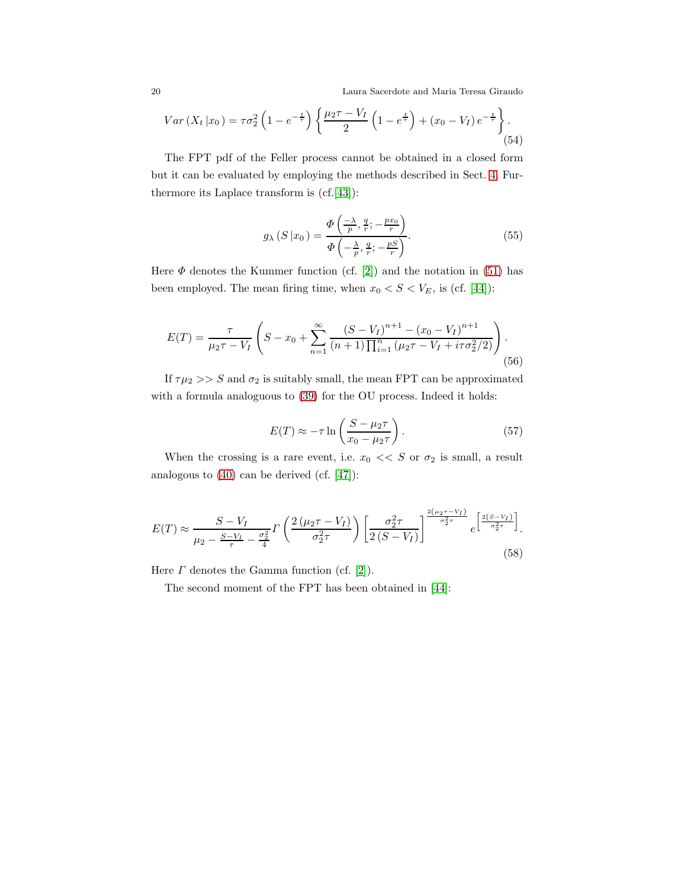20 Laura Sacerdote and Maria Teresa Giraudo

$$
Var(X_t|x_0) = \tau \sigma_2^2 \left( 1 - e^{-\frac{t}{\tau}} \right) \left\{ \frac{\mu_2 \tau - V_I}{2} \left( 1 - e^{\frac{t}{\tau}} \right) + (x_0 - V_I) e^{-\frac{t}{\tau}} \right\}.
$$
\n(54)

The FPT pdf of the Feller process cannot be obtained in a closed form but it can be evaluated by employing the methods described in Sect. [4.](#page-30-0) Furthermore its Laplace transform is (cf.[\[43\]](#page-55-4)):

<span id="page-19-2"></span>
$$
g_{\lambda}(S|x_0) = \frac{\Phi\left(\frac{-\lambda}{p}, \frac{q}{r}; -\frac{px_0}{r}\right)}{\Phi\left(-\frac{\lambda}{p}, \frac{q}{r}; -\frac{pS}{r}\right)}.
$$
\n(55)

Here  $\Phi$  denotes the Kummer function (cf. [\[2\]](#page-52-1)) and the notation in [\(51\)](#page-18-2) has been employed. The mean firing time, when  $x_0 < S < V_E$ , is (cf. [\[44\]](#page-55-3)):

$$
E(T) = \frac{\tau}{\mu_2 \tau - V_I} \left( S - x_0 + \sum_{n=1}^{\infty} \frac{(S - V_I)^{n+1} - (x_0 - V_I)^{n+1}}{(n+1) \prod_{i=1}^n (\mu_2 \tau - V_I + i\tau \sigma_2^2/2)} \right).
$$
(56)

If  $\tau \mu_2 >> S$  and  $\sigma_2$  is suitably small, the mean FPT can be approximated with a formula analoguous to [\(39\)](#page-15-1) for the OU process. Indeed it holds:

<span id="page-19-1"></span>
$$
E(T) \approx -\tau \ln \left( \frac{S - \mu_2 \tau}{x_0 - \mu_2 \tau} \right). \tag{57}
$$

When the crossing is a rare event, i.e.  $x_0 \ll S$  or  $\sigma_2$  is small, a result analogous to [\(40\)](#page-15-2) can be derived (cf. [\[47\]](#page-55-2)):

<span id="page-19-0"></span>
$$
E(T) \approx \frac{S - V_I}{\mu_2 - \frac{S - V_I}{\tau} - \frac{\sigma_2^2}{4}} \Gamma\left(\frac{2\left(\mu_2 \tau - V_I\right)}{\sigma_2^2 \tau}\right) \left[\frac{\sigma_2^2 \tau}{2\left(S - V_I\right)}\right]^{\frac{2\left(\mu_2 \tau - V_I\right)}{\sigma_2^2 \tau}} e^{\left[\frac{2\left(S - V_I\right)}{\sigma_2^2 \tau}\right]}.
$$
\n(58)

Here  $\Gamma$  denotes the Gamma function (cf. [\[2\]](#page-52-1)).

The second moment of the FPT has been obtained in [\[44\]](#page-55-3):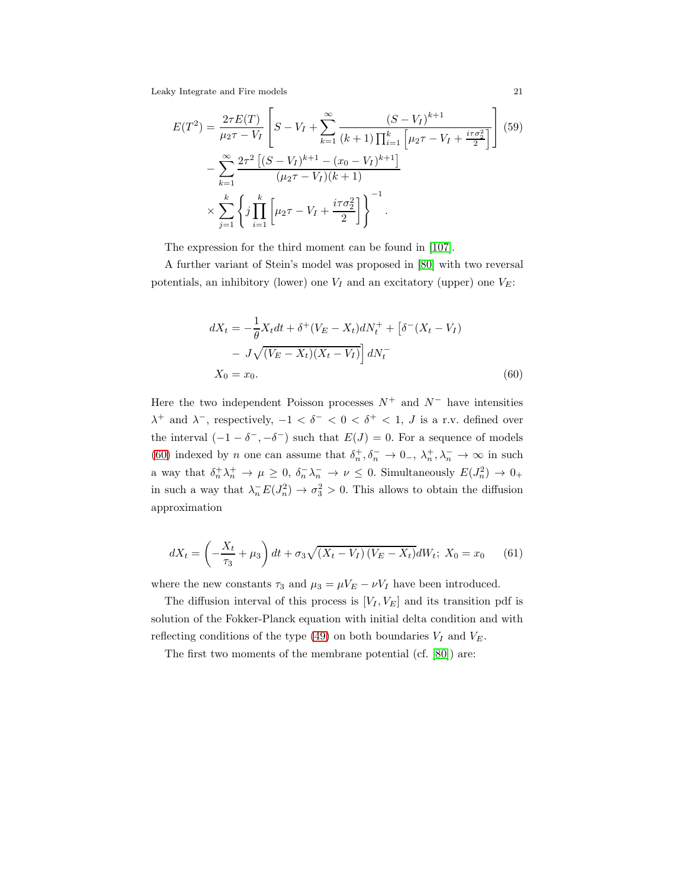$$
E(T^{2}) = \frac{2\tau E(T)}{\mu_{2}\tau - V_{I}} \left[ S - V_{I} + \sum_{k=1}^{\infty} \frac{(S - V_{I})^{k+1}}{(k+1)\prod_{i=1}^{k} \left[ \mu_{2}\tau - V_{I} + \frac{i\tau\sigma_{2}^{2}}{2} \right]} \right] (59)
$$

$$
- \sum_{k=1}^{\infty} \frac{2\tau^{2} \left[ (S - V_{I})^{k+1} - (x_{0} - V_{I})^{k+1} \right]}{(\mu_{2}\tau - V_{I})(k+1)}
$$

$$
\times \sum_{j=1}^{k} \left\{ j \prod_{i=1}^{k} \left[ \mu_{2}\tau - V_{I} + \frac{i\tau\sigma_{2}^{2}}{2} \right] \right\}^{-1}.
$$

The expression for the third moment can be found in [\[107\]](#page-58-1).

A further variant of Stein's model was proposed in [\[80\]](#page-57-7) with two reversal potentials, an inhibitory (lower) one  $V_I$  and an excitatory (upper) one  $V_E$ :

<span id="page-20-0"></span>
$$
dX_t = -\frac{1}{\theta} X_t dt + \delta^+(V_E - X_t) dN_t^+ + [\delta^-(X_t - V_I) - J\sqrt{(V_E - X_t)(X_t - V_I)}] dN_t^- X_0 = x_0.
$$
 (60)

Here the two independent Poisson processes  $N^+$  and  $N^-$  have intensities  $\lambda^+$  and  $\lambda^-$ , respectively,  $-1 < \delta^- < 0 < \delta^+ < 1$ , J is a r.v. defined over the interval  $(-1 - \delta^-, -\delta^-)$  such that  $E(J) = 0$ . For a sequence of models [\(60\)](#page-20-0) indexed by *n* one can assume that  $\delta_n^+$ ,  $\delta_n^ \to$  0<sub>-</sub>,  $\lambda_n^+$ ,  $\lambda_n^ \to$   $\infty$  in such a way that  $\delta_n^+ \lambda_n^+ \to \mu \geq 0$ ,  $\delta_n^- \lambda_n^- \to \nu \leq 0$ . Simultaneously  $E(J_n^2) \to 0_+$ in such a way that  $\lambda_n^- E(J_n^2) \to \sigma_3^2 > 0$ . This allows to obtain the diffusion approximation

$$
dX_t = \left(-\frac{X_t}{\tau_3} + \mu_3\right)dt + \sigma_3\sqrt{(X_t - V_I)(V_E - X_t)}dW_t; \ X_0 = x_0 \tag{61}
$$

where the new constants  $\tau_3$  and  $\mu_3 = \mu V_E - \nu V_I$  have been introduced.

The diffusion interval of this process is  $[V_I, V_E]$  and its transition pdf is solution of the Fokker-Planck equation with initial delta condition and with reflecting conditions of the type [\(49\)](#page-18-1) on both boundaries  $V_I$  and  $V_E$ .

The first two moments of the membrane potential (cf. [\[80\]](#page-57-7)) are: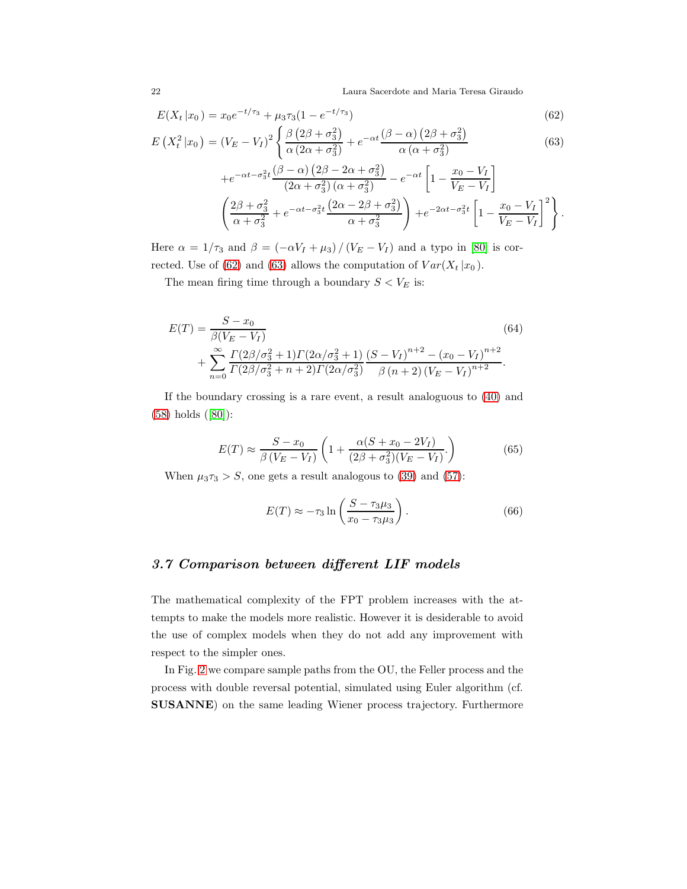22 Laura Sacerdote and Maria Teresa Giraudo

<span id="page-21-0"></span>
$$
E(X_t | x_0) = x_0 e^{-t/\tau_3} + \mu_3 \tau_3 (1 - e^{-t/\tau_3})
$$
\n(62)

$$
E\left(X_t^2|x_0\right) = \left(V_E - V_I\right)^2 \left\{\frac{\beta\left(2\beta + \sigma_3^2\right)}{\alpha\left(2\alpha + \sigma_3^2\right)} + e^{-\alpha t} \frac{\left(\beta - \alpha\right)\left(2\beta + \sigma_3^2\right)}{\alpha\left(\alpha + \sigma_3^2\right)}\right\}
$$
(63)

$$
+e^{-\alpha t-\sigma_3^2 t} \frac{(\beta-\alpha)\left(2\beta-2\alpha+\sigma_3^2\right)}{\left(2\alpha+\sigma_3^2\right)\left(\alpha+\sigma_3^2\right)}-e^{-\alpha t}\left[1-\frac{x_0-V_I}{V_E-V_I}\right]
$$

$$
\left(\frac{2\beta+\sigma_3^2}{\alpha+\sigma_3^2}+e^{-\alpha t-\sigma_3^2 t}\frac{\left(2\alpha-2\beta+\sigma_3^2\right)}{\alpha+\sigma_3^2}\right)+e^{-2\alpha t-\sigma_3^2 t}\left[1-\frac{x_0-V_I}{V_E-V_I}\right]^2\right\}.
$$

Here  $\alpha = 1/\tau_3$  and  $\beta = (-\alpha V_I + \mu_3) / (V_E - V_I)$  and a typo in [\[80\]](#page-57-7) is cor-rected. Use of [\(62\)](#page-21-0) and [\(63\)](#page-21-0) allows the computation of  $Var(X_t | x_0)$ .

The mean firing time through a boundary  $S < V_E$  is:

$$
E(T) = \frac{S - x_0}{\beta (V_E - V_I)} \tag{64}
$$
  
+ 
$$
\sum_{n=0}^{\infty} \frac{\Gamma(2\beta/\sigma_3^2 + 1)\Gamma(2\alpha/\sigma_3^2 + 1)}{\Gamma(2\beta/\sigma_3^2 + n + 2)\Gamma(2\alpha/\sigma_3^2)} \frac{(S - V_I)^{n+2} - (x_0 - V_I)^{n+2}}{\beta (n+2) (V_E - V_I)^{n+2}}.
$$

If the boundary crossing is a rare event, a result analoguous to [\(40\)](#page-15-2) and [\(58\)](#page-19-0) holds ([\[80\]](#page-57-7)):

$$
E(T) \approx \frac{S - x_0}{\beta (V_E - V_I)} \left( 1 + \frac{\alpha (S + x_0 - 2V_I)}{(2\beta + \sigma_3^2)(V_E - V_I)} \right)
$$
(65)

When  $\mu_3 \tau_3 > S$ , one gets a result analogous to [\(39\)](#page-15-1) and [\(57\)](#page-19-1):

$$
E(T) \approx -\tau_3 \ln \left( \frac{S - \tau_3 \mu_3}{x_0 - \tau_3 \mu_3} \right). \tag{66}
$$

## 3.7 Comparison between different LIF models

The mathematical complexity of the FPT problem increases with the attempts to make the models more realistic. However it is desiderable to avoid the use of complex models when they do not add any improvement with respect to the simpler ones.

In Fig. [2](#page-22-0) we compare sample paths from the OU, the Feller process and the process with double reversal potential, simulated using Euler algorithm (cf. SUSANNE) on the same leading Wiener process trajectory. Furthermore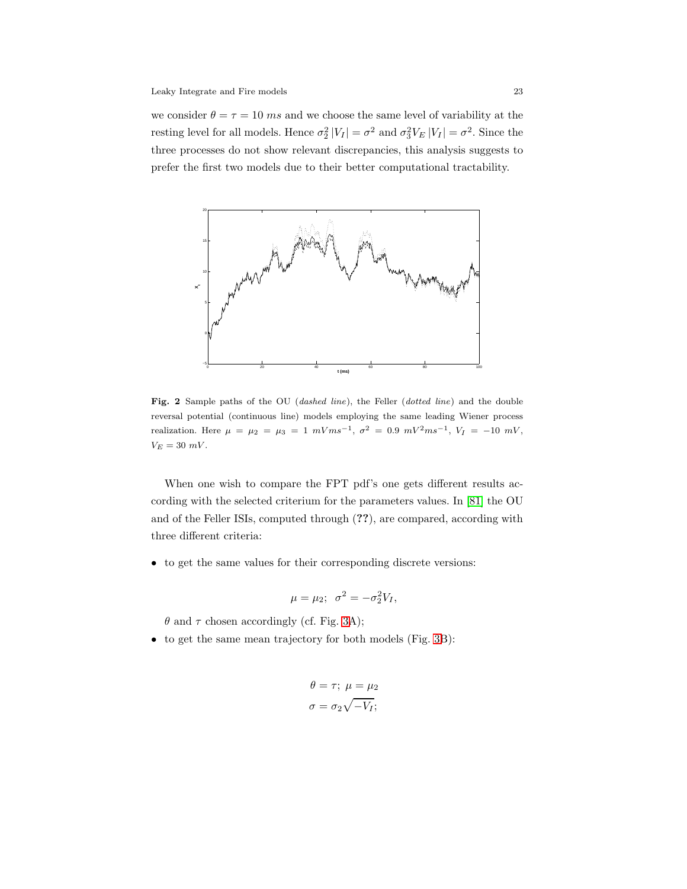we consider  $\theta = \tau = 10$  ms and we choose the same level of variability at the resting level for all models. Hence  $\sigma_2^2 |V_I| = \sigma^2$  and  $\sigma_3^2 V_E |V_I| = \sigma^2$ . Since the three processes do not show relevant discrepancies, this analysis suggests to prefer the first two models due to their better computational tractability.



<span id="page-22-0"></span>Fig. 2 Sample paths of the OU (dashed line), the Feller (dotted line) and the double reversal potential (continuous line) models employing the same leading Wiener process realization. Here  $\mu = \mu_2 = \mu_3 = 1 \ mVms^{-1}, \sigma^2 = 0.9 \ mV^2ms^{-1}, V_I = -10 \ mV$ ,  $V_E = 30$  mV.

When one wish to compare the FPT pdf's one gets different results according with the selected criterium for the parameters values. In [\[81\]](#page-57-5) the OU and of the Feller ISIs, computed through (??), are compared, according with three different criteria:

• to get the same values for their corresponding discrete versions:

$$
\mu = \mu_2; \ \sigma^2 = -\sigma_2^2 V_I,
$$

 $\theta$  and  $\tau$  chosen accordingly (cf. Fig. [3A](#page-23-0));

• to get the same mean trajectory for both models (Fig. [3B](#page-23-0)):

$$
\theta = \tau; \ \mu = \mu_2
$$

$$
\sigma = \sigma_2 \sqrt{-V_I};
$$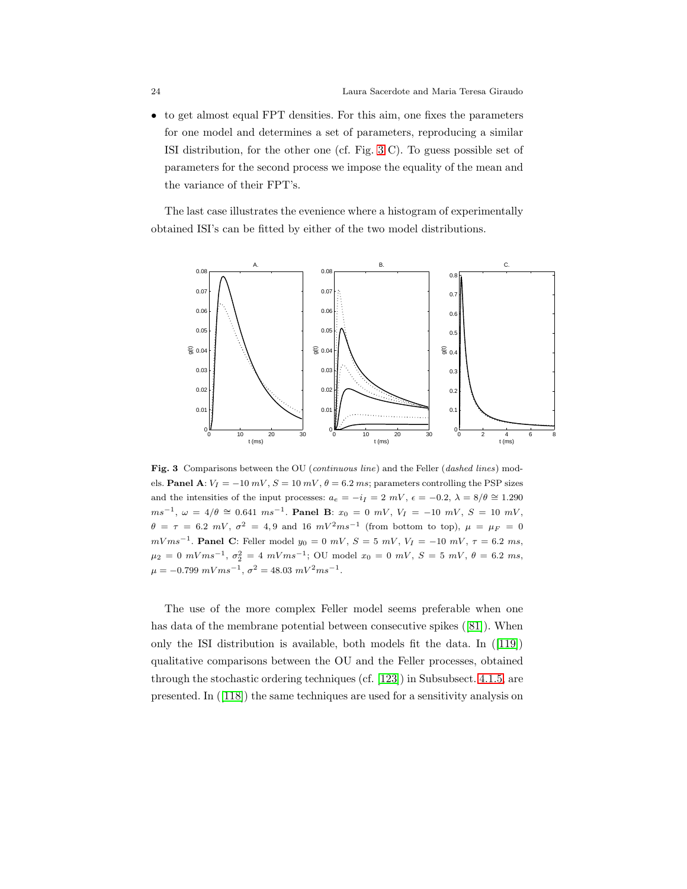• to get almost equal FPT densities. For this aim, one fixes the parameters for one model and determines a set of parameters, reproducing a similar ISI distribution, for the other one (cf. Fig. [3](#page-23-0) C). To guess possible set of parameters for the second process we impose the equality of the mean and the variance of their FPT's.

The last case illustrates the evenience where a histogram of experimentally obtained ISI's can be fitted by either of the two model distributions.



<span id="page-23-0"></span>Fig. 3 Comparisons between the OU (continuous line) and the Feller (dashed lines) models. Panel A:  $V_I = -10 \, mV$ ,  $S = 10 \, mV$ ,  $\theta = 6.2 \, ms$ ; parameters controlling the PSP sizes and the intensities of the input processes:  $a_e = -i_I = 2 mV$ ,  $\epsilon = -0.2$ ,  $\lambda = 8/\theta \approx 1.290$  $ms^{-1}$ ,  $\omega = 4/\theta \cong 0.641$   $ms^{-1}$ . Panel B:  $x_0 = 0$  mV,  $V_I = -10$  mV,  $S = 10$  mV,  $\theta = \tau = 6.2 \ mV, \ \sigma^2 = 4.9 \ \text{and} \ 16 \ mV^2ms^{-1}$  (from bottom to top),  $\mu = \mu_F = 0$  $mVms^{-1}$ . Panel C: Feller model  $y_0 = 0$   $mV$ ,  $S = 5$   $mV$ ,  $V_I = -10$   $mV$ ,  $\tau = 6.2$  ms,  $\mu_2 = 0 \ mVms^{-1}, \ \sigma_2^2 = 4 \ mVms^{-1}; \text{ OU model } x_0 = 0 \ mV, \ S = 5 \ mV, \ \theta = 6.2 \ ms,$  $\mu = -0.799 \ mVms^{-1}, \sigma^2 = 48.03 \ mV^2ms^{-1}.$ 

The use of the more complex Feller model seems preferable when one has data of the membrane potential between consecutive spikes ([\[81\]](#page-57-5)). When only the ISI distribution is available, both models fit the data. In ([\[119\]](#page-59-0)) qualitative comparisons between the OU and the Feller processes, obtained through the stochastic ordering techniques (cf. [\[123\]](#page-59-1)) in Subsubsect. [4.1.5,](#page-39-0) are presented. In ([\[118\]](#page-59-2)) the same techniques are used for a sensitivity analysis on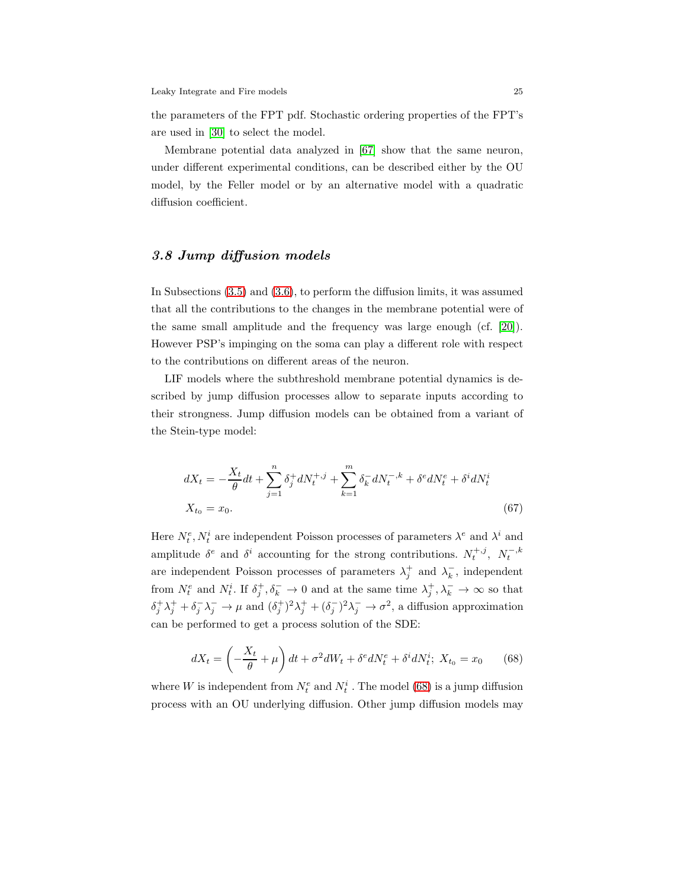the parameters of the FPT pdf. Stochastic ordering properties of the FPT's are used in [\[30\]](#page-54-4) to select the model.

Membrane potential data analyzed in [\[67\]](#page-56-6) show that the same neuron, under different experimental conditions, can be described either by the OU model, by the Feller model or by an alternative model with a quadratic diffusion coefficient.

## <span id="page-24-0"></span>3.8 Jump diffusion models

In Subsections [\(3.5\)](#page-10-1) and [\(3.6\)](#page-16-0), to perform the diffusion limits, it was assumed that all the contributions to the changes in the membrane potential were of the same small amplitude and the frequency was large enough (cf. [\[20\]](#page-53-2)). However PSP's impinging on the soma can play a different role with respect to the contributions on different areas of the neuron.

LIF models where the subthreshold membrane potential dynamics is described by jump diffusion processes allow to separate inputs according to their strongness. Jump diffusion models can be obtained from a variant of the Stein-type model:

$$
dX_t = -\frac{X_t}{\theta}dt + \sum_{j=1}^n \delta_j^+ dN_t^{+,j} + \sum_{k=1}^m \delta_k^- dN_t^{-,k} + \delta^e dN_t^e + \delta^i dN_t^i
$$
  

$$
X_{t_0} = x_0.
$$
 (67)

Here  $N_t^e, N_t^i$  are independent Poisson processes of parameters  $\lambda^e$  and  $\lambda^i$  and amplitude  $\delta^e$  and  $\delta^i$  accounting for the strong contributions.  $N_t^{+,j}, N_t^{-,k}$ are independent Poisson processes of parameters  $\lambda_j^+$  and  $\lambda_k^-$ , independent from  $N_t^e$  and  $N_t^i$ . If  $\delta_j^+$ ,  $\delta_k^ \to 0$  and at the same time  $\lambda_j^+$ ,  $\lambda_k^ \to \infty$  so that  $\delta_j^+ \lambda_j^+ + \delta_j^- \lambda_j^- \to \mu$  and  $(\delta_j^+)^2 \lambda_j^+ + (\delta_j^-)^2 \lambda_j^- \to \sigma^2$ , a diffusion approximation can be performed to get a process solution of the SDE:

<span id="page-24-1"></span>
$$
dX_t = \left(-\frac{X_t}{\theta} + \mu\right)dt + \sigma^2 dW_t + \delta^e dN_t^e + \delta^i dN_t^i; \ X_{t_0} = x_0 \tag{68}
$$

where W is independent from  $N_t^e$  and  $N_t^i$ . The model [\(68\)](#page-24-1) is a jump diffusion process with an OU underlying diffusion. Other jump diffusion models may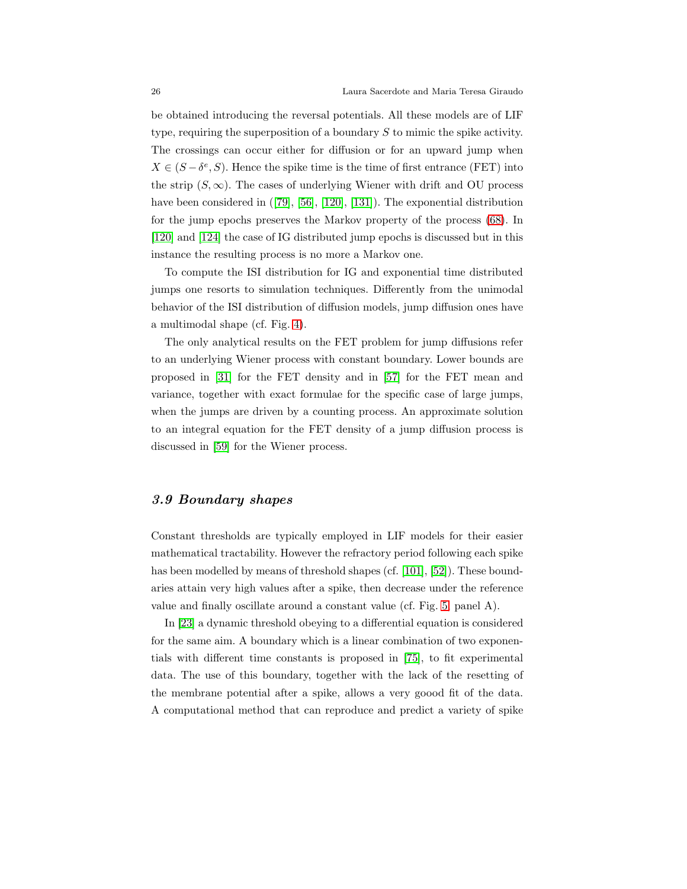be obtained introducing the reversal potentials. All these models are of LIF type, requiring the superposition of a boundary S to mimic the spike activity. The crossings can occur either for diffusion or for an upward jump when  $X \in (S - \delta^e, S)$ . Hence the spike time is the time of first entrance (FET) into the strip  $(S, \infty)$ . The cases of underlying Wiener with drift and OU process have been considered in  $(79, 56, 120, 131)$ . The exponential distribution for the jump epochs preserves the Markov property of the process [\(68\)](#page-24-1). In [\[120\]](#page-59-3) and [\[124\]](#page-60-9) the case of IG distributed jump epochs is discussed but in this instance the resulting process is no more a Markov one.

To compute the ISI distribution for IG and exponential time distributed jumps one resorts to simulation techniques. Differently from the unimodal behavior of the ISI distribution of diffusion models, jump diffusion ones have a multimodal shape (cf. Fig. [4\)](#page-26-0).

The only analytical results on the FET problem for jump diffusions refer to an underlying Wiener process with constant boundary. Lower bounds are proposed in [\[31\]](#page-54-5) for the FET density and in [\[57\]](#page-56-8) for the FET mean and variance, together with exact formulae for the specific case of large jumps, when the jumps are driven by a counting process. An approximate solution to an integral equation for the FET density of a jump diffusion process is discussed in [\[59\]](#page-56-9) for the Wiener process.

#### <span id="page-25-0"></span>3.9 Boundary shapes

Constant thresholds are typically employed in LIF models for their easier mathematical tractability. However the refractory period following each spike has been modelled by means of threshold shapes (cf. [\[101\]](#page-58-3), [\[52\]](#page-55-5)). These boundaries attain very high values after a spike, then decrease under the reference value and finally oscillate around a constant value (cf. Fig. [5,](#page-27-0) panel A).

In [\[23\]](#page-54-6) a dynamic threshold obeying to a differential equation is considered for the same aim. A boundary which is a linear combination of two exponentials with different time constants is proposed in [\[75\]](#page-57-9), to fit experimental data. The use of this boundary, together with the lack of the resetting of the membrane potential after a spike, allows a very goood fit of the data. A computational method that can reproduce and predict a variety of spike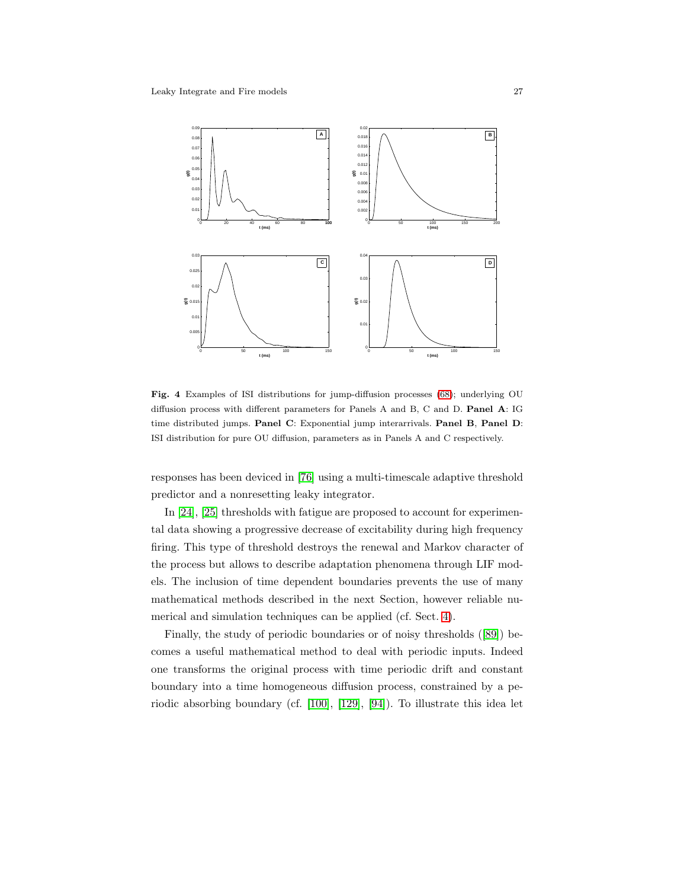

<span id="page-26-0"></span>Fig. 4 Examples of ISI distributions for jump-diffusion processes [\(68\)](#page-24-1); underlying OU diffusion process with different parameters for Panels A and B, C and D. Panel A: IG time distributed jumps. Panel C: Exponential jump interarrivals. Panel B, Panel D: ISI distribution for pure OU diffusion, parameters as in Panels A and C respectively.

responses has been deviced in [\[76\]](#page-57-10) using a multi-timescale adaptive threshold predictor and a nonresetting leaky integrator.

In [\[24\]](#page-54-7), [\[25\]](#page-54-8) thresholds with fatigue are proposed to account for experimental data showing a progressive decrease of excitability during high frequency firing. This type of threshold destroys the renewal and Markov character of the process but allows to describe adaptation phenomena through LIF models. The inclusion of time dependent boundaries prevents the use of many mathematical methods described in the next Section, however reliable numerical and simulation techniques can be applied (cf. Sect. [4\)](#page-30-0).

Finally, the study of periodic boundaries or of noisy thresholds ([\[89\]](#page-57-11)) becomes a useful mathematical method to deal with periodic inputs. Indeed one transforms the original process with time periodic drift and constant boundary into a time homogeneous diffusion process, constrained by a periodic absorbing boundary (cf. [\[100\]](#page-58-7), [\[129\]](#page-60-10), [\[94\]](#page-58-8)). To illustrate this idea let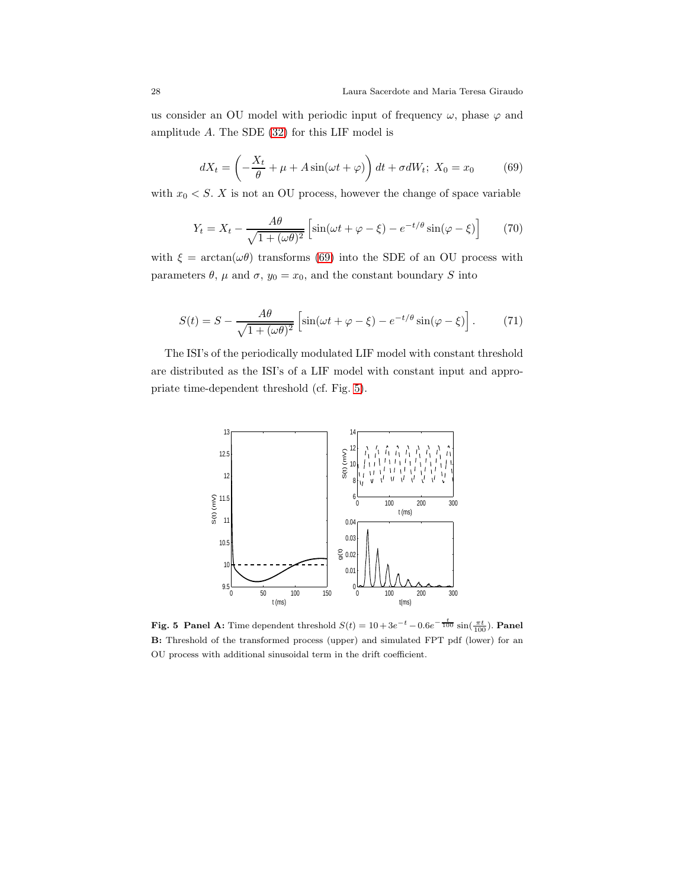us consider an OU model with periodic input of frequency  $\omega$ , phase  $\varphi$  and amplitude A. The SDE [\(32\)](#page-13-2) for this LIF model is

<span id="page-27-1"></span>
$$
dX_t = \left(-\frac{X_t}{\theta} + \mu + A\sin(\omega t + \varphi)\right)dt + \sigma dW_t; \ X_0 = x_0 \tag{69}
$$

with  $x_0 \leq S$ . X is not an OU process, however the change of space variable

$$
Y_t = X_t - \frac{A\theta}{\sqrt{1 + (\omega\theta)^2}} \left[ \sin(\omega t + \varphi - \xi) - e^{-t/\theta} \sin(\varphi - \xi) \right]
$$
 (70)

with  $\xi = \arctan(\omega \theta)$  transforms [\(69\)](#page-27-1) into the SDE of an OU process with parameters  $\theta$ ,  $\mu$  and  $\sigma$ ,  $y_0 = x_0$ , and the constant boundary S into

$$
S(t) = S - \frac{A\theta}{\sqrt{1 + (\omega \theta)^2}} \left[ \sin(\omega t + \varphi - \xi) - e^{-t/\theta} \sin(\varphi - \xi) \right]. \tag{71}
$$

The ISI's of the periodically modulated LIF model with constant threshold are distributed as the ISI's of a LIF model with constant input and appropriate time-dependent threshold (cf. Fig. [5\)](#page-27-0).



<span id="page-27-0"></span>**Fig. 5** Panel A: Time dependent threshold  $S(t) = 10 + 3e^{-t} - 0.6e^{-\frac{t}{100}} \sin(\frac{\pi t}{100})$ . Panel B: Threshold of the transformed process (upper) and simulated FPT pdf (lower) for an OU process with additional sinusoidal term in the drift coefficient.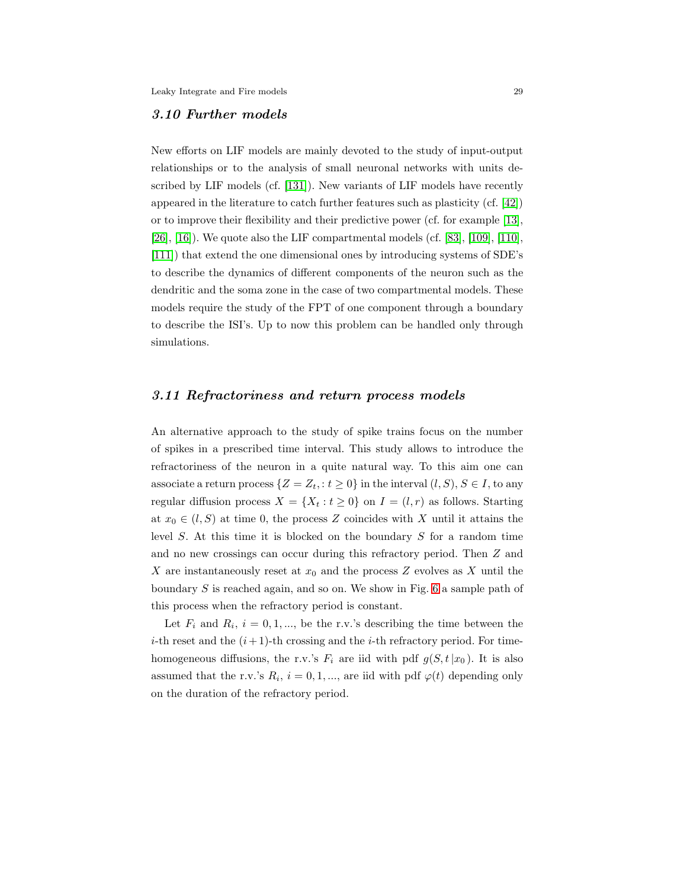#### <span id="page-28-0"></span>3.10 Further models

New efforts on LIF models are mainly devoted to the study of input-output relationships or to the analysis of small neuronal networks with units described by LIF models (cf. [\[131\]](#page-60-8)). New variants of LIF models have recently appeared in the literature to catch further features such as plasticity (cf. [\[42\]](#page-55-0)) or to improve their flexibility and their predictive power (cf. for example [\[13\]](#page-53-6), [\[26\]](#page-54-9), [\[16\]](#page-53-7)). We quote also the LIF compartmental models (cf. [\[83\]](#page-57-12), [\[109\]](#page-59-4), [\[110\]](#page-59-5), [\[111\]](#page-59-6)) that extend the one dimensional ones by introducing systems of SDE's to describe the dynamics of different components of the neuron such as the dendritic and the soma zone in the case of two compartmental models. These models require the study of the FPT of one component through a boundary to describe the ISI's. Up to now this problem can be handled only through simulations.

#### <span id="page-28-1"></span>3.11 Refractoriness and return process models

An alternative approach to the study of spike trains focus on the number of spikes in a prescribed time interval. This study allows to introduce the refractoriness of the neuron in a quite natural way. To this aim one can associate a return process  $\{Z = Z_t, : t \geq 0\}$  in the interval  $(l, S), S \in I$ , to any regular diffusion process  $X = \{X_t : t \geq 0\}$  on  $I = (l, r)$  as follows. Starting at  $x_0 \in (l, S)$  at time 0, the process Z coincides with X until it attains the level S. At this time it is blocked on the boundary S for a random time and no new crossings can occur during this refractory period. Then Z and X are instantaneously reset at  $x_0$  and the process Z evolves as X until the boundary S is reached again, and so on. We show in Fig. [6](#page-29-0) a sample path of this process when the refractory period is constant.

Let  $F_i$  and  $R_i$ ,  $i = 0, 1, \dots$ , be the r.v.'s describing the time between the *i*-th reset and the  $(i + 1)$ -th crossing and the *i*-th refractory period. For timehomogeneous diffusions, the r.v.'s  $F_i$  are iid with pdf  $g(S, t|x_0)$ . It is also assumed that the r.v.'s  $R_i$ ,  $i = 0, 1, \dots$ , are iid with pdf  $\varphi(t)$  depending only on the duration of the refractory period.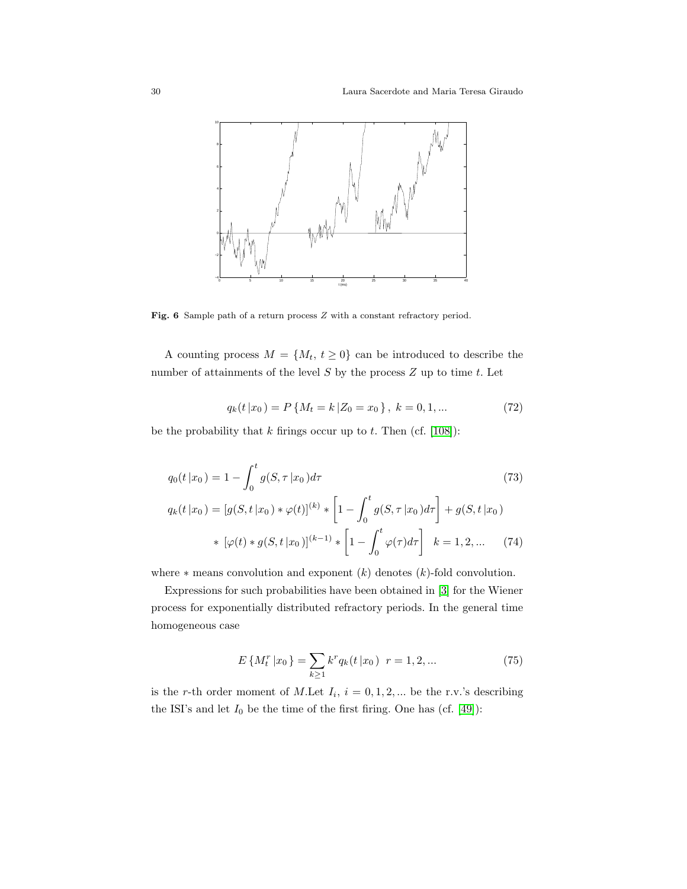

<span id="page-29-0"></span>Fig. 6 Sample path of a return process  $Z$  with a constant refractory period.

A counting process  $M = \{M_t, t \geq 0\}$  can be introduced to describe the number of attainments of the level  $S$  by the process  $Z$  up to time  $t$ . Let

$$
q_k(t|x_0) = P\{M_t = k | Z_0 = x_0\}, \ k = 0, 1, ... \tag{72}
$$

be the probability that  $k$  firings occur up to  $t$ . Then (cf. [\[108\]](#page-59-7)):

$$
q_0(t|x_0) = 1 - \int_0^t g(S, \tau | x_0) d\tau
$$
\n(73)

$$
q_k(t|x_0) = [g(S, t|x_0) * \varphi(t)]^{(k)} * [1 - \int_0^t g(S, \tau | x_0) d\tau] + g(S, t | x_0)
$$
  
 \*  $[\varphi(t) * g(S, t | x_0)]^{(k-1)} * [1 - \int_0^t \varphi(\tau) d\tau] k = 1, 2, ...$  (74)

where  $*$  means convolution and exponent  $(k)$  denotes  $(k)$ -fold convolution.

Expressions for such probabilities have been obtained in [\[3\]](#page-52-2) for the Wiener process for exponentially distributed refractory periods. In the general time homogeneous case

$$
E\left\{M_t^r \left|x_0\right.\right\} = \sum_{k \ge 1} k^r q_k(t \left|x_0\right) \ r = 1, 2, \dots \tag{75}
$$

is the r-th order moment of M.Let  $I_i$ ,  $i = 0, 1, 2, ...$  be the r.v.'s describing the ISI's and let  $I_0$  be the time of the first firing. One has (cf. [\[49\]](#page-55-6)):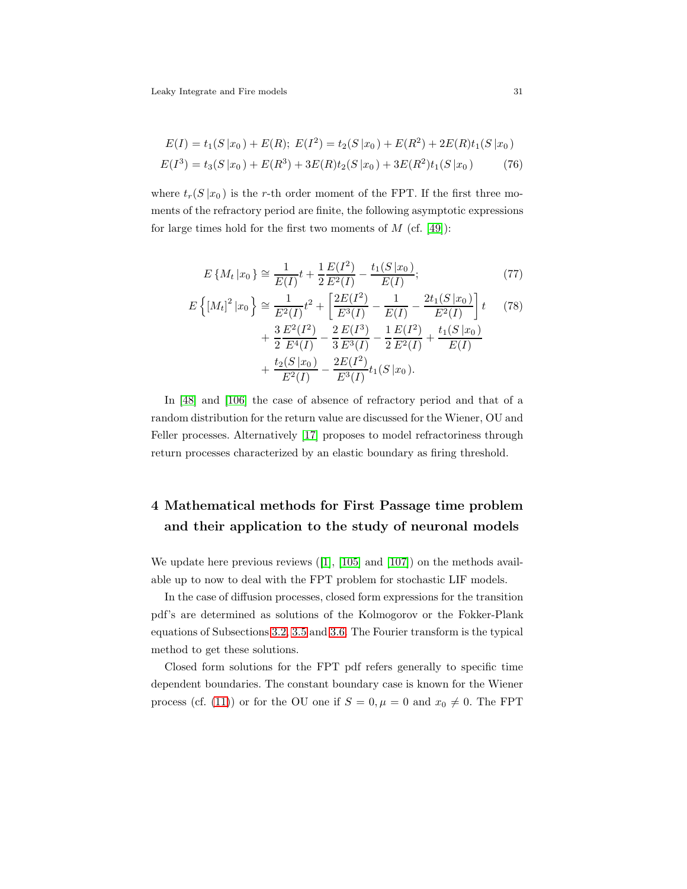$$
E(I) = t_1(S|x_0) + E(R); \ E(I^2) = t_2(S|x_0) + E(R^2) + 2E(R)t_1(S|x_0)
$$
  

$$
E(I^3) = t_3(S|x_0) + E(R^3) + 3E(R)t_2(S|x_0) + 3E(R^2)t_1(S|x_0)
$$
 (76)

where  $t_r(S | x_0)$  is the r-th order moment of the FPT. If the first three moments of the refractory period are finite, the following asymptotic expressions for large times hold for the first two moments of  $M$  (cf. [\[49\]](#page-55-6)):

$$
E\left\{M_t|x_0\right\} \cong \frac{1}{E(I)}t + \frac{1}{2}\frac{E(I^2)}{E^2(I)} - \frac{t_1(S|x_0)}{E(I)};
$$
\n(77)

$$
E\left\{ [M_t]^2 | x_0 \right\} \cong \frac{1}{E^2(I)} t^2 + \left[ \frac{2E(I^2)}{E^3(I)} - \frac{1}{E(I)} - \frac{2t_1(S | x_0)}{E^2(I)} \right] t \qquad (78)
$$
  
+ 
$$
\frac{3}{2} \frac{E^2(I^2)}{E^4(I)} - \frac{2}{3} \frac{E(I^3)}{E^3(I)} - \frac{1}{2} \frac{E(I^2)}{E^2(I)} + \frac{t_1(S | x_0)}{E(I)} + \frac{t_2(S | x_0)}{E^2(I)} - \frac{2E(I^2)}{E^3(I)} t_1(S | x_0).
$$

In [\[48\]](#page-55-7) and [\[106\]](#page-58-9) the case of absence of refractory period and that of a random distribution for the return value are discussed for the Wiener, OU and Feller processes. Alternatively [\[17\]](#page-53-8) proposes to model refractoriness through return processes characterized by an elastic boundary as firing threshold.

## <span id="page-30-0"></span>4 Mathematical methods for First Passage time problem and their application to the study of neuronal models

We update here previous reviews  $(11, 105)$  and  $(107)$  on the methods available up to now to deal with the FPT problem for stochastic LIF models.

In the case of diffusion processes, closed form expressions for the transition pdf's are determined as solutions of the Kolmogorov or the Fokker-Plank equations of Subsections [3.2,](#page-6-0) [3.5](#page-10-1) and [3.6.](#page-16-0) The Fourier transform is the typical method to get these solutions.

Closed form solutions for the FPT pdf refers generally to specific time dependent boundaries. The constant boundary case is known for the Wiener process (cf. [\(11\)](#page-7-0)) or for the OU one if  $S = 0, \mu = 0$  and  $x_0 \neq 0$ . The FPT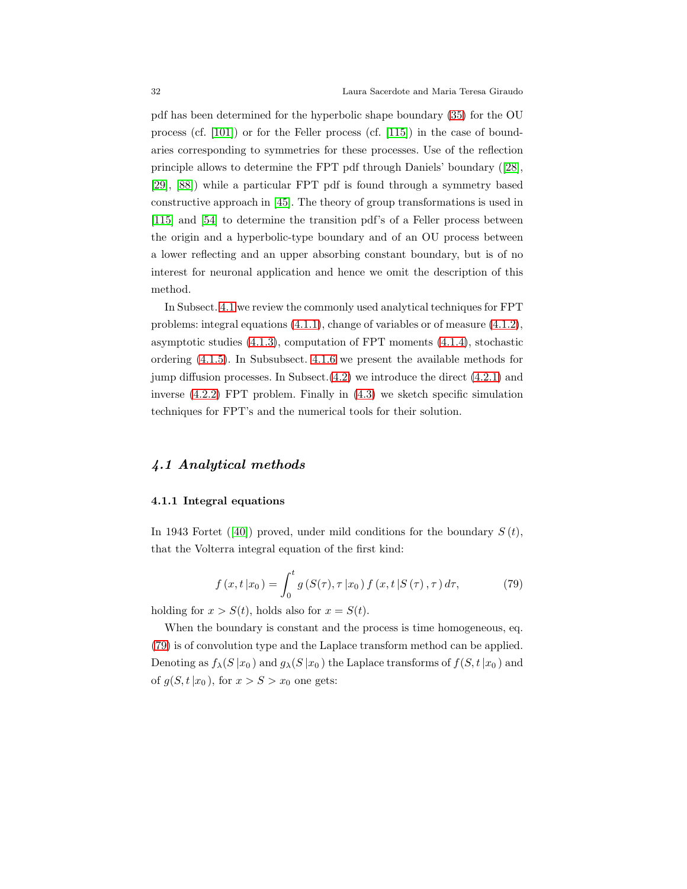pdf has been determined for the hyperbolic shape boundary [\(35\)](#page-14-2) for the OU process (cf. [\[101\]](#page-58-3)) or for the Feller process (cf. [\[115\]](#page-59-8)) in the case of boundaries corresponding to symmetries for these processes. Use of the reflection principle allows to determine the FPT pdf through Daniels' boundary ([\[28\]](#page-54-10), [\[29\]](#page-54-1), [\[88\]](#page-57-13)) while a particular FPT pdf is found through a symmetry based constructive approach in [\[45\]](#page-55-8). The theory of group transformations is used in [\[115\]](#page-59-8) and [\[54\]](#page-55-9) to determine the transition pdf's of a Feller process between the origin and a hyperbolic-type boundary and of an OU process between a lower reflecting and an upper absorbing constant boundary, but is of no interest for neuronal application and hence we omit the description of this method.

In Subsect. [4.1](#page-31-1) we review the commonly used analytical techniques for FPT problems: integral equations [\(4.1.1\)](#page-31-0), change of variables or of measure [\(4.1.2\)](#page-34-0), asymptotic studies  $(4.1.3)$ , computation of FPT moments  $(4.1.4)$ , stochastic ordering [\(4.1.5\)](#page-39-0). In Subsubsect. [4.1.6](#page-39-1) we present the available methods for jump diffusion processes. In Subsect.[\(4.2\)](#page-41-0) we introduce the direct [\(4.2.1\)](#page-41-1) and inverse [\(4.2.2\)](#page-43-0) FPT problem. Finally in [\(4.3\)](#page-44-0) we sketch specific simulation techniques for FPT's and the numerical tools for their solution.

#### <span id="page-31-1"></span><span id="page-31-0"></span>4.1 Analytical methods

#### 4.1.1 Integral equations

In 1943 Fortet ([\[40\]](#page-55-10)) proved, under mild conditions for the boundary  $S(t)$ , that the Volterra integral equation of the first kind:

<span id="page-31-2"></span>
$$
f(x, t | x_0) = \int_0^t g(S(\tau), \tau | x_0) f(x, t | S(\tau), \tau) d\tau,
$$
 (79)

holding for  $x > S(t)$ , holds also for  $x = S(t)$ .

When the boundary is constant and the process is time homogeneous, eq. [\(79\)](#page-31-2) is of convolution type and the Laplace transform method can be applied. Denoting as  $f_{\lambda}(S|x_0)$  and  $g_{\lambda}(S|x_0)$  the Laplace transforms of  $f(S, t|x_0)$  and of  $g(S, t|x_0)$ , for  $x > S > x_0$  one gets: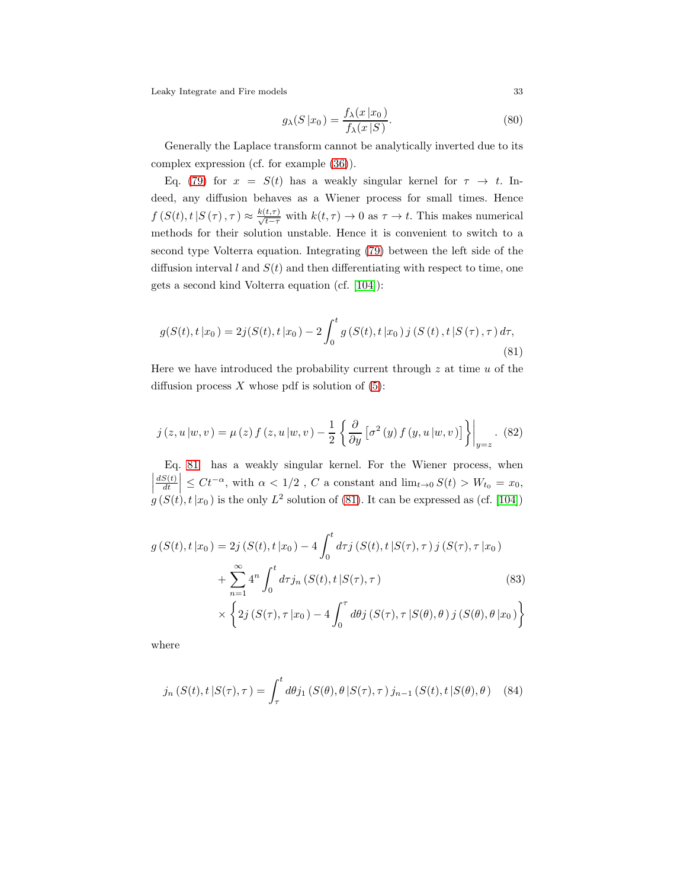<span id="page-32-1"></span>
$$
g_{\lambda}(S|x_0) = \frac{f_{\lambda}(x|x_0)}{f_{\lambda}(x|S)}.
$$
\n(80)

Generally the Laplace transform cannot be analytically inverted due to its complex expression (cf. for example [\(36\)](#page-14-0)).

Eq. [\(79\)](#page-31-2) for  $x = S(t)$  has a weakly singular kernel for  $\tau \to t$ . Indeed, any diffusion behaves as a Wiener process for small times. Hence  $f(S(t), t | S(\tau), \tau) \approx \frac{k(t, \tau)}{\sqrt{t-\tau}}$  with  $k(t, \tau) \to 0$  as  $\tau \to t$ . This makes numerical methods for their solution unstable. Hence it is convenient to switch to a second type Volterra equation. Integrating [\(79\)](#page-31-2) between the left side of the diffusion interval l and  $S(t)$  and then differentiating with respect to time, one gets a second kind Volterra equation (cf. [\[104\]](#page-58-4)):

<span id="page-32-0"></span>
$$
g(S(t), t | x_0) = 2j(S(t), t | x_0) - 2 \int_0^t g(S(t), t | x_0) j(S(t), t | S(\tau), \tau) d\tau,
$$
\n(81)

Here we have introduced the probability current through  $z$  at time  $u$  of the diffusion process  $X$  whose pdf is solution of  $(5)$ :

$$
j(z, u | w, v) = \mu(z) f(z, u | w, v) - \frac{1}{2} \left\{ \frac{\partial}{\partial y} \left[ \sigma^2(y) f(y, u | w, v) \right] \right\} \Big|_{y=z}.
$$
 (82)

Eq. [81](#page-32-0) has a weakly singular kernel. For the Wiener process, when  $dS(t)$ dt  $\left| \leq Ct^{-\alpha}$ , with  $\alpha < 1/2$ , C a constant and  $\lim_{t\to 0} S(t) > W_{t_0} = x_0$ ,  $g(S(t), t|x_0)$  is the only  $L^2$  solution of [\(81\)](#page-32-0). It can be expressed as (cf. [\[104\]](#page-58-4))

$$
g(S(t), t | x_0) = 2j(S(t), t | x_0) - 4 \int_0^t d\tau j(S(t), t | S(\tau), \tau) j(S(\tau), \tau | x_0) + \sum_{n=1}^{\infty} 4^n \int_0^t d\tau j_n(S(t), t | S(\tau), \tau) \times \int 2j(S(\tau), \tau | x_0) - 4 \int_0^{\tau} d\theta j(S(\tau), \tau | S(\theta), \theta) j(S(\theta), \theta | x_0)
$$

$$
\times \left\{2j\left(S(\tau),\tau\left|x_{0}\right.\right)-4\int_{0}^{\tau}d\theta j\left(S(\tau),\tau\left|S(\theta),\theta\right.\right)j\left(S(\theta),\theta\left|x_{0}\right.\right)\right\}
$$

where

$$
j_n(S(t), t | S(\tau), \tau) = \int_{\tau}^{t} d\theta j_1(S(\theta), \theta | S(\tau), \tau) j_{n-1}(S(t), t | S(\theta), \theta)
$$
 (84)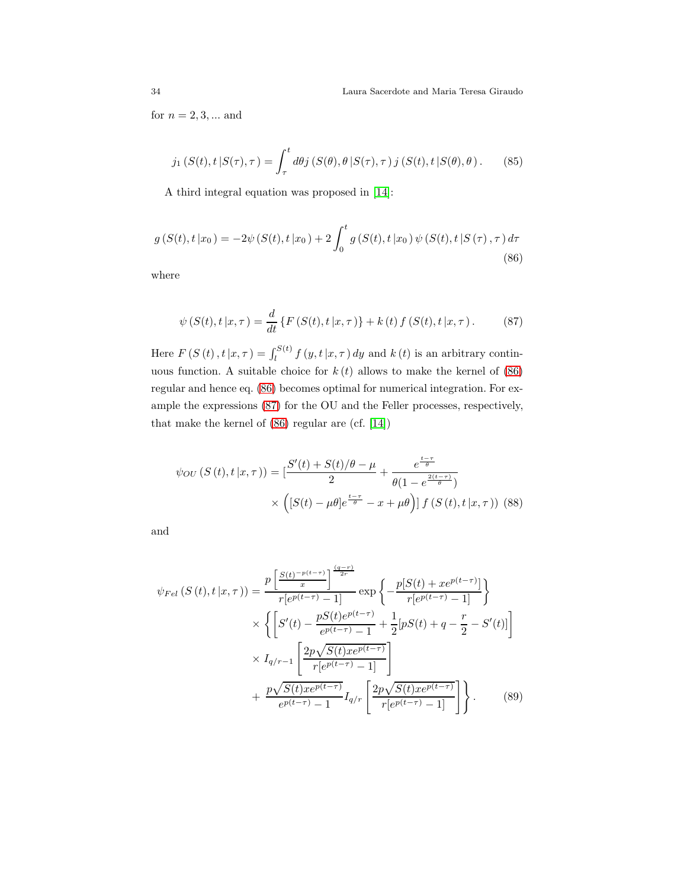for  $n = 2, 3, ...$  and

$$
j_1(S(t), t | S(\tau), \tau) = \int_{\tau}^{t} d\theta j (S(\theta), \theta | S(\tau), \tau) j (S(t), t | S(\theta), \theta).
$$
 (85)

A third integral equation was proposed in [\[14\]](#page-53-4):

<span id="page-33-0"></span>
$$
g(S(t), t | x_0) = -2\psi(S(t), t | x_0) + 2\int_0^t g(S(t), t | x_0) \psi(S(t), t | S(\tau), \tau) d\tau
$$
\n(86)

where

<span id="page-33-1"></span>
$$
\psi\left(S(t), t\,|\,x, \tau\right) = \frac{d}{dt} \left\{ F\left(S(t), t\,|\,x, \tau\right) \right\} + k\left(t\right) f\left(S(t), t\,|\,x, \tau\right). \tag{87}
$$

Here  $F(S(t), t | x, \tau) = \int_{l}^{S(t)} f(y, t | x, \tau) dy$  and  $k(t)$  is an arbitrary continuous function. A suitable choice for  $k(t)$  allows to make the kernel of  $(86)$ regular and hence eq. [\(86\)](#page-33-0) becomes optimal for numerical integration. For example the expressions [\(87\)](#page-33-1) for the OU and the Feller processes, respectively, that make the kernel of [\(86\)](#page-33-0) regular are (cf. [\[14\]](#page-53-4))

<span id="page-33-2"></span>
$$
\psi_{OU}(S(t), t | x, \tau)) = \left[\frac{S'(t) + S(t)/\theta - \mu}{2} + \frac{e^{\frac{t - \tau}{\theta}}}{\theta(1 - e^{\frac{2(t - \tau)}{\theta}})}\right] \times \left([S(t) - \mu\theta]e^{\frac{t - \tau}{\theta}} - x + \mu\theta\right) f(S(t), t | x, \tau)\right)
$$
(88)

and

<span id="page-33-3"></span>
$$
\psi_{Fel}\left(S\left(t\right),t\left|x,\tau\right.\right)=\frac{p\left[\frac{S\left(t\right)^{-p\left(t-\tau\right)}}{x}\right]}{r[e^{p\left(t-\tau\right)}-1]}\exp\left\{-\frac{p[S\left(t\right)+xe^{p\left(t-\tau\right)}]}{r[e^{p\left(t-\tau\right)}-1]}\right\}
$$
\n
$$
\times\left\{\left[S'\left(t\right)-\frac{pS\left(t\right)e^{p\left(t-\tau\right)}}{e^{p\left(t-\tau\right)}-1}+\frac{1}{2}[pS\left(t\right)+q-\frac{r}{2}-S'\left(t\right)]\right]\right\}
$$
\n
$$
\times I_{q/r-1}\left[\frac{2p\sqrt{S\left(t\right)xe^{p\left(t-\tau\right)}}}{r[e^{p\left(t-\tau\right)}-1]}\right]
$$
\n
$$
+\frac{p\sqrt{S\left(t\right)xe^{p\left(t-\tau\right)}}}{e^{p\left(t-\tau\right)}-1}I_{q/r}\left[\frac{2p\sqrt{S\left(t\right)xe^{p\left(t-\tau\right)}}}{r[e^{p\left(t-\tau\right)}-1]}\right]\right\}.
$$
\n(89)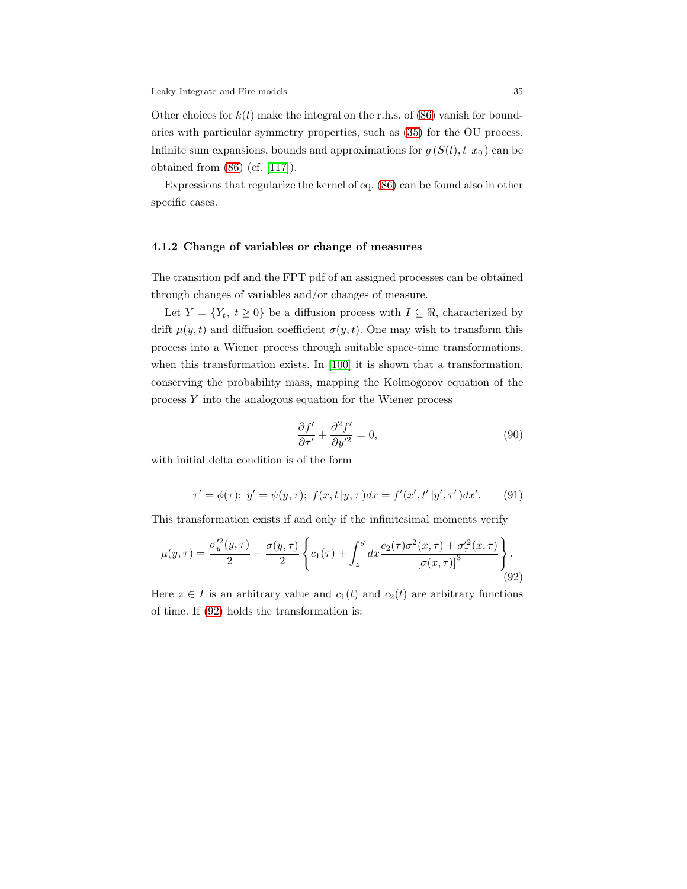Other choices for  $k(t)$  make the integral on the r.h.s. of [\(86\)](#page-33-0) vanish for boundaries with particular symmetry properties, such as [\(35\)](#page-14-2) for the OU process. Infinite sum expansions, bounds and approximations for  $g(S(t), t|x_0)$  can be obtained from [\(86\)](#page-33-0) (cf. [\[117\]](#page-59-9)).

Expressions that regularize the kernel of eq. [\(86\)](#page-33-0) can be found also in other specific cases.

#### <span id="page-34-0"></span>4.1.2 Change of variables or change of measures

The transition pdf and the FPT pdf of an assigned processes can be obtained through changes of variables and/or changes of measure.

Let  $Y = \{Y_t, t \geq 0\}$  be a diffusion process with  $I \subseteq \Re$ , characterized by drift  $\mu(y, t)$  and diffusion coefficient  $\sigma(y, t)$ . One may wish to transform this process into a Wiener process through suitable space-time transformations, when this transformation exists. In [\[100\]](#page-58-7) it is shown that a transformation, conserving the probability mass, mapping the Kolmogorov equation of the process Y into the analogous equation for the Wiener process

$$
\frac{\partial f'}{\partial \tau'} + \frac{\partial^2 f'}{\partial y'^2} = 0,\tag{90}
$$

with initial delta condition is of the form

$$
\tau' = \phi(\tau); \ y' = \psi(y, \tau); \ f(x, t \, | y, \tau) dx = f'(x', t' \, | y', \tau') dx'. \tag{91}
$$

This transformation exists if and only if the infinitesimal moments verify

<span id="page-34-1"></span>
$$
\mu(y,\tau) = \frac{\sigma_y'^2(y,\tau)}{2} + \frac{\sigma(y,\tau)}{2} \left\{ c_1(\tau) + \int_z^y dx \frac{c_2(\tau)\sigma^2(x,\tau) + \sigma_\tau'^2(x,\tau)}{\left[\sigma(x,\tau)\right]^3} \right\}.
$$
\n(92)

Here  $z \in I$  is an arbitrary value and  $c_1(t)$  and  $c_2(t)$  are arbitrary functions of time. If [\(92\)](#page-34-1) holds the transformation is: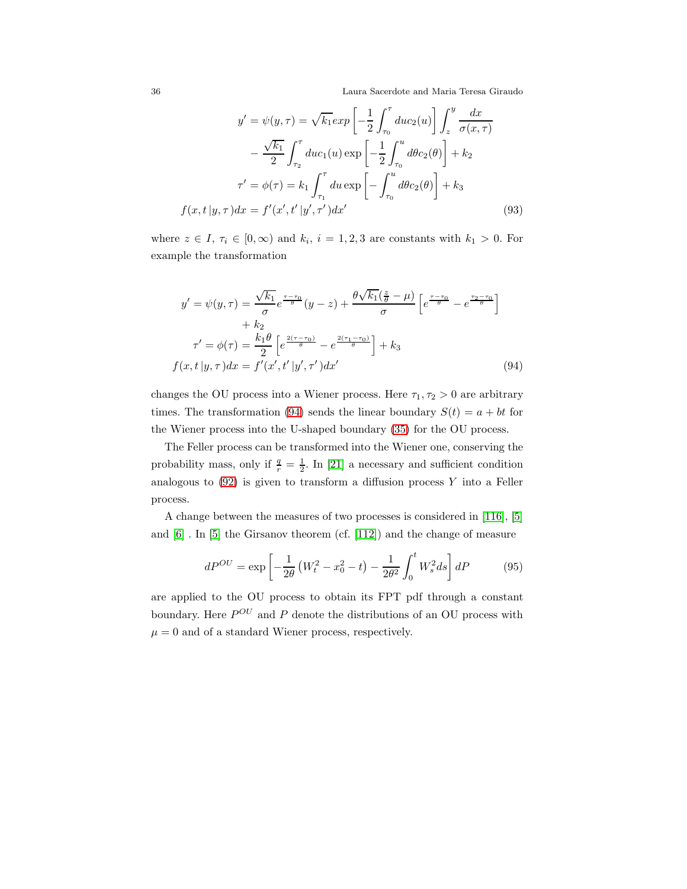36 Laura Sacerdote and Maria Teresa Giraudo

$$
y' = \psi(y, \tau) = \sqrt{k_1} exp\left[-\frac{1}{2} \int_{\tau_0}^{\tau} du c_2(u)\right] \int_{z}^{y} \frac{dx}{\sigma(x, \tau)}
$$

$$
- \frac{\sqrt{k_1}}{2} \int_{\tau_2}^{\tau} du c_1(u) exp\left[-\frac{1}{2} \int_{\tau_0}^{u} d\theta c_2(\theta)\right] + k_2
$$

$$
\tau' = \phi(\tau) = k_1 \int_{\tau_1}^{\tau} du exp\left[-\int_{\tau_0}^{u} d\theta c_2(\theta)\right] + k_3
$$

$$
f(x, t | y, \tau) dx = f'(x', t' | y', \tau') dx'
$$
(93)

where  $z \in I$ ,  $\tau_i \in [0, \infty)$  and  $k_i$ ,  $i = 1, 2, 3$  are constants with  $k_1 > 0$ . For example the transformation

<span id="page-35-0"></span>
$$
y' = \psi(y, \tau) = \frac{\sqrt{k_1}}{\sigma} e^{\frac{\tau - \tau_0}{\theta}} (y - z) + \frac{\theta \sqrt{k_1} (\frac{z}{\theta} - \mu)}{\sigma} \left[ e^{\frac{\tau - \tau_0}{\theta}} - e^{\frac{\tau_2 - \tau_0}{\theta}} \right] + k_2
$$

$$
\tau' = \phi(\tau) = \frac{k_1 \theta}{2} \left[ e^{\frac{2(\tau - \tau_0)}{\theta}} - e^{\frac{2(\tau_1 - \tau_0)}{\theta}} \right] + k_3
$$

$$
f(x, t | y, \tau) dx = f'(x', t' | y', \tau') dx'
$$
(94)

changes the OU process into a Wiener process. Here  $\tau_1, \tau_2 > 0$  are arbitrary times. The transformation [\(94\)](#page-35-0) sends the linear boundary  $S(t) = a + bt$  for the Wiener process into the U-shaped boundary [\(35\)](#page-14-2) for the OU process.

The Feller process can be transformed into the Wiener one, conserving the probability mass, only if  $\frac{q}{r} = \frac{1}{2}$ . In [\[21\]](#page-53-9) a necessary and sufficient condition analogous to  $(92)$  is given to transform a diffusion process Y into a Feller process.

A change between the measures of two processes is considered in [\[116\]](#page-59-10), [\[5\]](#page-53-3) and [\[6\]](#page-53-10) . In [\[5\]](#page-53-3) the Girsanov theorem (cf. [\[112\]](#page-59-11)) and the change of measure

$$
dP^{OU} = \exp\left[-\frac{1}{2\theta}\left(W_t^2 - x_0^2 - t\right) - \frac{1}{2\theta^2} \int_0^t W_s^2 ds\right] dP \tag{95}
$$

are applied to the OU process to obtain its FPT pdf through a constant boundary. Here  $P^{OU}$  and P denote the distributions of an OU process with  $\mu = 0$  and of a standard Wiener process, respectively.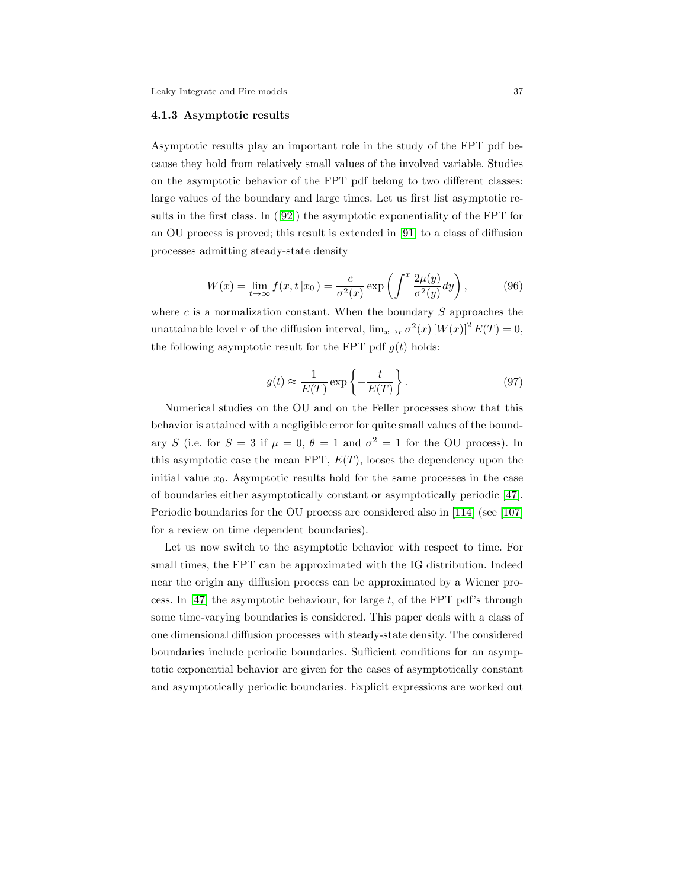#### <span id="page-36-0"></span>4.1.3 Asymptotic results

Asymptotic results play an important role in the study of the FPT pdf because they hold from relatively small values of the involved variable. Studies on the asymptotic behavior of the FPT pdf belong to two different classes: large values of the boundary and large times. Let us first list asymptotic results in the first class. In ([\[92\]](#page-58-6)) the asymptotic exponentiality of the FPT for an OU process is proved; this result is extended in [\[91\]](#page-58-10) to a class of diffusion processes admitting steady-state density

$$
W(x) = \lim_{t \to \infty} f(x, t | x_0) = \frac{c}{\sigma^2(x)} \exp\left(\int^x \frac{2\mu(y)}{\sigma^2(y)} dy\right),\tag{96}
$$

where  $c$  is a normalization constant. When the boundary  $S$  approaches the unattainable level r of the diffusion interval,  $\lim_{x \to r} \sigma^2(x) [W(x)]^2 E(T) = 0$ , the following asymptotic result for the FPT pdf  $g(t)$  holds:

$$
g(t) \approx \frac{1}{E(T)} \exp\left\{-\frac{t}{E(T)}\right\}.
$$
 (97)

Numerical studies on the OU and on the Feller processes show that this behavior is attained with a negligible error for quite small values of the boundary S (i.e. for  $S = 3$  if  $\mu = 0$ ,  $\theta = 1$  and  $\sigma^2 = 1$  for the OU process). In this asymptotic case the mean FPT,  $E(T)$ , looses the dependency upon the initial value  $x_0$ . Asymptotic results hold for the same processes in the case of boundaries either asymptotically constant or asymptotically periodic [\[47\]](#page-55-2). Periodic boundaries for the OU process are considered also in [\[114\]](#page-59-12) (see [\[107\]](#page-58-1) for a review on time dependent boundaries).

Let us now switch to the asymptotic behavior with respect to time. For small times, the FPT can be approximated with the IG distribution. Indeed near the origin any diffusion process can be approximated by a Wiener pro-cess. In [\[47\]](#page-55-2) the asymptotic behaviour, for large  $t$ , of the FPT pdf's through some time-varying boundaries is considered. This paper deals with a class of one dimensional diffusion processes with steady-state density. The considered boundaries include periodic boundaries. Sufficient conditions for an asymptotic exponential behavior are given for the cases of asymptotically constant and asymptotically periodic boundaries. Explicit expressions are worked out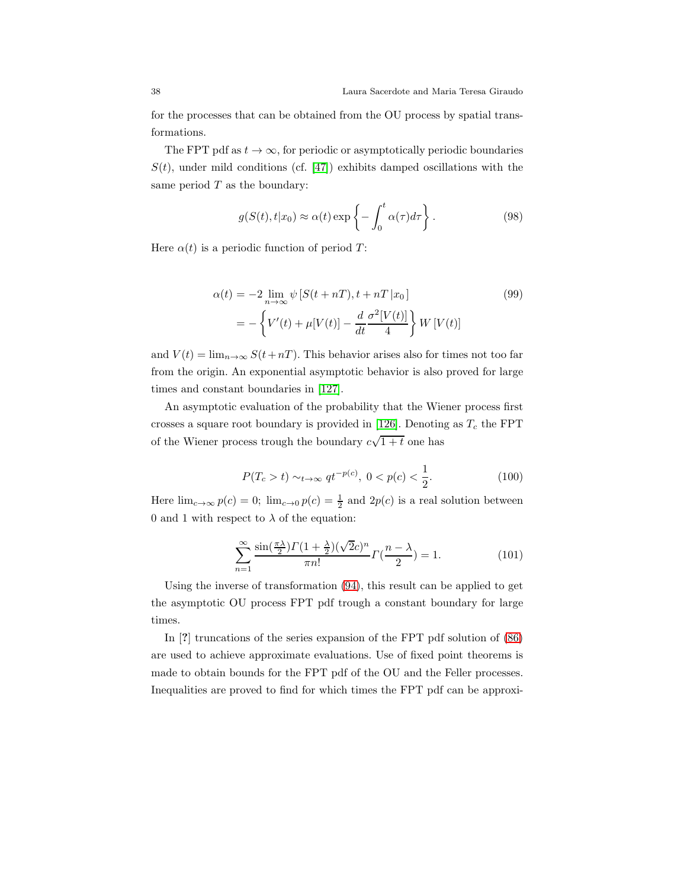for the processes that can be obtained from the OU process by spatial transformations.

The FPT pdf as  $t \to \infty$ , for periodic or asymptotically periodic boundaries  $S(t)$ , under mild conditions (cf. [\[47\]](#page-55-2)) exhibits damped oscillations with the same period  $T$  as the boundary:

$$
g(S(t), t|x_0) \approx \alpha(t) \exp\left\{-\int_0^t \alpha(\tau) d\tau\right\}.
$$
 (98)

Here  $\alpha(t)$  is a periodic function of period T:

$$
\alpha(t) = -2 \lim_{n \to \infty} \psi \left[ S(t + nT), t + nT \left| x_0 \right] \right]
$$
\n
$$
= -\left\{ V'(t) + \mu[V(t)] - \frac{d}{dt} \frac{\sigma^2 [V(t)]}{4} \right\} W[V(t)]
$$
\n(99)

and  $V(t) = \lim_{n \to \infty} S(t+nT)$ . This behavior arises also for times not too far from the origin. An exponential asymptotic behavior is also proved for large times and constant boundaries in [\[127\]](#page-60-11).

An asymptotic evaluation of the probability that the Wiener process first crosses a square root boundary is provided in [\[126\]](#page-60-12). Denoting as  $T_c$  the FPT of the Wiener process trough the boundary  $c\sqrt{1+t}$  one has

$$
P(T_c > t) \sim_{t \to \infty} qt^{-p(c)}, \ 0 < p(c) < \frac{1}{2}.\tag{100}
$$

Here  $\lim_{c\to\infty} p(c) = 0$ ;  $\lim_{c\to 0} p(c) = \frac{1}{2}$  and  $2p(c)$  is a real solution between 0 and 1 with respect to  $\lambda$  of the equation:

$$
\sum_{n=1}^{\infty} \frac{\sin(\frac{\pi \lambda}{2}) \Gamma(1 + \frac{\lambda}{2}) (\sqrt{2}c)^n}{\pi n!} \Gamma(\frac{n - \lambda}{2}) = 1.
$$
 (101)

Using the inverse of transformation [\(94\)](#page-35-0), this result can be applied to get the asymptotic OU process FPT pdf trough a constant boundary for large times.

In [?] truncations of the series expansion of the FPT pdf solution of [\(86\)](#page-33-0) are used to achieve approximate evaluations. Use of fixed point theorems is made to obtain bounds for the FPT pdf of the OU and the Feller processes. Inequalities are proved to find for which times the FPT pdf can be approxi-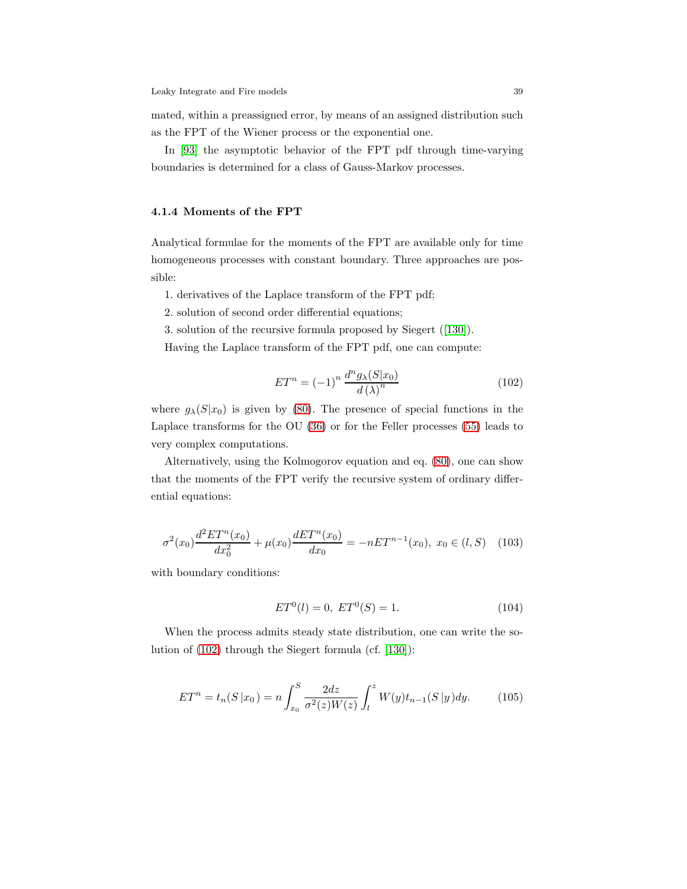mated, within a preassigned error, by means of an assigned distribution such as the FPT of the Wiener process or the exponential one.

In [\[93\]](#page-58-11) the asymptotic behavior of the FPT pdf through time-varying boundaries is determined for a class of Gauss-Markov processes.

#### <span id="page-38-0"></span>4.1.4 Moments of the FPT

Analytical formulae for the moments of the FPT are available only for time homogeneous processes with constant boundary. Three approaches are possible:

1. derivatives of the Laplace transform of the FPT pdf;

2. solution of second order differential equations;

3. solution of the recursive formula proposed by Siegert ([\[130\]](#page-60-7)).

Having the Laplace transform of the FPT pdf, one can compute:

<span id="page-38-1"></span>
$$
ET^n = (-1)^n \frac{d^n g_\lambda(S|x_0)}{d(\lambda)^n}
$$
\n(102)

where  $g_{\lambda}(S|x_0)$  is given by [\(80\)](#page-32-1). The presence of special functions in the Laplace transforms for the OU [\(36\)](#page-14-0) or for the Feller processes [\(55\)](#page-19-2) leads to very complex computations.

Alternatively, using the Kolmogorov equation and eq. [\(80\)](#page-32-1), one can show that the moments of the FPT verify the recursive system of ordinary differential equations:

$$
\sigma^{2}(x_{0})\frac{d^{2}ET^{n}(x_{0})}{dx_{0}^{2}} + \mu(x_{0})\frac{dET^{n}(x_{0})}{dx_{0}} = -nET^{n-1}(x_{0}), x_{0} \in (l, S)
$$
 (103)

with boundary conditions:

$$
ET0(l) = 0, ET0(S) = 1.
$$
 (104)

When the process admits steady state distribution, one can write the solution of [\(102\)](#page-38-1) through the Siegert formula (cf. [\[130\]](#page-60-7)):

$$
ET^{n} = t_{n}(S | x_{0}) = n \int_{x_{0}}^{S} \frac{2dz}{\sigma^{2}(z)W(z)} \int_{l}^{z} W(y) t_{n-1}(S | y) dy.
$$
 (105)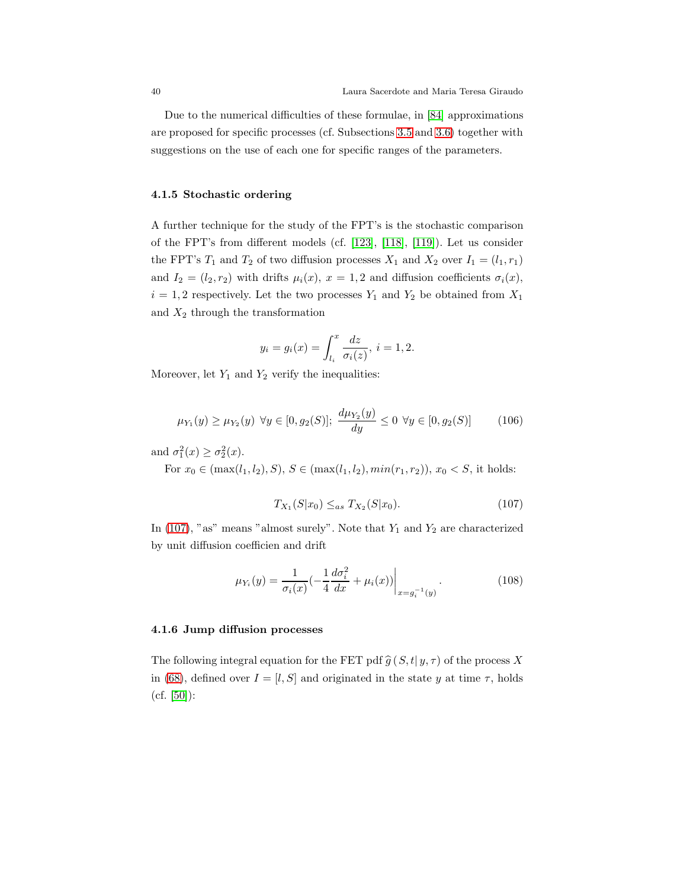Due to the numerical difficulties of these formulae, in [\[84\]](#page-57-4) approximations are proposed for specific processes (cf. Subsections [3.5](#page-10-1) and [3.6\)](#page-16-0) together with suggestions on the use of each one for specific ranges of the parameters.

#### <span id="page-39-0"></span>4.1.5 Stochastic ordering

A further technique for the study of the FPT's is the stochastic comparison of the FPT's from different models (cf. [\[123\]](#page-59-1), [\[118\]](#page-59-2), [\[119\]](#page-59-0)). Let us consider the FPT's  $T_1$  and  $T_2$  of two diffusion processes  $X_1$  and  $X_2$  over  $I_1 = (l_1, r_1)$ and  $I_2 = (l_2, r_2)$  with drifts  $\mu_i(x)$ ,  $x = 1, 2$  and diffusion coefficients  $\sigma_i(x)$ ,  $i = 1, 2$  respectively. Let the two processes  $Y_1$  and  $Y_2$  be obtained from  $X_1$ and  $X_2$  through the transformation

$$
y_i = g_i(x) = \int_{l_i}^{x} \frac{dz}{\sigma_i(z)}, i = 1, 2.
$$

Moreover, let  $Y_1$  and  $Y_2$  verify the inequalities:

$$
\mu_{Y_1}(y) \ge \mu_{Y_2}(y) \ \forall y \in [0, g_2(S)]; \ \frac{d\mu_{Y_2}(y)}{dy} \le 0 \ \forall y \in [0, g_2(S)] \tag{106}
$$

and  $\sigma_1^2(x) \ge \sigma_2^2(x)$ .

For  $x_0 \in (\max(l_1, l_2), S), S \in (\max(l_1, l_2), \min(r_1, r_2)), x_0 < S$ , it holds:

<span id="page-39-2"></span>
$$
T_{X_1}(S|x_0) \leq_{as} T_{X_2}(S|x_0). \tag{107}
$$

In [\(107\)](#page-39-2), "as" means "almost surely". Note that  $Y_1$  and  $Y_2$  are characterized by unit diffusion coefficien and drift

$$
\mu_{Y_i}(y) = \frac{1}{\sigma_i(x)} \left( -\frac{1}{4} \frac{d\sigma_i^2}{dx} + \mu_i(x) \right) \Big|_{x = g_i^{-1}(y)}.
$$
\n(108)

#### <span id="page-39-1"></span>4.1.6 Jump diffusion processes

The following integral equation for the FET pdf  $\hat{g}(S, t | y, \tau)$  of the process X in [\(68\)](#page-24-1), defined over  $I = [l, S]$  and originated in the state y at time  $\tau$ , holds  $(cf. [50]$  $(cf. [50]$ :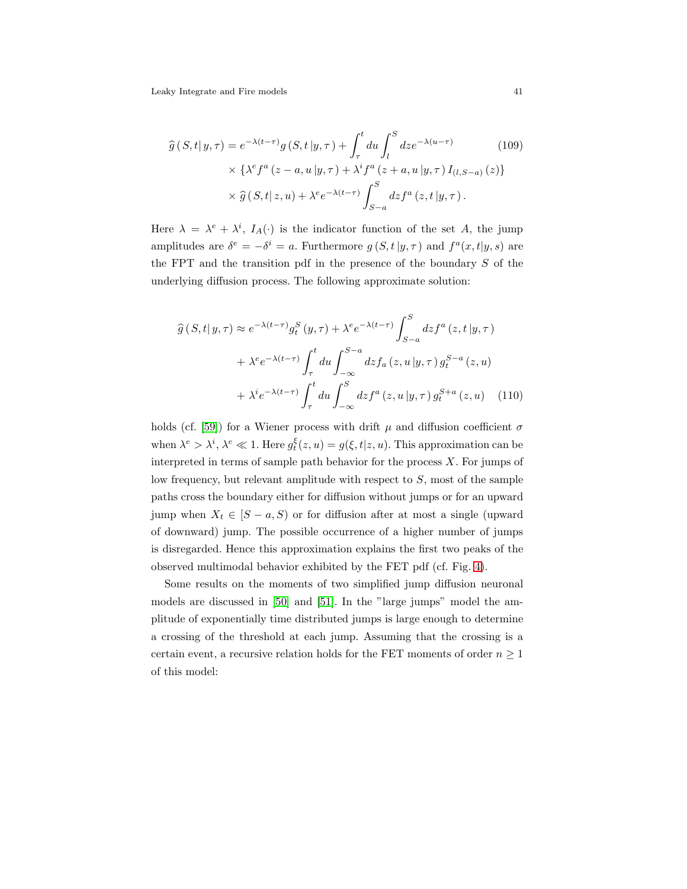$$
\widehat{g}(S,t|y,\tau) = e^{-\lambda(t-\tau)}g(S,t|y,\tau) + \int_{\tau}^{t} du \int_{l}^{S} dz e^{-\lambda(u-\tau)}
$$
\n
$$
\times \{\lambda^{e} f^{a}(z-a,u|y,\tau) + \lambda^{i} f^{a}(z+a,u|y,\tau) I_{(l,S-a)}(z)\}
$$
\n
$$
\times \widehat{g}(S,t|z,u) + \lambda^{e} e^{-\lambda(t-\tau)} \int_{S-a}^{S} dz f^{a}(z,t|y,\tau).
$$
\n(109)

Here  $\lambda = \lambda^e + \lambda^i$ ,  $I_A(\cdot)$  is the indicator function of the set A, the jump amplitudes are  $\delta^e = -\delta^i = a$ . Furthermore  $g(S, t | y, \tau)$  and  $f^a(x, t | y, s)$  are the FPT and the transition pdf in the presence of the boundary  $S$  of the underlying diffusion process. The following approximate solution:

$$
\hat{g}(S,t|y,\tau) \approx e^{-\lambda(t-\tau)}g_t^S(y,\tau) + \lambda^e e^{-\lambda(t-\tau)} \int_{S-a}^S dz f^a(z,t|y,\tau)
$$

$$
+ \lambda^e e^{-\lambda(t-\tau)} \int_{\tau}^t du \int_{-\infty}^{S-a} dz f_a(z,u|y,\tau) g_t^{S-a}(z,u)
$$

$$
+ \lambda^i e^{-\lambda(t-\tau)} \int_{\tau}^t du \int_{-\infty}^S dz f^a(z,u|y,\tau) g_t^{S+a}(z,u) \quad (110)
$$

holds (cf. [\[59\]](#page-56-9)) for a Wiener process with drift  $\mu$  and diffusion coefficient  $\sigma$ when  $\lambda^e > \lambda^i$ ,  $\lambda^e \ll 1$ . Here  $g_t^{\xi}(z, u) = g(\xi, t | z, u)$ . This approximation can be interpreted in terms of sample path behavior for the process  $X$ . For jumps of low frequency, but relevant amplitude with respect to S, most of the sample paths cross the boundary either for diffusion without jumps or for an upward jump when  $X_t \in [S-a, S]$  or for diffusion after at most a single (upward of downward) jump. The possible occurrence of a higher number of jumps is disregarded. Hence this approximation explains the first two peaks of the observed multimodal behavior exhibited by the FET pdf (cf. Fig. [4\)](#page-26-0).

Some results on the moments of two simplified jump diffusion neuronal models are discussed in [\[50\]](#page-55-11) and [\[51\]](#page-55-12). In the "large jumps" model the amplitude of exponentially time distributed jumps is large enough to determine a crossing of the threshold at each jump. Assuming that the crossing is a certain event, a recursive relation holds for the FET moments of order  $n \geq 1$ of this model: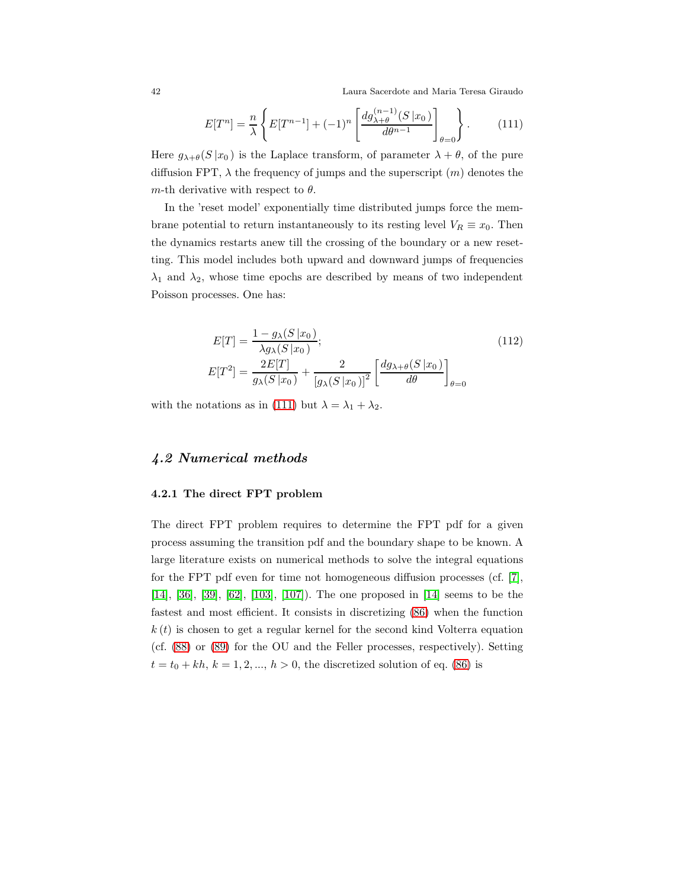42 Laura Sacerdote and Maria Teresa Giraudo

<span id="page-41-2"></span>
$$
E[T^n] = \frac{n}{\lambda} \left\{ E[T^{n-1}] + (-1)^n \left[ \frac{dg_{\lambda+\theta}^{(n-1)}(S|x_0)}{d\theta^{n-1}} \right]_{\theta=0} \right\}.
$$
 (111)

Here  $g_{\lambda+\theta}(S|x_0)$  is the Laplace transform, of parameter  $\lambda+\theta$ , of the pure diffusion FPT,  $\lambda$  the frequency of jumps and the superscript  $(m)$  denotes the m-th derivative with respect to  $\theta$ .

In the 'reset model' exponentially time distributed jumps force the membrane potential to return instantaneously to its resting level  $V_R \equiv x_0$ . Then the dynamics restarts anew till the crossing of the boundary or a new resetting. This model includes both upward and downward jumps of frequencies  $\lambda_1$  and  $\lambda_2$ , whose time epochs are described by means of two independent Poisson processes. One has:

$$
E[T] = \frac{1 - g_{\lambda}(S|x_0)}{\lambda g_{\lambda}(S|x_0)};
$$
\n
$$
E[T^2] = \frac{2E[T]}{g_{\lambda}(S|x_0)} + \frac{2}{[g_{\lambda}(S|x_0)]^2} \left[ \frac{dg_{\lambda+\theta}(S|x_0)}{d\theta} \right]_{\theta=0}
$$
\n(112)

with the notations as in [\(111\)](#page-41-2) but  $\lambda = \lambda_1 + \lambda_2$ .

## <span id="page-41-1"></span><span id="page-41-0"></span>4.2 Numerical methods

#### 4.2.1 The direct FPT problem

The direct FPT problem requires to determine the FPT pdf for a given process assuming the transition pdf and the boundary shape to be known. A large literature exists on numerical methods to solve the integral equations for the FPT pdf even for time not homogeneous diffusion processes (cf. [\[7\]](#page-53-11), [\[14\]](#page-53-4), [\[36\]](#page-54-11), [\[39\]](#page-55-13), [\[62\]](#page-56-10), [\[103\]](#page-58-12), [\[107\]](#page-58-1)). The one proposed in [\[14\]](#page-53-4) seems to be the fastest and most efficient. It consists in discretizing [\(86\)](#page-33-0) when the function  $k(t)$  is chosen to get a regular kernel for the second kind Volterra equation (cf. [\(88\)](#page-33-2) or [\(89\)](#page-33-3) for the OU and the Feller processes, respectively). Setting  $t = t_0 + kh, k = 1, 2, ..., h > 0$ , the discretized solution of eq. [\(86\)](#page-33-0) is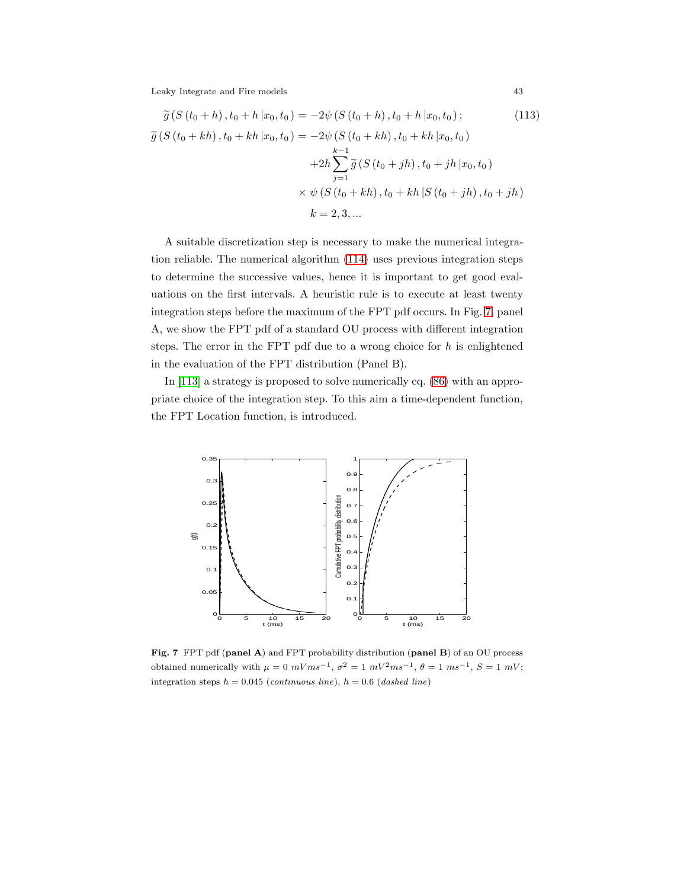<span id="page-42-0"></span>
$$
\widetilde{g}(S(t_0 + h), t_0 + h | x_0, t_0) = -2\psi(S(t_0 + h), t_0 + h | x_0, t_0);
$$
\n(113)  
\n
$$
\widetilde{g}(S(t_0 + kh), t_0 + kh | x_0, t_0) = -2\psi(S(t_0 + kh), t_0 + kh | x_0, t_0)
$$
\n
$$
+2h \sum_{j=1}^{k-1} \widetilde{g}(S(t_0 + jh), t_0 + jh | x_0, t_0)
$$
\n
$$
\times \psi(S(t_0 + kh), t_0 + kh | S(t_0 + jh), t_0 + jh)
$$
\n
$$
k = 2, 3, ...
$$
\n(113)

A suitable discretization step is necessary to make the numerical integration reliable. The numerical algorithm [\(114\)](#page-42-0) uses previous integration steps to determine the successive values, hence it is important to get good evaluations on the first intervals. A heuristic rule is to execute at least twenty integration steps before the maximum of the FPT pdf occurs. In Fig. [7,](#page-42-1) panel A, we show the FPT pdf of a standard OU process with different integration steps. The error in the FPT pdf due to a wrong choice for  $h$  is enlightened in the evaluation of the FPT distribution (Panel B).

In [\[113\]](#page-59-13) a strategy is proposed to solve numerically eq. [\(86\)](#page-33-0) with an appropriate choice of the integration step. To this aim a time-dependent function, the FPT Location function, is introduced.



<span id="page-42-1"></span>Fig. 7 FPT pdf (panel A) and FPT probability distribution (panel B) of an OU process obtained numerically with  $\mu = 0$   $mVms^{-1}$ ,  $\sigma^2 = 1$   $mV^2ms^{-1}$ ,  $\theta = 1$   $ms^{-1}$ ,  $S = 1$   $mV$ ; integration steps  $h = 0.045$  (continuous line),  $h = 0.6$  (dashed line)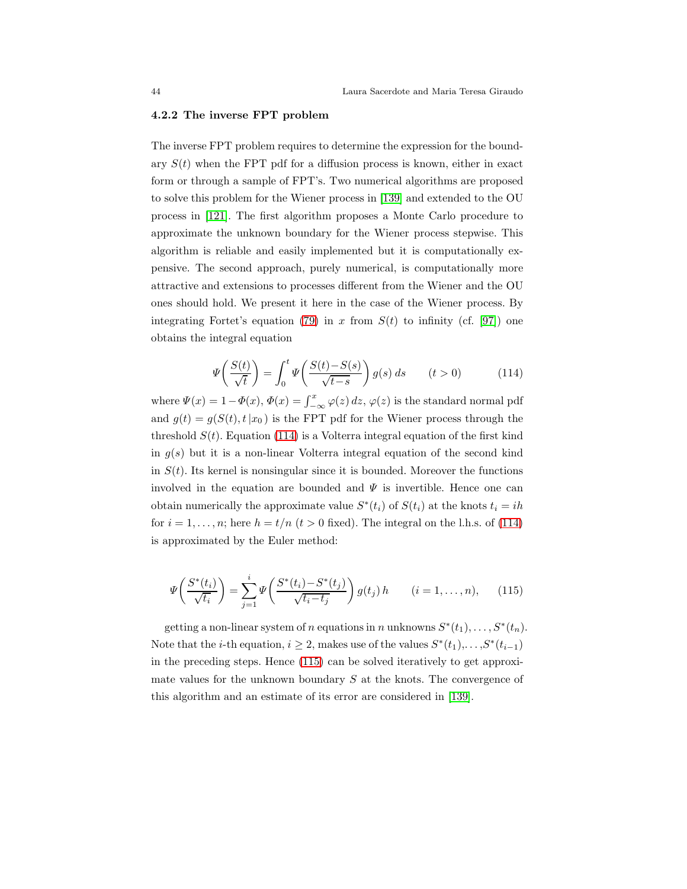#### <span id="page-43-0"></span>4.2.2 The inverse FPT problem

The inverse FPT problem requires to determine the expression for the boundary  $S(t)$  when the FPT pdf for a diffusion process is known, either in exact form or through a sample of FPT's. Two numerical algorithms are proposed to solve this problem for the Wiener process in [\[139\]](#page-60-13) and extended to the OU process in [\[121\]](#page-59-14). The first algorithm proposes a Monte Carlo procedure to approximate the unknown boundary for the Wiener process stepwise. This algorithm is reliable and easily implemented but it is computationally expensive. The second approach, purely numerical, is computationally more attractive and extensions to processes different from the Wiener and the OU ones should hold. We present it here in the case of the Wiener process. By integrating Fortet's equation [\(79\)](#page-31-2) in x from  $S(t)$  to infinity (cf. [\[97\]](#page-58-13)) one obtains the integral equation

<span id="page-43-1"></span>
$$
\Psi\left(\frac{S(t)}{\sqrt{t}}\right) = \int_0^t \Psi\left(\frac{S(t) - S(s)}{\sqrt{t - s}}\right) g(s) \, ds \qquad (t > 0) \tag{114}
$$

where  $\Psi(x) = 1 - \Phi(x)$ ,  $\Phi(x) = \int_{-\infty}^{x} \varphi(z) dz$ ,  $\varphi(z)$  is the standard normal pdf and  $g(t) = g(S(t), t|x_0)$  is the FPT pdf for the Wiener process through the threshold  $S(t)$ . Equation [\(114\)](#page-43-1) is a Volterra integral equation of the first kind in  $g(s)$  but it is a non-linear Volterra integral equation of the second kind in  $S(t)$ . Its kernel is nonsingular since it is bounded. Moreover the functions involved in the equation are bounded and  $\Psi$  is invertible. Hence one can obtain numerically the approximate value  $S^*(t_i)$  of  $S(t_i)$  at the knots  $t_i = ih$ for  $i = 1, \ldots, n$ ; here  $h = t/n$   $(t > 0$  fixed). The integral on the l.h.s. of [\(114\)](#page-43-1) is approximated by the Euler method:

<span id="page-43-2"></span>
$$
\Psi\left(\frac{S^*(t_i)}{\sqrt{t_i}}\right) = \sum_{j=1}^i \Psi\left(\frac{S^*(t_i) - S^*(t_j)}{\sqrt{t_i - t_j}}\right) g(t_j) h \qquad (i = 1, ..., n), \qquad (115)
$$

getting a non-linear system of n equations in n unknowns  $S^*(t_1), \ldots, S^*(t_n)$ . Note that the *i*-th equation,  $i \geq 2$ , makes use of the values  $S^*(t_1), \ldots, S^*(t_{i-1})$ in the preceding steps. Hence [\(115\)](#page-43-2) can be solved iteratively to get approximate values for the unknown boundary  $S$  at the knots. The convergence of this algorithm and an estimate of its error are considered in [\[139\]](#page-60-13).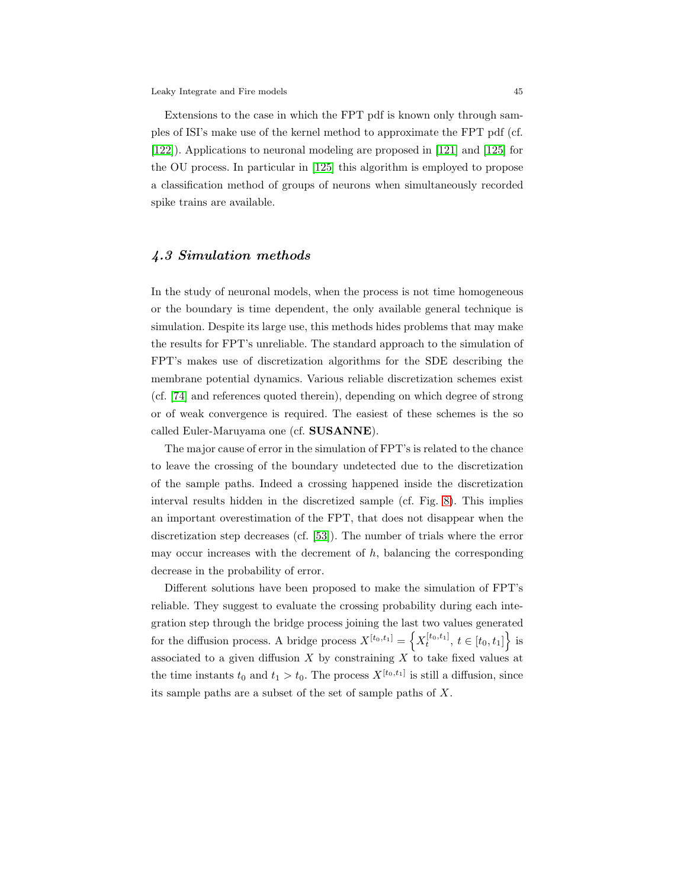Extensions to the case in which the FPT pdf is known only through samples of ISI's make use of the kernel method to approximate the FPT pdf (cf. [\[122\]](#page-59-15)). Applications to neuronal modeling are proposed in [\[121\]](#page-59-14) and [\[125\]](#page-60-14) for the OU process. In particular in [\[125\]](#page-60-14) this algorithm is employed to propose a classification method of groups of neurons when simultaneously recorded spike trains are available.

#### <span id="page-44-0"></span>4.3 Simulation methods

In the study of neuronal models, when the process is not time homogeneous or the boundary is time dependent, the only available general technique is simulation. Despite its large use, this methods hides problems that may make the results for FPT's unreliable. The standard approach to the simulation of FPT's makes use of discretization algorithms for the SDE describing the membrane potential dynamics. Various reliable discretization schemes exist (cf. [\[74\]](#page-57-14) and references quoted therein), depending on which degree of strong or of weak convergence is required. The easiest of these schemes is the so called Euler-Maruyama one (cf. SUSANNE).

The major cause of error in the simulation of FPT's is related to the chance to leave the crossing of the boundary undetected due to the discretization of the sample paths. Indeed a crossing happened inside the discretization interval results hidden in the discretized sample (cf. Fig. [8\)](#page-45-0). This implies an important overestimation of the FPT, that does not disappear when the discretization step decreases (cf. [\[53\]](#page-55-14)). The number of trials where the error may occur increases with the decrement of  $h$ , balancing the corresponding decrease in the probability of error.

Different solutions have been proposed to make the simulation of FPT's reliable. They suggest to evaluate the crossing probability during each integration step through the bridge process joining the last two values generated for the diffusion process. A bridge process  $X^{[t_0,t_1]} = \left\{ X_t^{[t_0,t_1]}, t \in [t_0,t_1] \right\}$  is associated to a given diffusion  $X$  by constraining  $X$  to take fixed values at the time instants  $t_0$  and  $t_1 > t_0$ . The process  $X^{[t_0,t_1]}$  is still a diffusion, since its sample paths are a subset of the set of sample paths of X.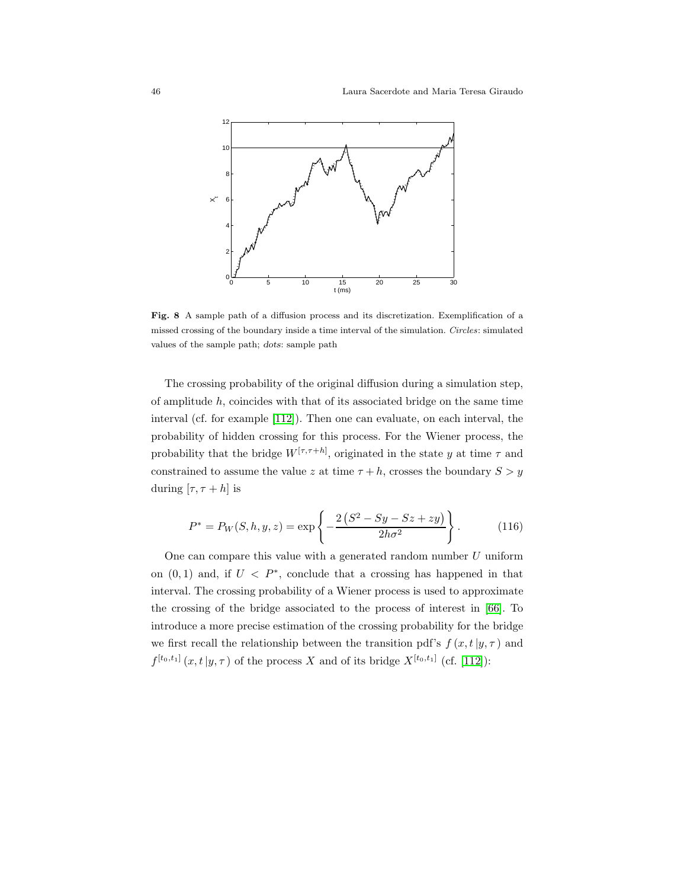

<span id="page-45-0"></span>Fig. 8 A sample path of a diffusion process and its discretization. Exemplification of a missed crossing of the boundary inside a time interval of the simulation. Circles: simulated values of the sample path; dots: sample path

The crossing probability of the original diffusion during a simulation step, of amplitude  $h$ , coincides with that of its associated bridge on the same time interval (cf. for example [\[112\]](#page-59-11)). Then one can evaluate, on each interval, the probability of hidden crossing for this process. For the Wiener process, the probability that the bridge  $W^{[\tau,\tau+h]}$ , originated in the state y at time  $\tau$  and constrained to assume the value z at time  $\tau + h$ , crosses the boundary  $S > y$ during  $[\tau, \tau + h]$  is

$$
P^* = P_W(S, h, y, z) = \exp\left\{-\frac{2\left(S^2 - Sy - Sz + zy\right)}{2h\sigma^2}\right\}.
$$
 (116)

One can compare this value with a generated random number  $U$  uniform on  $(0,1)$  and, if  $U < P^*$ , conclude that a crossing has happened in that interval. The crossing probability of a Wiener process is used to approximate the crossing of the bridge associated to the process of interest in [\[66\]](#page-56-11). To introduce a more precise estimation of the crossing probability for the bridge we first recall the relationship between the transition pdf's  $f(x, t|y, \tau)$  and  $f^{[t_0,t_1]}(x,t|y,\tau)$  of the process X and of its bridge  $X^{[t_0,t_1]}$  (cf. [\[112\]](#page-59-11)):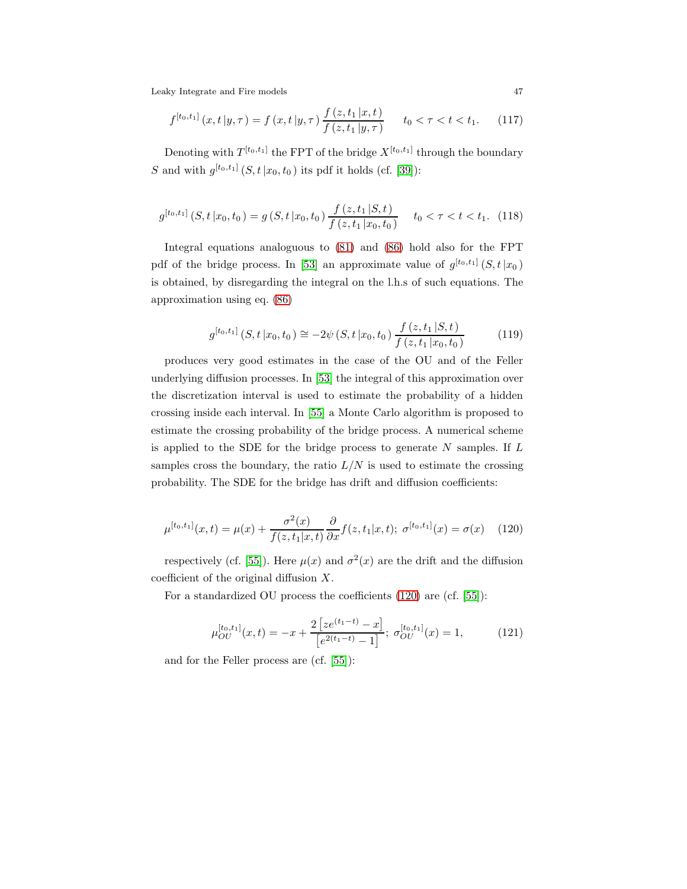$$
f^{[t_0, t_1]}(x, t | y, \tau) = f(x, t | y, \tau) \frac{f(z, t_1 | x, t)}{f(z, t_1 | y, \tau)} \qquad t_0 < \tau < t < t_1. \tag{117}
$$

Denoting with  $T^{[t_0,t_1]}$  the FPT of the bridge  $X^{[t_0,t_1]}$  through the boundary S and with  $g^{[t_0,t_1]}(S, t | x_0, t_0)$  its pdf it holds (cf. [\[39\]](#page-55-13)):

$$
g^{[t_0, t_1]}(S, t | x_0, t_0) = g(S, t | x_0, t_0) \frac{f(z, t_1 | S, t)}{f(z, t_1 | x_0, t_0)} \quad t_0 < \tau < t < t_1. \tag{118}
$$

Integral equations analoguous to [\(81\)](#page-32-0) and [\(86\)](#page-33-0) hold also for the FPT pdf of the bridge process. In [\[53\]](#page-55-14) an approximate value of  $g^{[t_0,t_1]}(S,t|x_0)$ is obtained, by disregarding the integral on the l.h.s of such equations. The approximation using eq. [\(86\)](#page-33-0)

$$
g^{[t_0, t_1]}(S, t | x_0, t_0) \cong -2\psi(S, t | x_0, t_0) \frac{f(z, t_1 | S, t)}{f(z, t_1 | x_0, t_0)}
$$
(119)

produces very good estimates in the case of the OU and of the Feller underlying diffusion processes. In [\[53\]](#page-55-14) the integral of this approximation over the discretization interval is used to estimate the probability of a hidden crossing inside each interval. In [\[55\]](#page-56-12) a Monte Carlo algorithm is proposed to estimate the crossing probability of the bridge process. A numerical scheme is applied to the SDE for the bridge process to generate  $N$  samples. If  $L$ samples cross the boundary, the ratio  $L/N$  is used to estimate the crossing probability. The SDE for the bridge has drift and diffusion coefficients:

<span id="page-46-0"></span>
$$
\mu^{[t_0, t_1]}(x, t) = \mu(x) + \frac{\sigma^2(x)}{f(z, t_1 | x, t)} \frac{\partial}{\partial x} f(z, t_1 | x, t); \ \sigma^{[t_0, t_1]}(x) = \sigma(x) \tag{120}
$$

respectively (cf. [\[55\]](#page-56-12)). Here  $\mu(x)$  and  $\sigma^2(x)$  are the drift and the diffusion coefficient of the original diffusion  $X$ .

For a standardized OU process the coefficients [\(120\)](#page-46-0) are (cf. [\[55\]](#page-56-12)):

$$
\mu_{OU}^{[t_0, t_1]}(x, t) = -x + \frac{2\left[ze^{(t_1 - t)} - x\right]}{\left[e^{2(t_1 - t)} - 1\right]}; \sigma_{OU}^{[t_0, t_1]}(x) = 1,\tag{121}
$$

and for the Feller process are (cf. [\[55\]](#page-56-12)):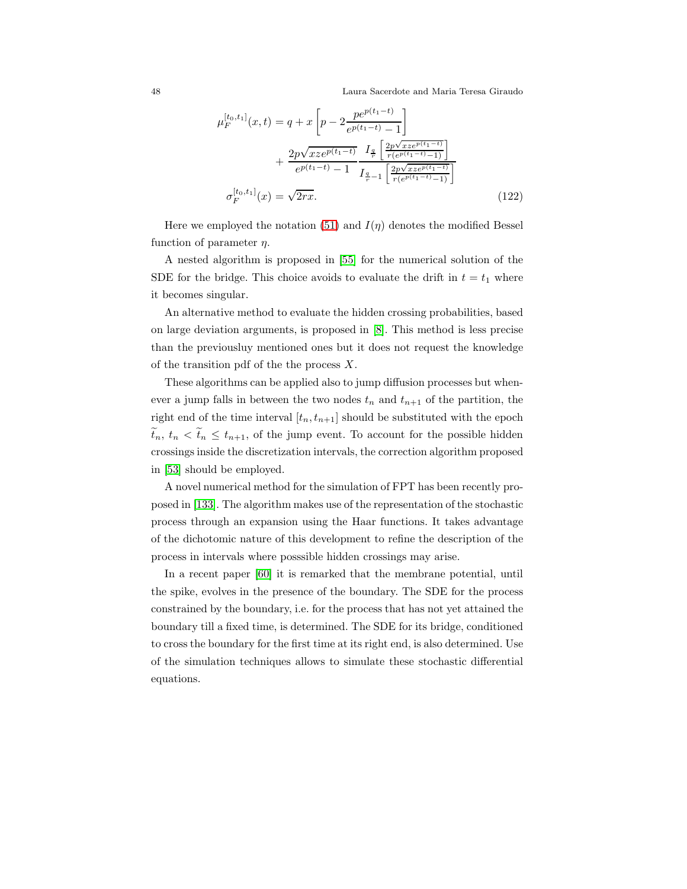48 Laura Sacerdote and Maria Teresa Giraudo

$$
\mu_F^{[t_0, t_1]}(x, t) = q + x \left[ p - 2 \frac{p e^{p(t_1 - t)}}{e^{p(t_1 - t)} - 1} \right] \n+ \frac{2p \sqrt{x z e^{p(t_1 - t)}}}{e^{p(t_1 - t)} - 1} \frac{I_{\frac{q}{r}} \left[ \frac{2p \sqrt{x z e^{p(t_1 - t)}}}{r(e^{p(t_1 - t)} - 1)} \right]}{I_{\frac{q}{r} - 1} \left[ \frac{2p \sqrt{x z e^{p(t_1 - t)}}}{r(e^{p(t_1 - t)} - 1)} \right]}
$$
\n
$$
\sigma_F^{[t_0, t_1]}(x) = \sqrt{2rx}.
$$
\n(122)

Here we employed the notation [\(51\)](#page-18-2) and  $I(\eta)$  denotes the modified Bessel function of parameter  $\eta$ .

A nested algorithm is proposed in [\[55\]](#page-56-12) for the numerical solution of the SDE for the bridge. This choice avoids to evaluate the drift in  $t = t_1$  where it becomes singular.

An alternative method to evaluate the hidden crossing probabilities, based on large deviation arguments, is proposed in [\[8\]](#page-53-12). This method is less precise than the previousluy mentioned ones but it does not request the knowledge of the transition pdf of the the process  $X$ .

These algorithms can be applied also to jump diffusion processes but whenever a jump falls in between the two nodes  $t_n$  and  $t_{n+1}$  of the partition, the right end of the time interval  $[t_n, t_{n+1}]$  should be substituted with the epoch  $\tilde{t}_n, t_n < \tilde{t}_n \leq t_{n+1}$ , of the jump event. To account for the possible hidden crossings inside the discretization intervals, the correction algorithm proposed in [\[53\]](#page-55-14) should be employed.

A novel numerical method for the simulation of FPT has been recently proposed in [\[133\]](#page-60-15). The algorithm makes use of the representation of the stochastic process through an expansion using the Haar functions. It takes advantage of the dichotomic nature of this development to refine the description of the process in intervals where posssible hidden crossings may arise.

In a recent paper [\[60\]](#page-56-13) it is remarked that the membrane potential, until the spike, evolves in the presence of the boundary. The SDE for the process constrained by the boundary, i.e. for the process that has not yet attained the boundary till a fixed time, is determined. The SDE for its bridge, conditioned to cross the boundary for the first time at its right end, is also determined. Use of the simulation techniques allows to simulate these stochastic differential equations.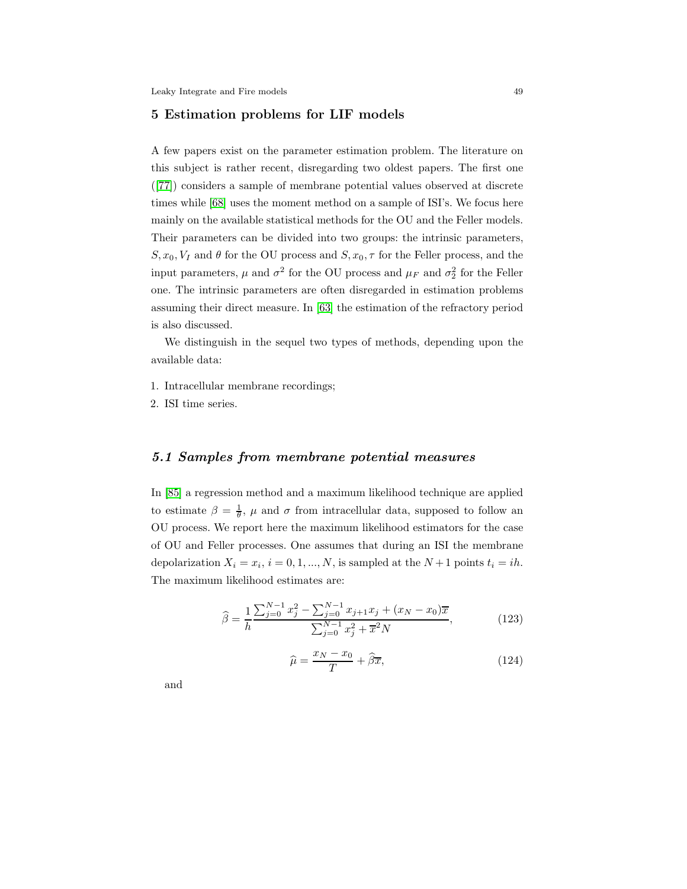#### <span id="page-48-0"></span>5 Estimation problems for LIF models

A few papers exist on the parameter estimation problem. The literature on this subject is rather recent, disregarding two oldest papers. The first one ([\[77\]](#page-57-2)) considers a sample of membrane potential values observed at discrete times while [\[68\]](#page-56-14) uses the moment method on a sample of ISI's. We focus here mainly on the available statistical methods for the OU and the Feller models. Their parameters can be divided into two groups: the intrinsic parameters,  $S, x_0, V_I$  and  $\theta$  for the OU process and  $S, x_0, \tau$  for the Feller process, and the input parameters,  $\mu$  and  $\sigma^2$  for the OU process and  $\mu_F$  and  $\sigma_2^2$  for the Feller one. The intrinsic parameters are often disregarded in estimation problems assuming their direct measure. In [\[63\]](#page-56-15) the estimation of the refractory period is also discussed.

We distinguish in the sequel two types of methods, depending upon the available data:

- 1. Intracellular membrane recordings;
- 2. ISI time series.

## 5.1 Samples from membrane potential measures

In [\[85\]](#page-57-15) a regression method and a maximum likelihood technique are applied to estimate  $\beta = \frac{1}{\theta}$ ,  $\mu$  and  $\sigma$  from intracellular data, supposed to follow an OU process. We report here the maximum likelihood estimators for the case of OU and Feller processes. One assumes that during an ISI the membrane depolarization  $X_i = x_i$ ,  $i = 0, 1, ..., N$ , is sampled at the  $N+1$  points  $t_i = ih$ . The maximum likelihood estimates are:

<span id="page-48-1"></span>
$$
\widehat{\beta} = \frac{1}{h} \frac{\sum_{j=0}^{N-1} x_j^2 - \sum_{j=0}^{N-1} x_{j+1} x_j + (x_N - x_0)\overline{x}}{\sum_{j=0}^{N-1} x_j^2 + \overline{x}^2 N},
$$
(123)

<span id="page-48-2"></span>
$$
\widehat{\mu} = \frac{x_N - x_0}{T} + \widehat{\beta}\overline{x},\tag{124}
$$

and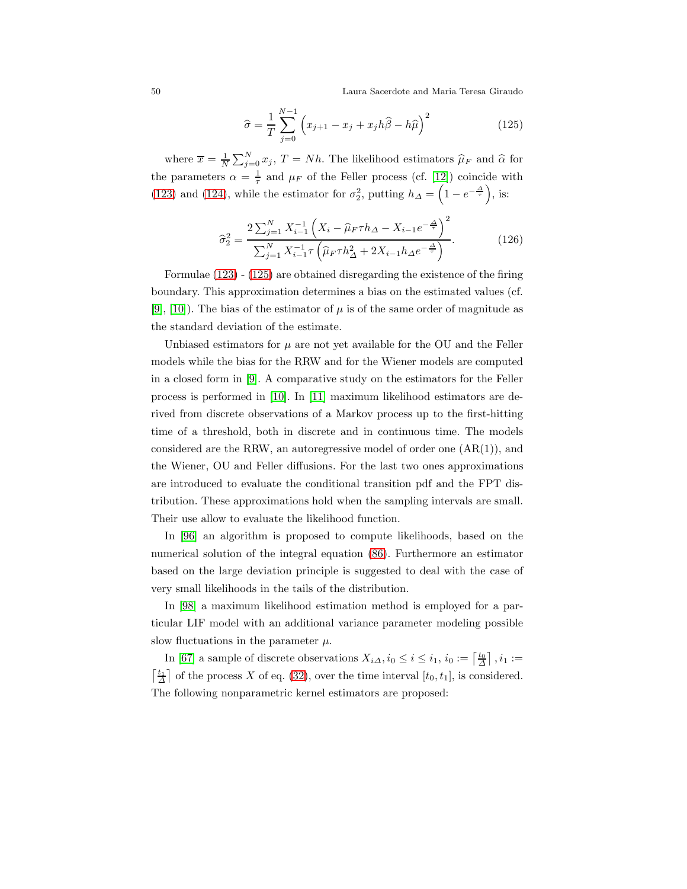50 Laura Sacerdote and Maria Teresa Giraudo

<span id="page-49-0"></span>
$$
\widehat{\sigma} = \frac{1}{T} \sum_{j=0}^{N-1} \left( x_{j+1} - x_j + x_j h \widehat{\beta} - h \widehat{\mu} \right)^2 \tag{125}
$$

where  $\bar{x} = \frac{1}{N} \sum_{j=0}^{N} x_j$ ,  $T = Nh$ . The likelihood estimators  $\hat{\mu}_F$  and  $\hat{\alpha}$  for the parameters  $\alpha = \frac{1}{\tau}$  and  $\mu_F$  of the Feller process (cf. [\[12\]](#page-53-13)) coincide with [\(123\)](#page-48-1) and [\(124\)](#page-48-2), while the estimator for  $\sigma_2^2$ , putting  $h_{\Delta} = \left(1 - e^{-\frac{\Delta}{\tau}}\right)$ , is:

$$
\hat{\sigma}_2^2 = \frac{2\sum_{j=1}^N X_{i-1}^{-1} \left( X_i - \hat{\mu}_F \tau h_{\Delta} - X_{i-1} e^{-\frac{\Delta}{\tau}} \right)^2}{\sum_{j=1}^N X_{i-1}^{-1} \tau \left( \hat{\mu}_F \tau h_{\Delta}^2 + 2X_{i-1} h_{\Delta} e^{-\frac{\Delta}{\tau}} \right)}.
$$
(126)

Formulae [\(123\)](#page-48-1) - [\(125\)](#page-49-0) are obtained disregarding the existence of the firing boundary. This approximation determines a bias on the estimated values (cf. [\[9\]](#page-53-14), [\[10\]](#page-53-15)). The bias of the estimator of  $\mu$  is of the same order of magnitude as the standard deviation of the estimate.

Unbiased estimators for  $\mu$  are not yet available for the OU and the Feller models while the bias for the RRW and for the Wiener models are computed in a closed form in [\[9\]](#page-53-14). A comparative study on the estimators for the Feller process is performed in [\[10\]](#page-53-15). In [\[11\]](#page-53-16) maximum likelihood estimators are derived from discrete observations of a Markov process up to the first-hitting time of a threshold, both in discrete and in continuous time. The models considered are the RRW, an autoregressive model of order one  $(AR(1))$ , and the Wiener, OU and Feller diffusions. For the last two ones approximations are introduced to evaluate the conditional transition pdf and the FPT distribution. These approximations hold when the sampling intervals are small. Their use allow to evaluate the likelihood function.

In [\[96\]](#page-58-14) an algorithm is proposed to compute likelihoods, based on the numerical solution of the integral equation [\(86\)](#page-33-0). Furthermore an estimator based on the large deviation principle is suggested to deal with the case of very small likelihoods in the tails of the distribution.

In [\[98\]](#page-58-15) a maximum likelihood estimation method is employed for a particular LIF model with an additional variance parameter modeling possible slow fluctuations in the parameter  $\mu$ .

In [\[67\]](#page-56-6) a sample of discrete observations  $X_{i\Delta}$ ,  $i_0 \le i \le i_1$ ,  $i_0 := \lceil \frac{t_0}{\Delta} \rceil$ ,  $i_1 :=$  $\lceil \frac{t_1}{\Delta} \rceil$  of the process X of eq. [\(32\)](#page-13-2), over the time interval  $[t_0, t_1]$ , is considered. The following nonparametric kernel estimators are proposed: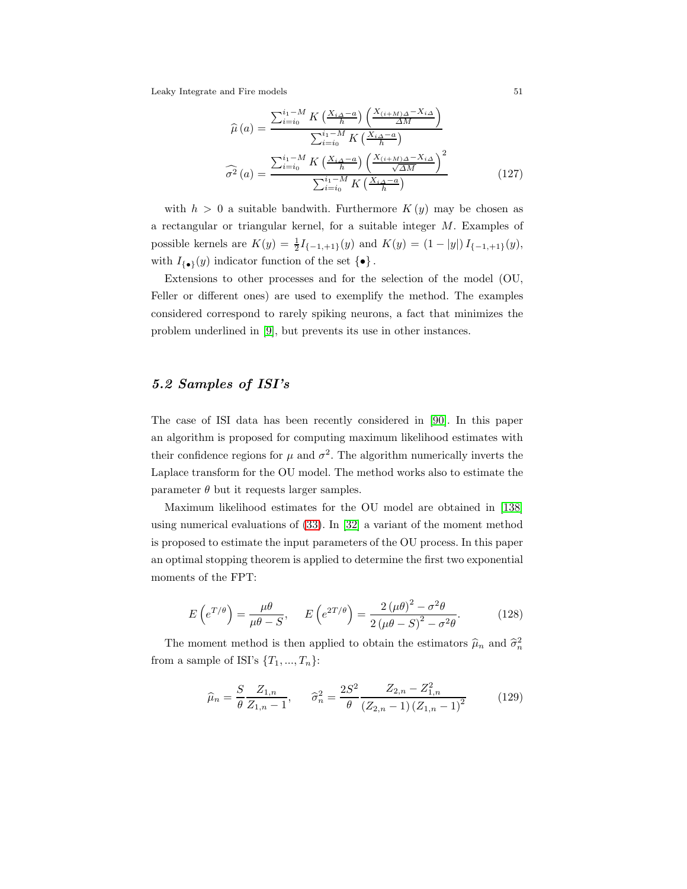$$
\widehat{\mu}(a) = \frac{\sum_{i=i_0}^{i_1 - M} K\left(\frac{X_{i\Delta} - a}{h}\right) \left(\frac{X_{(i+M)\Delta} - X_{i\Delta}}{\Delta M}\right)}{\sum_{i=i_0}^{i_1 - M} K\left(\frac{X_{i\Delta} - a}{h}\right)}
$$

$$
\widehat{\sigma^2}(a) = \frac{\sum_{i=i_0}^{i_1 - M} K\left(\frac{X_{i\Delta} - a}{h}\right) \left(\frac{X_{(i+M)\Delta} - X_{i\Delta}}{\sqrt{\Delta M}}\right)^2}{\sum_{i=i_0}^{i_1 - M} K\left(\frac{X_{i\Delta} - a}{h}\right)}
$$
(127)

with  $h > 0$  a suitable bandwith. Furthermore  $K(y)$  may be chosen as a rectangular or triangular kernel, for a suitable integer M. Examples of possible kernels are  $K(y) = \frac{1}{2}I_{\{-1,+1\}}(y)$  and  $K(y) = (1 - |y|)I_{\{-1,+1\}}(y)$ , with  $I_{\{\bullet\}}(y)$  indicator function of the set  $\{\bullet\}$ .

Extensions to other processes and for the selection of the model (OU, Feller or different ones) are used to exemplify the method. The examples considered correspond to rarely spiking neurons, a fact that minimizes the problem underlined in [\[9\]](#page-53-14), but prevents its use in other instances.

## 5.2 Samples of ISI's

The case of ISI data has been recently considered in [\[90\]](#page-57-16). In this paper an algorithm is proposed for computing maximum likelihood estimates with their confidence regions for  $\mu$  and  $\sigma^2$ . The algorithm numerically inverts the Laplace transform for the OU model. The method works also to estimate the parameter  $\theta$  but it requests larger samples.

Maximum likelihood estimates for the OU model are obtained in [\[138\]](#page-60-6) using numerical evaluations of [\(33\)](#page-13-1). In [\[32\]](#page-54-12) a variant of the moment method is proposed to estimate the input parameters of the OU process. In this paper an optimal stopping theorem is applied to determine the first two exponential moments of the FPT:

$$
E\left(e^{T/\theta}\right) = \frac{\mu\theta}{\mu\theta - S}, \qquad E\left(e^{2T/\theta}\right) = \frac{2\left(\mu\theta\right)^2 - \sigma^2\theta}{2\left(\mu\theta - S\right)^2 - \sigma^2\theta}.\tag{128}
$$

The moment method is then applied to obtain the estimators  $\hat{\mu}_n$  and  $\hat{\sigma}_n^2$ from a sample of ISI's  $\{T_1, ..., T_n\}$ :

$$
\widehat{\mu}_n = \frac{S}{\theta} \frac{Z_{1,n}}{Z_{1,n} - 1}, \qquad \widehat{\sigma}_n^2 = \frac{2S^2}{\theta} \frac{Z_{2,n} - Z_{1,n}^2}{(Z_{2,n} - 1) (Z_{1,n} - 1)^2}
$$
(129)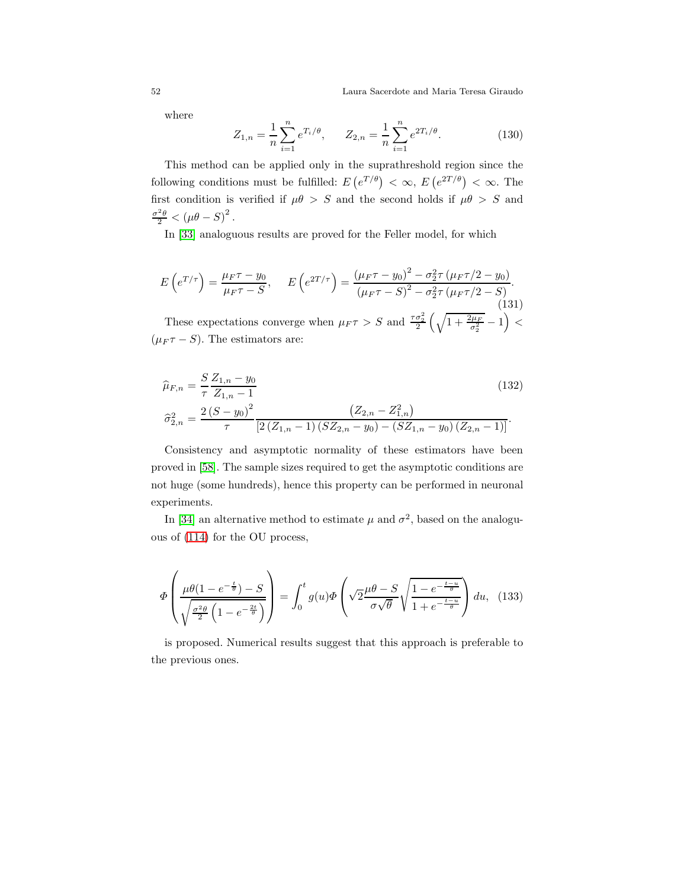52 Laura Sacerdote and Maria Teresa Giraudo

where

$$
Z_{1,n} = \frac{1}{n} \sum_{i=1}^{n} e^{T_i/\theta}, \qquad Z_{2,n} = \frac{1}{n} \sum_{i=1}^{n} e^{2T_i/\theta}.
$$
 (130)

This method can be applied only in the suprathreshold region since the following conditions must be fulfilled:  $E(e^{T/\theta}) < \infty$ ,  $E(e^{2T/\theta}) < \infty$ . The first condition is verified if  $\mu\theta > S$  and the second holds if  $\mu\theta > S$  and  $\frac{\sigma^2 \theta}{2} < (\mu \theta - S)^2$ .

In [\[33\]](#page-54-13) analoguous results are proved for the Feller model, for which

$$
E\left(e^{T/\tau}\right) = \frac{\mu_F \tau - y_0}{\mu_F \tau - S}, \qquad E\left(e^{2T/\tau}\right) = \frac{\left(\mu_F \tau - y_0\right)^2 - \sigma_2^2 \tau \left(\mu_F \tau/2 - y_0\right)}{\left(\mu_F \tau - S\right)^2 - \sigma_2^2 \tau \left(\mu_F \tau/2 - S\right)}.\tag{131}
$$
\n
$$
\text{These expectations converge when } \mu_F \tau > S \text{ and } \frac{\tau \sigma_2^2}{2} \left(\sqrt{1 + \frac{2\mu_F}{\sigma_2^2}} - 1\right) < \left(\mu_F \tau - S\right). \text{ The estimators are:}
$$

$$
\widehat{\mu}_{F,n} = \frac{S Z_{1,n} - y_0}{\tau Z_{1,n} - 1}
$$
\n
$$
\widehat{\sigma}_{2,n}^2 = \frac{2(S - y_0)^2}{\tau} \frac{(Z_{2,n} - Z_{1,n}^2)}{[2(Z_{1,n} - 1)(SZ_{2,n} - y_0) - (SZ_{1,n} - y_0)(Z_{2,n} - 1)]}.
$$
\n(132)

Consistency and asymptotic normality of these estimators have been proved in [\[58\]](#page-56-16). The sample sizes required to get the asymptotic conditions are not huge (some hundreds), hence this property can be performed in neuronal experiments.

In [\[34\]](#page-54-14) an alternative method to estimate  $\mu$  and  $\sigma^2$ , based on the analoguous of [\(114\)](#page-43-1) for the OU process,

$$
\Phi\left(\frac{\mu\theta(1-e^{-\frac{t}{\theta}})-S}{\sqrt{\frac{\sigma^2\theta}{2}\left(1-e^{-\frac{2t}{\theta}}\right)}}\right)=\int_0^t g(u)\Phi\left(\sqrt{2}\frac{\mu\theta-S}{\sigma\sqrt{\theta}}\sqrt{\frac{1-e^{-\frac{t-u}{\theta}}}{1+e^{-\frac{t-u}{\theta}}}}\right)du,\tag{133}
$$

is proposed. Numerical results suggest that this approach is preferable to the previous ones.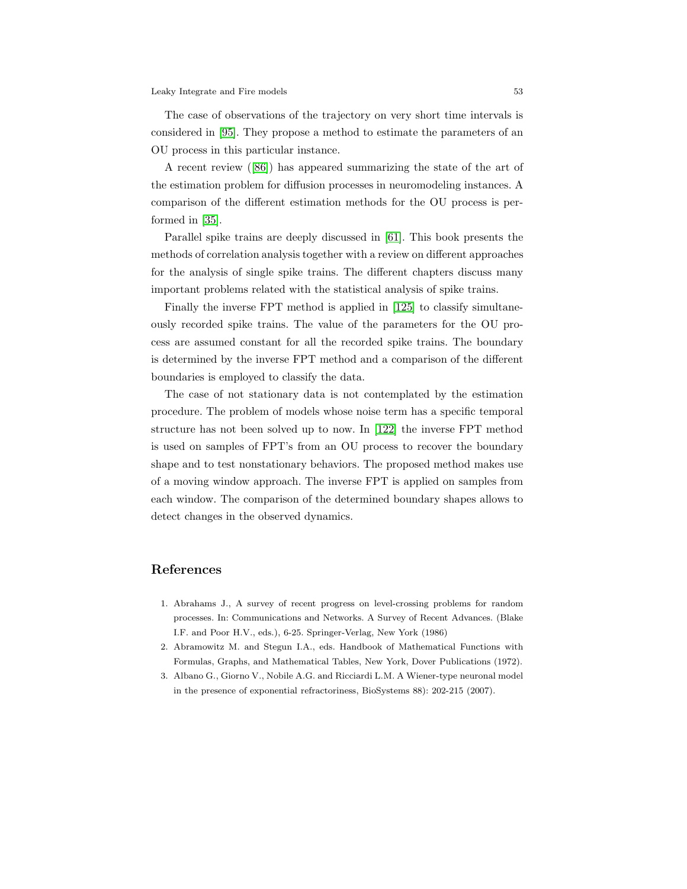The case of observations of the trajectory on very short time intervals is considered in [\[95\]](#page-58-16). They propose a method to estimate the parameters of an OU process in this particular instance.

A recent review ([\[86\]](#page-57-17)) has appeared summarizing the state of the art of the estimation problem for diffusion processes in neuromodeling instances. A comparison of the different estimation methods for the OU process is performed in [\[35\]](#page-54-15).

Parallel spike trains are deeply discussed in [\[61\]](#page-56-17). This book presents the methods of correlation analysis together with a review on different approaches for the analysis of single spike trains. The different chapters discuss many important problems related with the statistical analysis of spike trains.

Finally the inverse FPT method is applied in [\[125\]](#page-60-14) to classify simultaneously recorded spike trains. The value of the parameters for the OU process are assumed constant for all the recorded spike trains. The boundary is determined by the inverse FPT method and a comparison of the different boundaries is employed to classify the data.

The case of not stationary data is not contemplated by the estimation procedure. The problem of models whose noise term has a specific temporal structure has not been solved up to now. In [\[122\]](#page-59-15) the inverse FPT method is used on samples of FPT's from an OU process to recover the boundary shape and to test nonstationary behaviors. The proposed method makes use of a moving window approach. The inverse FPT is applied on samples from each window. The comparison of the determined boundary shapes allows to detect changes in the observed dynamics.

## <span id="page-52-0"></span>References

- 1. Abrahams J., A survey of recent progress on level-crossing problems for random processes. In: Communications and Networks. A Survey of Recent Advances. (Blake I.F. and Poor H.V., eds.), 6-25. Springer-Verlag, New York (1986)
- <span id="page-52-2"></span><span id="page-52-1"></span>2. Abramowitz M. and Stegun I.A., eds. Handbook of Mathematical Functions with Formulas, Graphs, and Mathematical Tables, New York, Dover Publications (1972).
- 3. Albano G., Giorno V., Nobile A.G. and Ricciardi L.M. A Wiener-type neuronal model in the presence of exponential refractoriness, BioSystems 88): 202-215 (2007).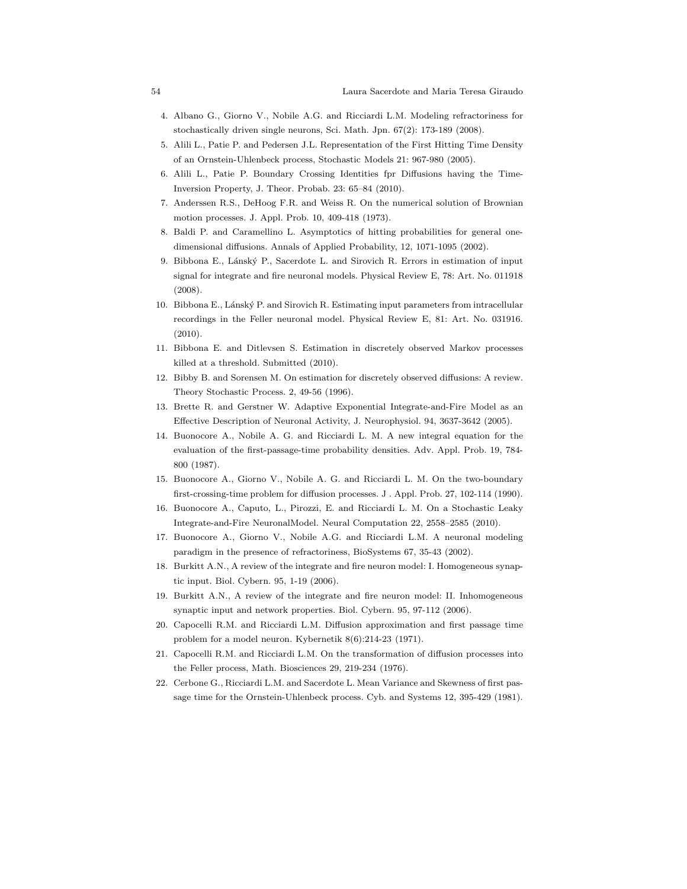- <span id="page-53-3"></span>4. Albano G., Giorno V., Nobile A.G. and Ricciardi L.M. Modeling refractoriness for stochastically driven single neurons, Sci. Math. Jpn. 67(2): 173-189 (2008).
- <span id="page-53-10"></span>5. Alili L., Patie P. and Pedersen J.L. Representation of the First Hitting Time Density of an Ornstein-Uhlenbeck process, Stochastic Models 21: 967-980 (2005).
- <span id="page-53-11"></span>6. Alili L., Patie P. Boundary Crossing Identities fpr Diffusions having the Time-Inversion Property, J. Theor. Probab. 23: 65–84 (2010).
- <span id="page-53-12"></span>7. Anderssen R.S., DeHoog F.R. and Weiss R. On the numerical solution of Brownian motion processes. J. Appl. Prob. 10, 409-418 (1973).
- <span id="page-53-14"></span>8. Baldi P. and Caramellino L. Asymptotics of hitting probabilities for general onedimensional diffusions. Annals of Applied Probability, 12, 1071-1095 (2002).
- 9. Bibbona E., Lánský P., Sacerdote L. and Sirovich R. Errors in estimation of input signal for integrate and fire neuronal models. Physical Review E, 78: Art. No. 011918 (2008).
- <span id="page-53-15"></span>10. Bibbona E., Lánský P. and Sirovich R. Estimating input parameters from intracellular recordings in the Feller neuronal model. Physical Review E, 81: Art. No. 031916. (2010).
- <span id="page-53-16"></span><span id="page-53-13"></span>11. Bibbona E. and Ditlevsen S. Estimation in discretely observed Markov processes killed at a threshold. Submitted (2010).
- <span id="page-53-6"></span>12. Bibby B. and Sorensen M. On estimation for discretely observed diffusions: A review. Theory Stochastic Process. 2, 49-56 (1996).
- <span id="page-53-4"></span>13. Brette R. and Gerstner W. Adaptive Exponential Integrate-and-Fire Model as an Effective Description of Neuronal Activity, J. Neurophysiol. 94, 3637-3642 (2005).
- 14. Buonocore A., Nobile A. G. and Ricciardi L. M. A new integral equation for the evaluation of the first-passage-time probability densities. Adv. Appl. Prob. 19, 784- 800 (1987).
- <span id="page-53-7"></span>15. Buonocore A., Giorno V., Nobile A. G. and Ricciardi L. M. On the two-boundary first-crossing-time problem for diffusion processes. J . Appl. Prob. 27, 102-114 (1990).
- <span id="page-53-8"></span>16. Buonocore A., Caputo, L., Pirozzi, E. and Ricciardi L. M. On a Stochastic Leaky Integrate-and-Fire NeuronalModel. Neural Computation 22, 2558–2585 (2010).
- <span id="page-53-0"></span>17. Buonocore A., Giorno V., Nobile A.G. and Ricciardi L.M. A neuronal modeling paradigm in the presence of refractoriness, BioSystems 67, 35-43 (2002).
- <span id="page-53-1"></span>18. Burkitt A.N., A review of the integrate and fire neuron model: I. Homogeneous synaptic input. Biol. Cybern. 95, 1-19 (2006).
- <span id="page-53-2"></span>19. Burkitt A.N., A review of the integrate and fire neuron model: II. Inhomogeneous synaptic input and network properties. Biol. Cybern. 95, 97-112 (2006).
- <span id="page-53-9"></span>20. Capocelli R.M. and Ricciardi L.M. Diffusion approximation and first passage time problem for a model neuron. Kybernetik 8(6):214-23 (1971).
- <span id="page-53-5"></span>21. Capocelli R.M. and Ricciardi L.M. On the transformation of diffusion processes into the Feller process, Math. Biosciences 29, 219-234 (1976).
- 22. Cerbone G., Ricciardi L.M. and Sacerdote L. Mean Variance and Skewness of first passage time for the Ornstein-Uhlenbeck process. Cyb. and Systems 12, 395-429 (1981).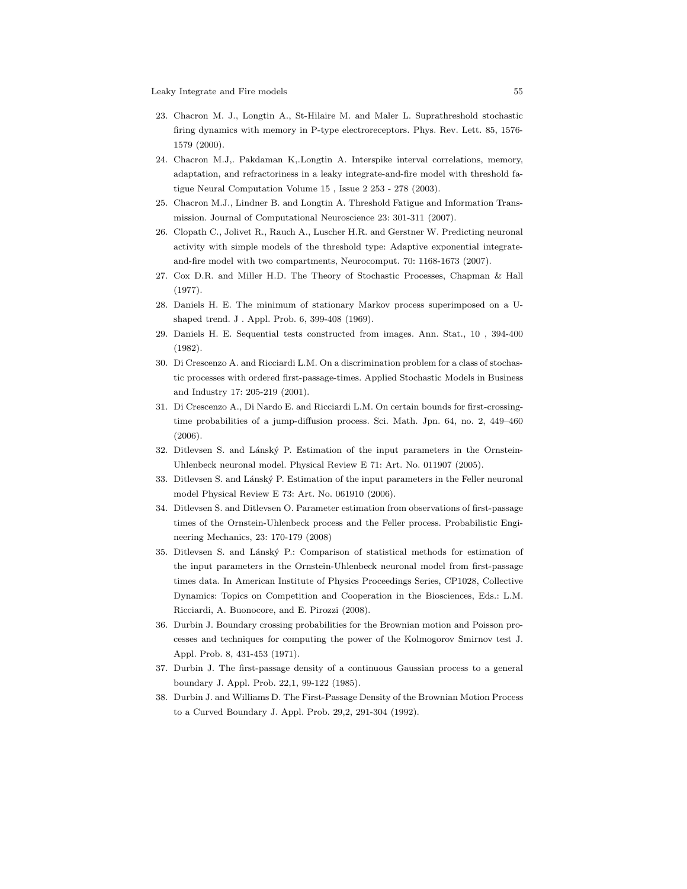- <span id="page-54-6"></span>23. Chacron M. J., Longtin A., St-Hilaire M. and Maler L. Suprathreshold stochastic firing dynamics with memory in P-type electroreceptors. Phys. Rev. Lett. 85, 1576- 1579 (2000).
- <span id="page-54-7"></span>24. Chacron M.J,. Pakdaman K,.Longtin A. Interspike interval correlations, memory, adaptation, and refractoriness in a leaky integrate-and-fire model with threshold fatigue Neural Computation Volume 15 , Issue 2 253 - 278 (2003).
- <span id="page-54-9"></span><span id="page-54-8"></span>25. Chacron M.J., Lindner B. and Longtin A. Threshold Fatigue and Information Transmission. Journal of Computational Neuroscience 23: 301-311 (2007).
- 26. Clopath C., Jolivet R., Rauch A., Luscher H.R. and Gerstner W. Predicting neuronal activity with simple models of the threshold type: Adaptive exponential integrateand-fire model with two compartments, Neurocomput. 70: 1168-1673 (2007).
- <span id="page-54-10"></span><span id="page-54-0"></span>27. Cox D.R. and Miller H.D. The Theory of Stochastic Processes, Chapman & Hall (1977).
- <span id="page-54-1"></span>28. Daniels H. E. The minimum of stationary Markov process superimposed on a Ushaped trend. J . Appl. Prob. 6, 399-408 (1969).
- <span id="page-54-4"></span>29. Daniels H. E. Sequential tests constructed from images. Ann. Stat., 10 , 394-400 (1982).
- 30. Di Crescenzo A. and Ricciardi L.M. On a discrimination problem for a class of stochastic processes with ordered first-passage-times. Applied Stochastic Models in Business and Industry 17: 205-219 (2001).
- <span id="page-54-5"></span>31. Di Crescenzo A., Di Nardo E. and Ricciardi L.M. On certain bounds for first-crossingtime probabilities of a jump-diffusion process. Sci. Math. Jpn. 64, no. 2, 449–460 (2006).
- <span id="page-54-13"></span><span id="page-54-12"></span>32. Ditlevsen S. and Lánský P. Estimation of the input parameters in the Ornstein-Uhlenbeck neuronal model. Physical Review E 71: Art. No. 011907 (2005).
- <span id="page-54-14"></span>33. Ditlevsen S. and Lánský P. Estimation of the input parameters in the Feller neuronal model Physical Review E 73: Art. No. 061910 (2006).
- 34. Ditlevsen S. and Ditlevsen O. Parameter estimation from observations of first-passage times of the Ornstein-Uhlenbeck process and the Feller process. Probabilistic Engineering Mechanics, 23: 170-179 (2008)
- <span id="page-54-15"></span>35. Ditlevsen S. and Lánský P.: Comparison of statistical methods for estimation of the input parameters in the Ornstein-Uhlenbeck neuronal model from first-passage times data. In American Institute of Physics Proceedings Series, CP1028, Collective Dynamics: Topics on Competition and Cooperation in the Biosciences, Eds.: L.M. Ricciardi, A. Buonocore, and E. Pirozzi (2008).
- <span id="page-54-11"></span>36. Durbin J. Boundary crossing probabilities for the Brownian motion and Poisson processes and techniques for computing the power of the Kolmogorov Smirnov test J. Appl. Prob. 8, 431-453 (1971).
- <span id="page-54-3"></span><span id="page-54-2"></span>37. Durbin J. The first-passage density of a continuous Gaussian process to a general boundary J. Appl. Prob. 22,1, 99-122 (1985).
- 38. Durbin J. and Williams D. The First-Passage Density of the Brownian Motion Process to a Curved Boundary J. Appl. Prob. 29,2, 291-304 (1992).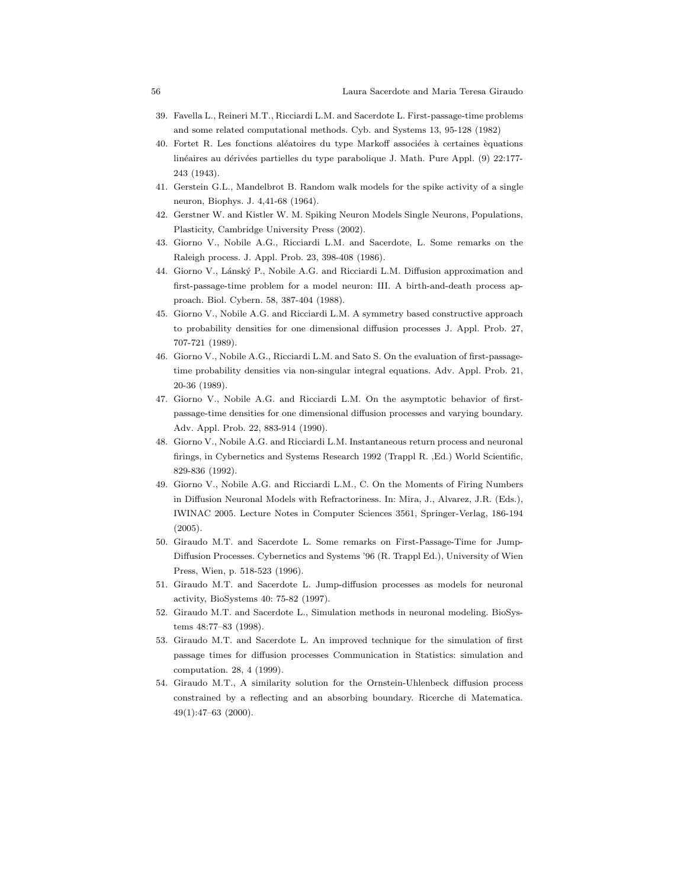- <span id="page-55-10"></span>39. Favella L., Reineri M.T., Ricciardi L.M. and Sacerdote L. First-passage-time problems and some related computational methods. Cyb. and Systems 13, 95-128 (1982)
- 40. Fortet R. Les fonctions aléatoires du type Markoff associées à certaines équations linéaires au dérivées partielles du type parabolique J. Math. Pure Appl. (9) 22:177-243 (1943).
- <span id="page-55-1"></span><span id="page-55-0"></span>41. Gerstein G.L., Mandelbrot B. Random walk models for the spike activity of a single neuron, Biophys. J. 4,41-68 (1964).
- <span id="page-55-4"></span>42. Gerstner W. and Kistler W. M. Spiking Neuron Models Single Neurons, Populations, Plasticity, Cambridge University Press (2002).
- <span id="page-55-3"></span>43. Giorno V., Nobile A.G., Ricciardi L.M. and Sacerdote, L. Some remarks on the Raleigh process. J. Appl. Prob. 23, 398-408 (1986).
- 44. Giorno V., Lánský P., Nobile A.G. and Ricciardi L.M. Diffusion approximation and first-passage-time problem for a model neuron: III. A birth-and-death process approach. Biol. Cybern. 58, 387-404 (1988).
- <span id="page-55-8"></span>45. Giorno V., Nobile A.G. and Ricciardi L.M. A symmetry based constructive approach to probability densities for one dimensional diffusion processes J. Appl. Prob. 27, 707-721 (1989).
- 46. Giorno V., Nobile A.G., Ricciardi L.M. and Sato S. On the evaluation of first-passagetime probability densities via non-singular integral equations. Adv. Appl. Prob. 21, 20-36 (1989).
- <span id="page-55-2"></span>47. Giorno V., Nobile A.G. and Ricciardi L.M. On the asymptotic behavior of firstpassage-time densities for one dimensional diffusion processes and varying boundary. Adv. Appl. Prob. 22, 883-914 (1990).
- <span id="page-55-7"></span>48. Giorno V., Nobile A.G. and Ricciardi L.M. Instantaneous return process and neuronal firings, in Cybernetics and Systems Research 1992 (Trappl R. ,Ed.) World Scientific, 829-836 (1992).
- <span id="page-55-6"></span>49. Giorno V., Nobile A.G. and Ricciardi L.M., C. On the Moments of Firing Numbers in Diffusion Neuronal Models with Refractoriness. In: Mira, J., Alvarez, J.R. (Eds.), IWINAC 2005. Lecture Notes in Computer Sciences 3561, Springer-Verlag, 186-194 (2005).
- <span id="page-55-11"></span>50. Giraudo M.T. and Sacerdote L. Some remarks on First-Passage-Time for Jump-Diffusion Processes. Cybernetics and Systems '96 (R. Trappl Ed.), University of Wien Press, Wien, p. 518-523 (1996).
- <span id="page-55-12"></span><span id="page-55-5"></span>51. Giraudo M.T. and Sacerdote L. Jump-diffusion processes as models for neuronal activity, BioSystems 40: 75-82 (1997).
- <span id="page-55-14"></span>52. Giraudo M.T. and Sacerdote L., Simulation methods in neuronal modeling. BioSystems 48:77–83 (1998).
- 53. Giraudo M.T. and Sacerdote L. An improved technique for the simulation of first passage times for diffusion processes Communication in Statistics: simulation and computation. 28, 4 (1999).
- <span id="page-55-9"></span>54. Giraudo M.T., A similarity solution for the Ornstein-Uhlenbeck diffusion process constrained by a reflecting and an absorbing boundary. Ricerche di Matematica. 49(1):47–63 (2000).

<span id="page-55-13"></span>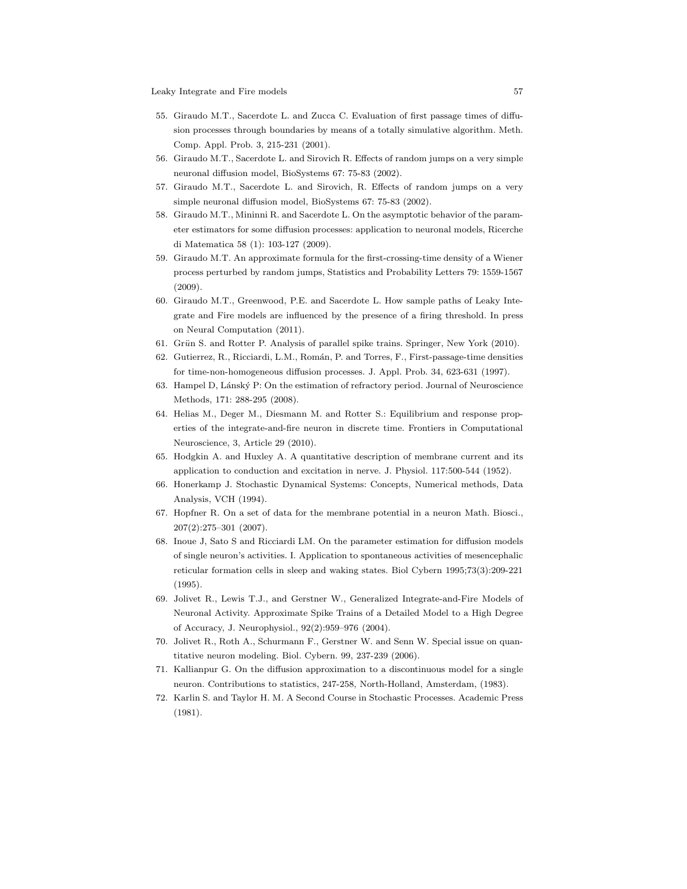- <span id="page-56-12"></span>55. Giraudo M.T., Sacerdote L. and Zucca C. Evaluation of first passage times of diffusion processes through boundaries by means of a totally simulative algorithm. Meth. Comp. Appl. Prob. 3, 215-231 (2001).
- <span id="page-56-8"></span><span id="page-56-7"></span>56. Giraudo M.T., Sacerdote L. and Sirovich R. Effects of random jumps on a very simple neuronal diffusion model, BioSystems 67: 75-83 (2002).
- <span id="page-56-16"></span>57. Giraudo M.T., Sacerdote L. and Sirovich, R. Effects of random jumps on a very simple neuronal diffusion model, BioSystems 67: 75-83 (2002).
- 58. Giraudo M.T., Mininni R. and Sacerdote L. On the asymptotic behavior of the parameter estimators for some diffusion processes: application to neuronal models, Ricerche di Matematica 58 (1): 103-127 (2009).
- <span id="page-56-9"></span>59. Giraudo M.T. An approximate formula for the first-crossing-time density of a Wiener process perturbed by random jumps, Statistics and Probability Letters 79: 1559-1567 (2009).
- <span id="page-56-13"></span>60. Giraudo M.T., Greenwood, P.E. and Sacerdote L. How sample paths of Leaky Integrate and Fire models are influenced by the presence of a firing threshold. In press on Neural Computation (2011).
- <span id="page-56-17"></span><span id="page-56-10"></span>61. Grün S. and Rotter P. Analysis of parallel spike trains. Springer, New York (2010).
- <span id="page-56-15"></span>62. Gutierrez, R., Ricciardi, L.M., Román, P. and Torres, F., First-passage-time densities for time-non-homogeneous diffusion processes. J. Appl. Prob. 34, 623-631 (1997).
- <span id="page-56-1"></span>63. Hampel D, L´ansk´y P: On the estimation of refractory period. Journal of Neuroscience Methods, 171: 288-295 (2008).
- 64. Helias M., Deger M., Diesmann M. and Rotter S.: Equilibrium and response properties of the integrate-and-fire neuron in discrete time. Frontiers in Computational Neuroscience, 3, Article 29 (2010).
- <span id="page-56-11"></span><span id="page-56-0"></span>65. Hodgkin A. and Huxley A. A quantitative description of membrane current and its application to conduction and excitation in nerve. J. Physiol. 117:500-544 (1952).
- <span id="page-56-6"></span>66. Honerkamp J. Stochastic Dynamical Systems: Concepts, Numerical methods, Data Analysis, VCH (1994).
- <span id="page-56-14"></span>67. Hopfner R. On a set of data for the membrane potential in a neuron Math. Biosci., 207(2):275–301 (2007).
- 68. Inoue J, Sato S and Ricciardi LM. On the parameter estimation for diffusion models of single neuron's activities. I. Application to spontaneous activities of mesencephalic reticular formation cells in sleep and waking states. Biol Cybern 1995;73(3):209-221 (1995).
- <span id="page-56-3"></span>69. Jolivet R., Lewis T.J., and Gerstner W., Generalized Integrate-and-Fire Models of Neuronal Activity. Approximate Spike Trains of a Detailed Model to a High Degree of Accuracy, J. Neurophysiol., 92(2):959–976 (2004).
- <span id="page-56-5"></span><span id="page-56-2"></span>70. Jolivet R., Roth A., Schurmann F., Gerstner W. and Senn W. Special issue on quantitative neuron modeling. Biol. Cybern. 99, 237-239 (2006).
- <span id="page-56-4"></span>71. Kallianpur G. On the diffusion approximation to a discontinuous model for a single neuron. Contributions to statistics, 247-258, North-Holland, Amsterdam, (1983).
- 72. Karlin S. and Taylor H. M. A Second Course in Stochastic Processes. Academic Press (1981).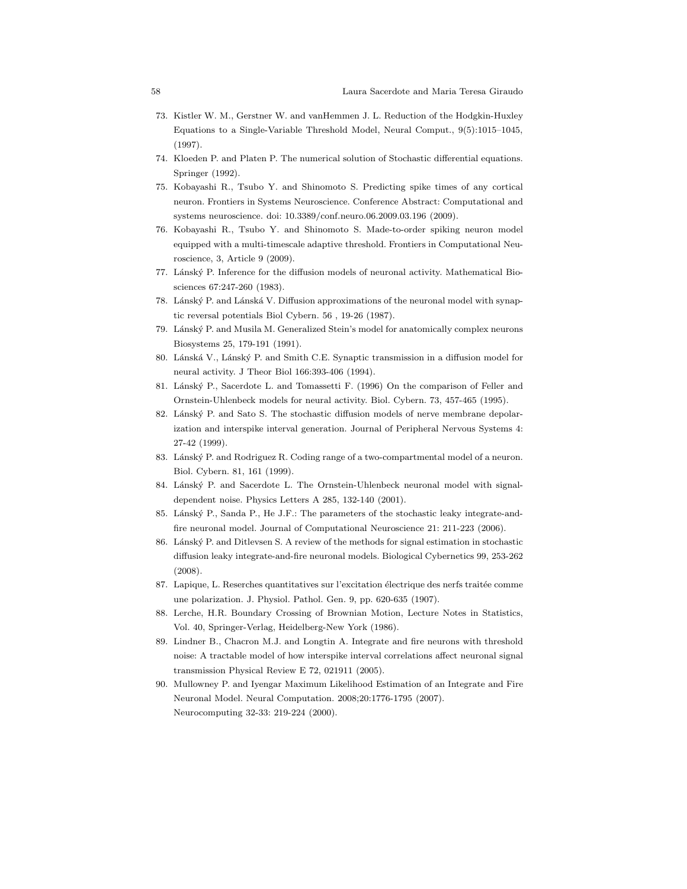- 73. Kistler W. M., Gerstner W. and vanHemmen J. L. Reduction of the Hodgkin-Huxley Equations to a Single-Variable Threshold Model, Neural Comput., 9(5):1015–1045, (1997).
- <span id="page-57-14"></span><span id="page-57-9"></span>74. Kloeden P. and Platen P. The numerical solution of Stochastic differential equations. Springer (1992).
- 75. Kobayashi R., Tsubo Y. and Shinomoto S. Predicting spike times of any cortical neuron. Frontiers in Systems Neuroscience. Conference Abstract: Computational and systems neuroscience. doi: 10.3389/conf.neuro.06.2009.03.196 (2009).
- <span id="page-57-10"></span>76. Kobayashi R., Tsubo Y. and Shinomoto S. Made-to-order spiking neuron model equipped with a multi-timescale adaptive threshold. Frontiers in Computational Neuroscience, 3, Article 9 (2009).
- <span id="page-57-6"></span><span id="page-57-2"></span>77. Lánský P. Inference for the diffusion models of neuronal activity. Mathematical Biosciences 67:247-260 (1983).
- <span id="page-57-8"></span>78. Lánský P. and Lánská V. Diffusion approximations of the neuronal model with synaptic reversal potentials Biol Cybern. 56 , 19-26 (1987).
- <span id="page-57-7"></span>79. Lánský P. and Musila M. Generalized Stein's model for anatomically complex neurons Biosystems 25, 179-191 (1991).
- <span id="page-57-5"></span>80. Lánská V., Lánský P. and Smith C.E. Synaptic transmission in a diffusion model for neural activity. J Theor Biol 166:393-406 (1994).
- <span id="page-57-3"></span>81. Lánský P., Sacerdote L. and Tomassetti F. (1996) On the comparison of Feller and Ornstein-Uhlenbeck models for neural activity. Biol. Cybern. 73, 457-465 (1995).
- 82. Lánský P. and Sato S. The stochastic diffusion models of nerve membrane depolarization and interspike interval generation. Journal of Peripheral Nervous Systems 4: 27-42 (1999).
- <span id="page-57-12"></span><span id="page-57-4"></span>83. Lánský P. and Rodriguez R. Coding range of a two-compartmental model of a neuron. Biol. Cybern. 81, 161 (1999).
- <span id="page-57-15"></span>84. Lánský P. and Sacerdote L. The Ornstein-Uhlenbeck neuronal model with signaldependent noise. Physics Letters A 285, 132-140 (2001).
- <span id="page-57-17"></span>85. Lánský P., Sanda P., He J.F.: The parameters of the stochastic leaky integrate-andfire neuronal model. Journal of Computational Neuroscience 21: 211-223 (2006).
- 86. Lánský P. and Ditlevsen S. A review of the methods for signal estimation in stochastic diffusion leaky integrate-and-fire neuronal models. Biological Cybernetics 99, 253-262 (2008).
- <span id="page-57-13"></span><span id="page-57-1"></span>87. Lapique, L. Reserches quantitatives sur l'excitation électrique des nerfs traitée comme une polarization. J. Physiol. Pathol. Gen. 9, pp. 620-635 (1907).
- <span id="page-57-11"></span>88. Lerche, H.R. Boundary Crossing of Brownian Motion, Lecture Notes in Statistics, Vol. 40, Springer-Verlag, Heidelberg-New York (1986).
- 89. Lindner B., Chacron M.J. and Longtin A. Integrate and fire neurons with threshold noise: A tractable model of how interspike interval correlations affect neuronal signal transmission Physical Review E 72, 021911 (2005).
- <span id="page-57-16"></span>90. Mullowney P. and Iyengar Maximum Likelihood Estimation of an Integrate and Fire Neuronal Model. Neural Computation. 2008;20:1776-1795 (2007). Neurocomputing 32-33: 219-224 (2000).

<span id="page-57-0"></span>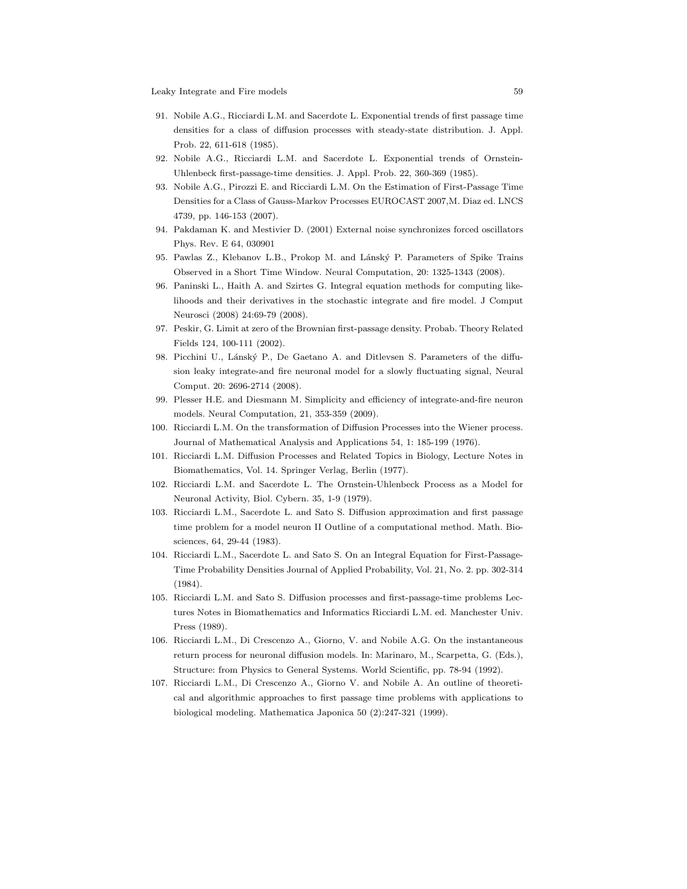- <span id="page-58-10"></span>91. Nobile A.G., Ricciardi L.M. and Sacerdote L. Exponential trends of first passage time densities for a class of diffusion processes with steady-state distribution. J. Appl. Prob. 22, 611-618 (1985).
- <span id="page-58-11"></span><span id="page-58-6"></span>92. Nobile A.G., Ricciardi L.M. and Sacerdote L. Exponential trends of Ornstein-Uhlenbeck first-passage-time densities. J. Appl. Prob. 22, 360-369 (1985).
- 93. Nobile A.G., Pirozzi E. and Ricciardi L.M. On the Estimation of First-Passage Time Densities for a Class of Gauss-Markov Processes EUROCAST 2007,M. Diaz ed. LNCS 4739, pp. 146-153 (2007).
- <span id="page-58-16"></span><span id="page-58-8"></span>94. Pakdaman K. and Mestivier D. (2001) External noise synchronizes forced oscillators Phys. Rev. E 64, 030901
- <span id="page-58-14"></span>95. Pawlas Z., Klebanov L.B., Prokop M. and Lánský P. Parameters of Spike Trains Observed in a Short Time Window. Neural Computation, 20: 1325-1343 (2008).
- 96. Paninski L., Haith A. and Szirtes G. Integral equation methods for computing likelihoods and their derivatives in the stochastic integrate and fire model. J Comput Neurosci (2008) 24:69-79 (2008).
- <span id="page-58-15"></span><span id="page-58-13"></span>97. Peskir, G. Limit at zero of the Brownian first-passage density. Probab. Theory Related Fields 124, 100-111 (2002).
- 98. Picchini U., Lánský P., De Gaetano A. and Ditlevsen S. Parameters of the diffusion leaky integrate-and fire neuronal model for a slowly fluctuating signal, Neural Comput. 20: 2696-2714 (2008).
- <span id="page-58-7"></span><span id="page-58-0"></span>99. Plesser H.E. and Diesmann M. Simplicity and efficiency of integrate-and-fire neuron models. Neural Computation, 21, 353-359 (2009).
- <span id="page-58-3"></span>100. Ricciardi L.M. On the transformation of Diffusion Processes into the Wiener process. Journal of Mathematical Analysis and Applications 54, 1: 185-199 (1976).
- <span id="page-58-5"></span>101. Ricciardi L.M. Diffusion Processes and Related Topics in Biology, Lecture Notes in Biomathematics, Vol. 14. Springer Verlag, Berlin (1977).
- <span id="page-58-12"></span>102. Ricciardi L.M. and Sacerdote L. The Ornstein-Uhlenbeck Process as a Model for Neuronal Activity, Biol. Cybern. 35, 1-9 (1979).
- 103. Ricciardi L.M., Sacerdote L. and Sato S. Diffusion approximation and first passage time problem for a model neuron II Outline of a computational method. Math. Biosciences, 64, 29-44 (1983).
- <span id="page-58-4"></span>104. Ricciardi L.M., Sacerdote L. and Sato S. On an Integral Equation for First-Passage-Time Probability Densities Journal of Applied Probability, Vol. 21, No. 2. pp. 302-314 (1984).
- <span id="page-58-2"></span>105. Ricciardi L.M. and Sato S. Diffusion processes and first-passage-time problems Lectures Notes in Biomathematics and Informatics Ricciardi L.M. ed. Manchester Univ. Press (1989).
- <span id="page-58-9"></span>106. Ricciardi L.M., Di Crescenzo A., Giorno, V. and Nobile A.G. On the instantaneous return process for neuronal diffusion models. In: Marinaro, M., Scarpetta, G. (Eds.), Structure: from Physics to General Systems. World Scientific, pp. 78-94 (1992).
- <span id="page-58-1"></span>107. Ricciardi L.M., Di Crescenzo A., Giorno V. and Nobile A. An outline of theoretical and algorithmic approaches to first passage time problems with applications to biological modeling. Mathematica Japonica 50 (2):247-321 (1999).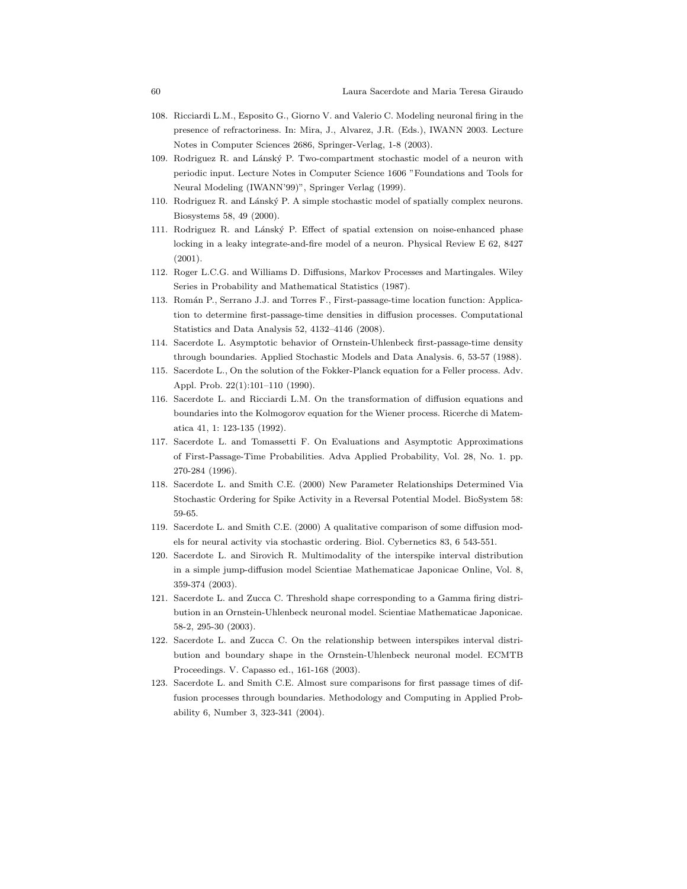- 108. Ricciardi L.M., Esposito G., Giorno V. and Valerio C. Modeling neuronal firing in the presence of refractoriness. In: Mira, J., Alvarez, J.R. (Eds.), IWANN 2003. Lecture Notes in Computer Sciences 2686, Springer-Verlag, 1-8 (2003).
- <span id="page-59-4"></span>109. Rodriguez R. and Lánský P. Two-compartment stochastic model of a neuron with periodic input. Lecture Notes in Computer Science 1606 "Foundations and Tools for Neural Modeling (IWANN'99)", Springer Verlag (1999).
- <span id="page-59-6"></span><span id="page-59-5"></span>110. Rodriguez R. and Lánský P. A simple stochastic model of spatially complex neurons. Biosystems 58, 49 (2000).
- 111. Rodriguez R. and Lánský P. Effect of spatial extension on noise-enhanced phase locking in a leaky integrate-and-fire model of a neuron. Physical Review E 62, 8427 (2001).
- <span id="page-59-13"></span><span id="page-59-11"></span>112. Roger L.C.G. and Williams D. Diffusions, Markov Processes and Martingales. Wiley Series in Probability and Mathematical Statistics (1987).
- 113. Rom´an P., Serrano J.J. and Torres F., First-passage-time location function: Application to determine first-passage-time densities in diffusion processes. Computational Statistics and Data Analysis 52, 4132–4146 (2008).
- <span id="page-59-12"></span><span id="page-59-8"></span>114. Sacerdote L. Asymptotic behavior of Ornstein-Uhlenbeck first-passage-time density through boundaries. Applied Stochastic Models and Data Analysis. 6, 53-57 (1988).
- <span id="page-59-10"></span>115. Sacerdote L., On the solution of the Fokker-Planck equation for a Feller process. Adv. Appl. Prob. 22(1):101–110 (1990).
- 116. Sacerdote L. and Ricciardi L.M. On the transformation of diffusion equations and boundaries into the Kolmogorov equation for the Wiener process. Ricerche di Matematica 41, 1: 123-135 (1992).
- <span id="page-59-9"></span>117. Sacerdote L. and Tomassetti F. On Evaluations and Asymptotic Approximations of First-Passage-Time Probabilities. Adva Applied Probability, Vol. 28, No. 1. pp. 270-284 (1996).
- <span id="page-59-2"></span>118. Sacerdote L. and Smith C.E. (2000) New Parameter Relationships Determined Via Stochastic Ordering for Spike Activity in a Reversal Potential Model. BioSystem 58: 59-65.
- <span id="page-59-3"></span><span id="page-59-0"></span>119. Sacerdote L. and Smith C.E. (2000) A qualitative comparison of some diffusion models for neural activity via stochastic ordering. Biol. Cybernetics 83, 6 543-551.
- 120. Sacerdote L. and Sirovich R. Multimodality of the interspike interval distribution in a simple jump-diffusion model Scientiae Mathematicae Japonicae Online, Vol. 8, 359-374 (2003).
- <span id="page-59-14"></span>121. Sacerdote L. and Zucca C. Threshold shape corresponding to a Gamma firing distribution in an Ornstein-Uhlenbeck neuronal model. Scientiae Mathematicae Japonicae. 58-2, 295-30 (2003).
- <span id="page-59-15"></span>122. Sacerdote L. and Zucca C. On the relationship between interspikes interval distribution and boundary shape in the Ornstein-Uhlenbeck neuronal model. ECMTB Proceedings. V. Capasso ed., 161-168 (2003).
- <span id="page-59-1"></span>123. Sacerdote L. and Smith C.E. Almost sure comparisons for first passage times of diffusion processes through boundaries. Methodology and Computing in Applied Probability 6, Number 3, 323-341 (2004).

<span id="page-59-7"></span>